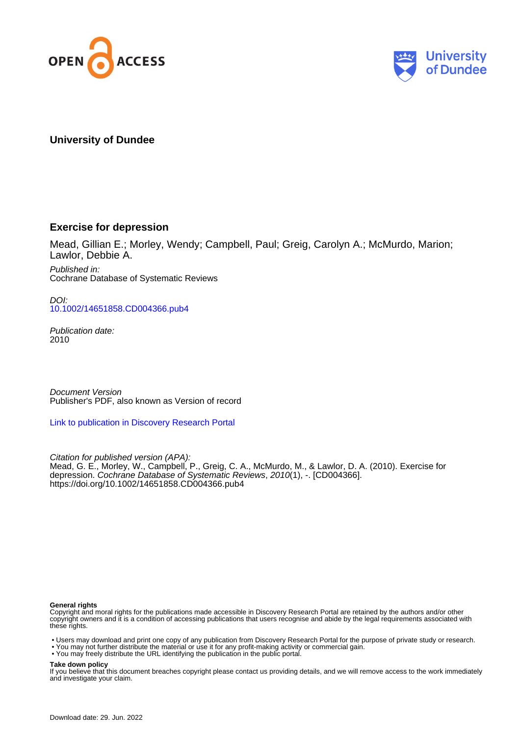



# **University of Dundee**

# **Exercise for depression**

Mead, Gillian E.; Morley, Wendy; Campbell, Paul; Greig, Carolyn A.; McMurdo, Marion; Lawlor, Debbie A.

Published in: Cochrane Database of Systematic Reviews

DOI: [10.1002/14651858.CD004366.pub4](https://doi.org/10.1002/14651858.CD004366.pub4)

Publication date: 2010

Document Version Publisher's PDF, also known as Version of record

[Link to publication in Discovery Research Portal](https://discovery.dundee.ac.uk/en/publications/5dc848af-d53c-48f8-9dfc-5f3f028442bc)

Citation for published version (APA): Mead, G. E., Morley, W., Campbell, P., Greig, C. A., McMurdo, M., & Lawlor, D. A. (2010). Exercise for depression. Cochrane Database of Systematic Reviews, 2010(1), -. [CD004366]. <https://doi.org/10.1002/14651858.CD004366.pub4>

#### **General rights**

Copyright and moral rights for the publications made accessible in Discovery Research Portal are retained by the authors and/or other copyright owners and it is a condition of accessing publications that users recognise and abide by the legal requirements associated with these rights.

- Users may download and print one copy of any publication from Discovery Research Portal for the purpose of private study or research.
- You may not further distribute the material or use it for any profit-making activity or commercial gain.
- You may freely distribute the URL identifying the publication in the public portal.

#### **Take down policy**

If you believe that this document breaches copyright please contact us providing details, and we will remove access to the work immediately and investigate your claim.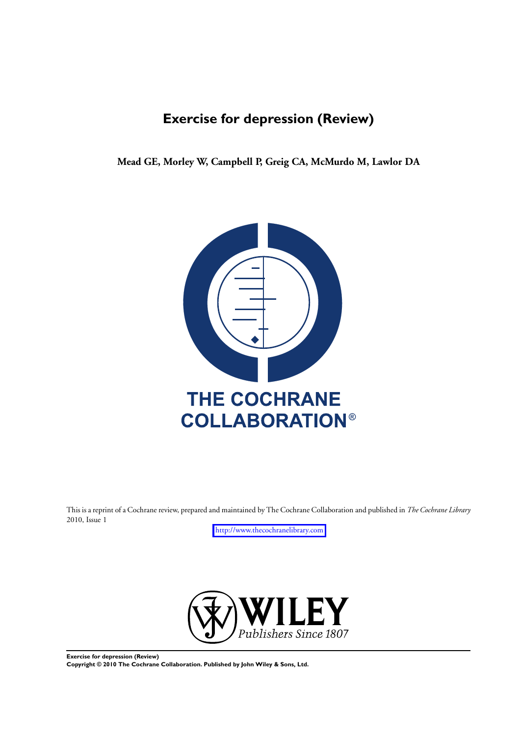# **Exercise for depression (Review)**

**Mead GE, Morley W, Campbell P, Greig CA, McMurdo M, Lawlor DA**



This is a reprint of a Cochrane review, prepared and maintained by The Cochrane Collaboration and published in *The Cochrane Library* 2010, Issue 1

<http://www.thecochranelibrary.com>



**Exercise for depression (Review) Copyright © 2010 The Cochrane Collaboration. Published by John Wiley & Sons, Ltd.**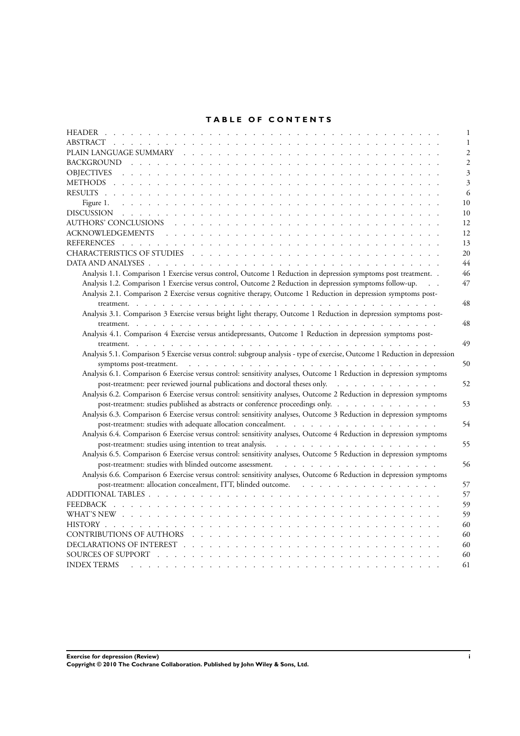### **TABLE OF CONTENTS**

| HEADER In the contract of the contract of the contract of the contract of the contract of the contract of the contract of the contract of the contract of the contract of the contract of the contract of the contract of the | 1              |
|-------------------------------------------------------------------------------------------------------------------------------------------------------------------------------------------------------------------------------|----------------|
|                                                                                                                                                                                                                               | 1              |
|                                                                                                                                                                                                                               | $\overline{c}$ |
|                                                                                                                                                                                                                               | $\overline{2}$ |
|                                                                                                                                                                                                                               | 3              |
|                                                                                                                                                                                                                               | 3              |
|                                                                                                                                                                                                                               | 6              |
|                                                                                                                                                                                                                               | 10             |
|                                                                                                                                                                                                                               | 10             |
|                                                                                                                                                                                                                               | 12             |
|                                                                                                                                                                                                                               | 12             |
|                                                                                                                                                                                                                               | 13             |
|                                                                                                                                                                                                                               | 20             |
|                                                                                                                                                                                                                               | 44             |
| Analysis 1.1. Comparison 1 Exercise versus control, Outcome 1 Reduction in depression symptoms post treatment. .                                                                                                              | 46             |
| Analysis 1.2. Comparison 1 Exercise versus control, Outcome 2 Reduction in depression symptoms follow-up.                                                                                                                     | 47             |
| Analysis 2.1. Comparison 2 Exercise versus cognitive therapy, Outcome 1 Reduction in depression symptoms post-                                                                                                                |                |
|                                                                                                                                                                                                                               | 48             |
| Analysis 3.1. Comparison 3 Exercise versus bright light therapy, Outcome 1 Reduction in depression symptoms post-                                                                                                             |                |
|                                                                                                                                                                                                                               | 48             |
| Analysis 4.1. Comparison 4 Exercise versus antidepressants, Outcome 1 Reduction in depression symptoms post-                                                                                                                  |                |
|                                                                                                                                                                                                                               | 49             |
| Analysis 5.1. Comparison 5 Exercise versus control: subgroup analysis - type of exercise, Outcome 1 Reduction in depression                                                                                                   |                |
|                                                                                                                                                                                                                               | 50             |
| Analysis 6.1. Comparison 6 Exercise versus control: sensitivity analyses, Outcome 1 Reduction in depression symptoms                                                                                                          |                |
| post-treatment: peer reviewed journal publications and doctoral theses only.                                                                                                                                                  | 52             |
| Analysis 6.2. Comparison 6 Exercise versus control: sensitivity analyses, Outcome 2 Reduction in depression symptoms                                                                                                          |                |
| post-treatment: studies published as abstracts or conference proceedings only.                                                                                                                                                | 53             |
| Analysis 6.3. Comparison 6 Exercise versus control: sensitivity analyses, Outcome 3 Reduction in depression symptoms                                                                                                          |                |
|                                                                                                                                                                                                                               | 54             |
| Analysis 6.4. Comparison 6 Exercise versus control: sensitivity analyses, Outcome 4 Reduction in depression symptoms                                                                                                          |                |
|                                                                                                                                                                                                                               | 55             |
| Analysis 6.5. Comparison 6 Exercise versus control: sensitivity analyses, Outcome 5 Reduction in depression symptoms                                                                                                          |                |
|                                                                                                                                                                                                                               | 56             |
| Analysis 6.6. Comparison 6 Exercise versus control: sensitivity analyses, Outcome 6 Reduction in depression symptoms                                                                                                          |                |
|                                                                                                                                                                                                                               | 57             |
|                                                                                                                                                                                                                               | 57             |
|                                                                                                                                                                                                                               | 59             |
|                                                                                                                                                                                                                               | 59             |
|                                                                                                                                                                                                                               | 60             |
|                                                                                                                                                                                                                               | 60             |
|                                                                                                                                                                                                                               | 60             |
|                                                                                                                                                                                                                               | 60             |
| <b>INDEX TERMS</b>                                                                                                                                                                                                            | 61             |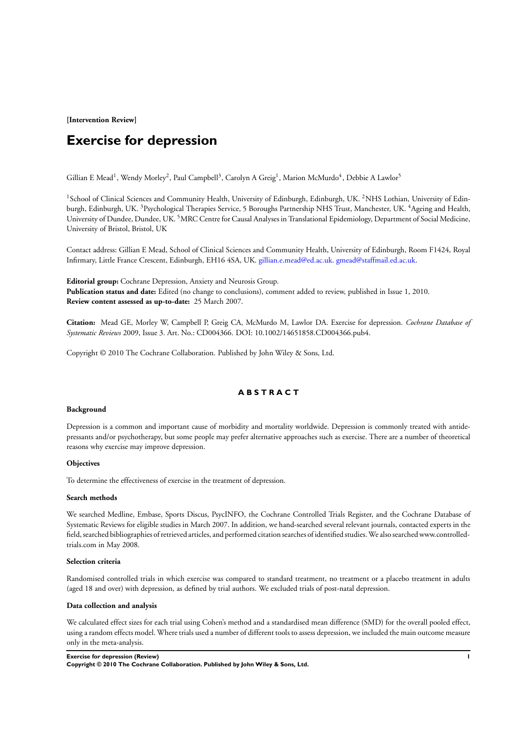**[Intervention Review]**

# **Exercise for depression**

Gillian E Mead<sup>1</sup>, Wendy Morley<sup>2</sup>, Paul Campbell<sup>3</sup>, Carolyn A Greig<sup>1</sup>, Marion McMurdo<sup>4</sup>, Debbie A Lawlor<sup>5</sup>

<sup>1</sup>School of Clinical Sciences and Community Health, University of Edinburgh, Edinburgh, UK. <sup>2</sup>NHS Lothian, University of Edinburgh, Edinburgh, UK. <sup>3</sup>Psychological Therapies Service, 5 Boroughs Partnership NHS Trust, Manchester, UK. <sup>4</sup>Ageing and Health, University of Dundee, Dundee, UK.<sup>5</sup>MRC Centre for Causal Analyses in Translational Epidemiology, Department of Social Medicine, University of Bristol, Bristol, UK

Contact address: Gillian E Mead, School of Clinical Sciences and Community Health, University of Edinburgh, Room F1424, Royal Infirmary, Little France Crescent, Edinburgh, EH16 4SA, UK. [gillian.e.mead@ed.ac.uk](mailto:gillian.e.mead@ed.ac.uk). [gmead@staffmail.ed.ac.uk](mailto:gmead@staffmail.ed.ac.uk).

**Editorial group:** Cochrane Depression, Anxiety and Neurosis Group. **Publication status and date:** Edited (no change to conclusions), comment added to review, published in Issue 1, 2010. **Review content assessed as up-to-date:** 25 March 2007.

**Citation:** Mead GE, Morley W, Campbell P, Greig CA, McMurdo M, Lawlor DA. Exercise for depression. *Cochrane Database of Systematic Reviews* 2009, Issue 3. Art. No.: CD004366. DOI: 10.1002/14651858.CD004366.pub4.

Copyright © 2010 The Cochrane Collaboration. Published by John Wiley & Sons, Ltd.

### **A B S T R A C T**

#### **Background**

Depression is a common and important cause of morbidity and mortality worldwide. Depression is commonly treated with antidepressants and/or psychotherapy, but some people may prefer alternative approaches such as exercise. There are a number of theoretical reasons why exercise may improve depression.

### **Objectives**

To determine the effectiveness of exercise in the treatment of depression.

#### **Search methods**

We searched Medline, Embase, Sports Discus, PsycINFO, the Cochrane Controlled Trials Register, and the Cochrane Database of Systematic Reviews for eligible studies in March 2007. In addition, we hand-searched several relevant journals, contacted experts in the field, searched bibliographies of retrieved articles, and performed citation searches of identified studies.We also searched www.controlledtrials.com in May 2008.

#### **Selection criteria**

Randomised controlled trials in which exercise was compared to standard treatment, no treatment or a placebo treatment in adults (aged 18 and over) with depression, as defined by trial authors. We excluded trials of post-natal depression.

### **Data collection and analysis**

We calculated effect sizes for each trial using Cohen's method and a standardised mean difference (SMD) for the overall pooled effect, using a random effects model. Where trials used a number of different tools to assess depression, we included the main outcome measure only in the meta-analysis.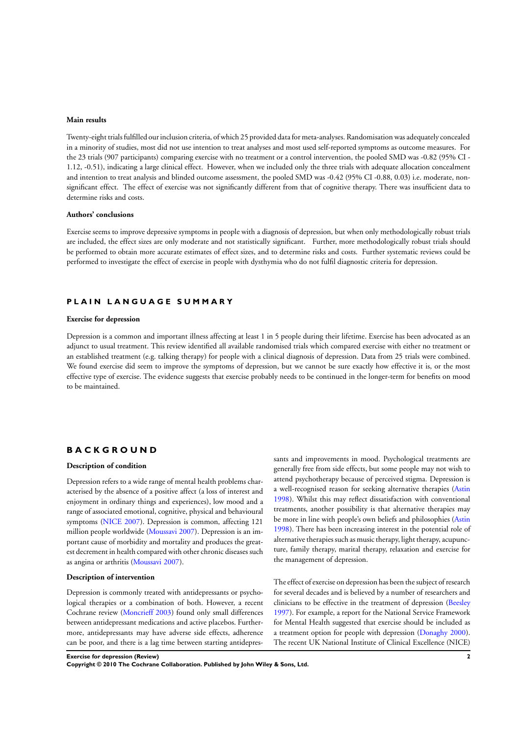### **Main results**

Twenty-eight trials fulfilled our inclusion criteria, of which 25 provided data for meta-analyses. Randomisation was adequately concealed in a minority of studies, most did not use intention to treat analyses and most used self-reported symptoms as outcome measures. For the 23 trials (907 participants) comparing exercise with no treatment or a control intervention, the pooled SMD was -0.82 (95% CI - 1.12, -0.51), indicating a large clinical effect. However, when we included only the three trials with adequate allocation concealment and intention to treat analysis and blinded outcome assessment, the pooled SMD was -0.42 (95% CI -0.88, 0.03) i.e. moderate, nonsignificant effect. The effect of exercise was not significantly different from that of cognitive therapy. There was insufficient data to determine risks and costs.

### **Authors' conclusions**

Exercise seems to improve depressive symptoms in people with a diagnosis of depression, but when only methodologically robust trials are included, the effect sizes are only moderate and not statistically significant. Further, more methodologically robust trials should be performed to obtain more accurate estimates of effect sizes, and to determine risks and costs. Further systematic reviews could be performed to investigate the effect of exercise in people with dysthymia who do not fulfil diagnostic criteria for depression.

### **P L A I N L A N G U A G E S U M M A R Y**

### **Exercise for depression**

Depression is a common and important illness affecting at least 1 in 5 people during their lifetime. Exercise has been advocated as an adjunct to usual treatment. This review identified all available randomised trials which compared exercise with either no treatment or an established treatment (e.g. talking therapy) for people with a clinical diagnosis of depression. Data from 25 trials were combined. We found exercise did seem to improve the symptoms of depression, but we cannot be sure exactly how effective it is, or the most effective type of exercise. The evidence suggests that exercise probably needs to be continued in the longer-term for benefits on mood to be maintained.

### **B A C K G R O U N D**

#### **Description of condition**

Depression refers to a wide range of mental health problems characterised by the absence of a positive affect (a loss of interest and enjoyment in ordinary things and experiences), low mood and a range of associated emotional, cognitive, physical and behavioural symptoms ([NICE 2007](#page-15-0)). Depression is common, affecting 121 million people worldwide [\(Moussavi 2007\)](#page-15-0). Depression is an important cause of morbidity and mortality and produces the greatest decrement in health compared with other chronic diseases such as angina or arthritis [\(Moussavi 2007](#page-15-0)).

#### **Description of intervention**

Depression is commonly treated with antidepressants or psychological therapies or a combination of both. However, a recent Cochrane review ([Moncrieff 2003](#page-15-0)) found only small differences between antidepressant medications and active placebos. Furthermore, antidepressants may have adverse side effects, adherence can be poor, and there is a lag time between starting antidepressants and improvements in mood. Psychological treatments are generally free from side effects, but some people may not wish to attend psychotherapy because of perceived stigma. Depression is a well-recognised reason for seeking alternative therapies ([Astin](#page-15-0) [1998](#page-15-0)). Whilst this may reflect dissatisfaction with conventional treatments, another possibility is that alternative therapies may be more in line with people's own beliefs and philosophies ([Astin](#page-15-0) [1998](#page-15-0)). There has been increasing interest in the potential role of alternative therapies such as music therapy, light therapy, acupuncture, family therapy, marital therapy, relaxation and exercise for the management of depression.

The effect of exercise on depression has been the subject of research for several decades and is believed by a number of researchers and clinicians to be effective in the treatment of depression ([Beesley](#page-15-0) [1997](#page-15-0)). For example, a report for the National Service Framework for Mental Health suggested that exercise should be included as a treatment option for people with depression [\(Donaghy 2000](#page-15-0)). The recent UK National Institute of Clinical Excellence (NICE)

**Exercise for depression (Review) 2**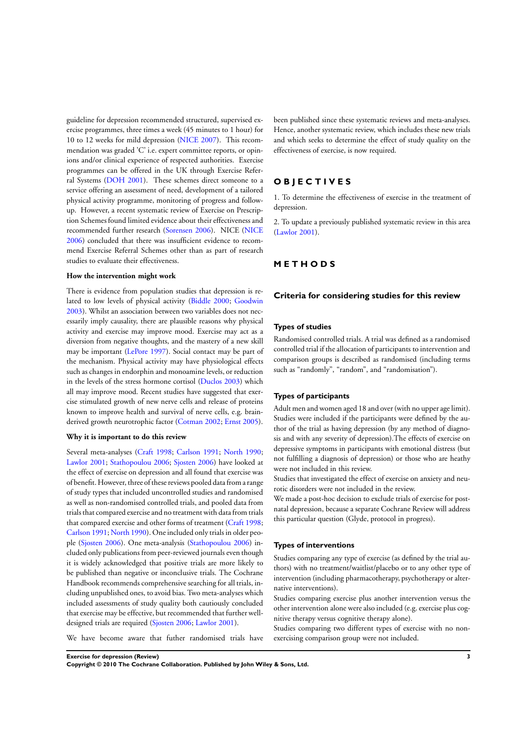guideline for depression recommended structured, supervised exercise programmes, three times a week (45 minutes to 1 hour) for 10 to 12 weeks for mild depression ([NICE 2007\)](#page-15-0). This recommendation was graded 'C' i.e. expert committee reports, or opinions and/or clinical experience of respected authorities. Exercise programmes can be offered in the UK through Exercise Referral Systems ([DOH 2001](#page-15-0)). These schemes direct someone to a service offering an assessment of need, development of a tailored physical activity programme, monitoring of progress and followup. However, a recent systematic review of Exercise on Prescription Schemes found limited evidence about their effectiveness and recommended further research [\(Sorensen 2006](#page-15-0)). NICE ([NICE](#page-15-0) [2006](#page-15-0)) concluded that there was insufficient evidence to recommend Exercise Referral Schemes other than as part of research studies to evaluate their effectiveness.

#### **How the intervention might work**

There is evidence from population studies that depression is related to low levels of physical activity [\(Biddle 2000](#page-15-0); [Goodwin](#page-15-0) [2003](#page-15-0)). Whilst an association between two variables does not necessarily imply causality, there are plausible reasons why physical activity and exercise may improve mood. Exercise may act as a diversion from negative thoughts, and the mastery of a new skill may be important [\(LePore 1997\)](#page-15-0). Social contact may be part of the mechanism. Physical activity may have physiological effects such as changes in endorphin and monoamine levels, or reduction in the levels of the stress hormone cortisol [\(Duclos 2003\)](#page-15-0) which all may improve mood. Recent studies have suggested that exercise stimulated growth of new nerve cells and release of proteins known to improve health and survival of nerve cells, e.g. brainderived growth neurotrophic factor [\(Cotman 2002](#page-15-0); [Ernst 2005\)](#page-15-0).

### **Why it is important to do this review**

Several meta-analyses [\(Craft 1998;](#page-15-0) [Carlson 1991;](#page-15-0) [North 1990;](#page-15-0) [Lawlor 2001](#page-15-0); [Stathopoulou 2006;](#page-15-0) [Sjosten 2006\)](#page-15-0) have looked at the effect of exercise on depression and all found that exercise was of benefit. However, three of these reviews pooled data from a range of study types that included uncontrolled studies and randomised as well as non-randomised controlled trials, and pooled data from trials that compared exercise and no treatment with data from trials that compared exercise and other forms of treatment ([Craft 1998;](#page-15-0) [Carlson 1991;](#page-15-0) [North 1990\)](#page-15-0). One included only trials in older people ([Sjosten 2006](#page-15-0)). One meta-analysis [\(Stathopoulou 2006](#page-15-0)) included only publications from peer-reviewed journals even though it is widely acknowledged that positive trials are more likely to be published than negative or inconclusive trials. The Cochrane Handbook recommends comprehensive searching for all trials, including unpublished ones, to avoid bias. Two meta-analyses which included assessments of study quality both cautiously concluded that exercise may be effective, but recommended that further welldesigned trials are required [\(Sjosten 2006](#page-15-0); [Lawlor 2001](#page-15-0)).

We have become aware that futher randomised trials have

been published since these systematic reviews and meta-analyses. Hence, another systematic review, which includes these new trials and which seeks to determine the effect of study quality on the effectiveness of exercise, is now required.

### **O B J E C T I V E S**

1. To determine the effectiveness of exercise in the treatment of depression.

2. To update a previously published systematic review in this area [\(Lawlor 2001](#page-15-0)).

### **M E T H O D S**

### **Criteria for considering studies for this review**

#### **Types of studies**

Randomised controlled trials. A trial was defined as a randomised controlled trial if the allocation of participants to intervention and comparison groups is described as randomised (including terms such as "randomly", "random", and "randomisation").

#### **Types of participants**

Adult men and women aged 18 and over (with no upper age limit). Studies were included if the participants were defined by the author of the trial as having depression (by any method of diagnosis and with any severity of depression).The effects of exercise on depressive symptoms in participants with emotional distress (but not fulfilling a diagnosis of depression) or those who are heathy were not included in this review.

Studies that investigated the effect of exercise on anxiety and neurotic disorders were not included in the review.

We made a post-hoc decision to exclude trials of exercise for postnatal depression, because a separate Cochrane Review will address this particular question (Glyde, protocol in progress).

### **Types of interventions**

Studies comparing any type of exercise (as defined by the trial authors) with no treatment/waitlist/placebo or to any other type of intervention (including pharmacotherapy, psychotherapy or alternative interventions).

Studies comparing exercise plus another intervention versus the other intervention alone were also included (e.g. exercise plus cognitive therapy versus cognitive therapy alone).

Studies comparing two different types of exercise with no nonexercising comparison group were not included.

**Exercise for depression (Review) 3 Copyright © 2010 The Cochrane Collaboration. Published by John Wiley & Sons, Ltd.**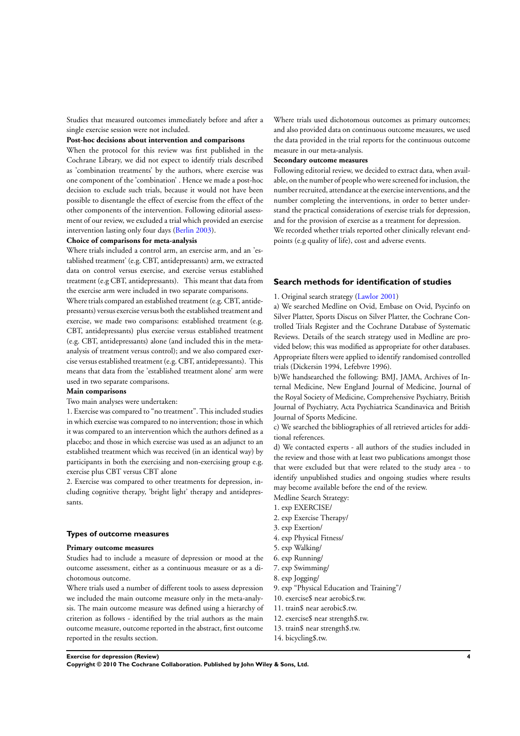Studies that measured outcomes immediately before and after a single exercise session were not included.

### **Post-hoc decisions about intervention and comparisons**

When the protocol for this review was first published in the Cochrane Library, we did not expect to identify trials described as 'combination treatments' by the authors, where exercise was one component of the 'combination' . Hence we made a post-hoc decision to exclude such trials, because it would not have been possible to disentangle the effect of exercise from the effect of the other components of the intervention. Following editorial assessment of our review, we excluded a trial which provided an exercise intervention lasting only four days ([Berlin 2003](#page-15-0)).

#### **Choice of comparisons for meta-analysis**

Where trials included a control arm, an exercise arm, and an 'established treatment' (e.g. CBT, antidepressants) arm, we extracted data on control versus exercise, and exercise versus established treatment (e.g CBT, antidepressants). This meant that data from the exercise arm were included in two separate comparisons.

Where trials compared an established treatment (e.g. CBT, antidepressants) versus exercise versus both the established treatment and exercise, we made two comparisons: established treatment (e.g. CBT, antidepressants) plus exercise versus established treatment (e.g. CBT, antidepressants) alone (and included this in the metaanalysis of treatment versus control); and we also compared exercise versus established treatment (e.g. CBT, antidepressants). This means that data from the 'established treatment alone' arm were used in two separate comparisons.

#### **Main comparisons**

Two main analyses were undertaken:

1. Exercise was compared to "no treatment". This included studies in which exercise was compared to no intervention; those in which it was compared to an intervention which the authors defined as a placebo; and those in which exercise was used as an adjunct to an established treatment which was received (in an identical way) by participants in both the exercising and non-exercising group e.g. exercise plus CBT versus CBT alone

2. Exercise was compared to other treatments for depression, including cognitive therapy, 'bright light' therapy and antidepressants.

#### **Types of outcome measures**

#### **Primary outcome measures**

Studies had to include a measure of depression or mood at the outcome assessment, either as a continuous measure or as a dichotomous outcome.

Where trials used a number of different tools to assess depression we included the main outcome measure only in the meta-analysis. The main outcome measure was defined using a hierarchy of criterion as follows - identified by the trial authors as the main outcome measure, outcome reported in the abstract, first outcome reported in the results section.

Where trials used dichotomous outcomes as primary outcomes; and also provided data on continuous outcome measures, we used the data provided in the trial reports for the continuous outcome measure in our meta-analysis.

### **Secondary outcome measures**

Following editorial review, we decided to extract data, when available, on the number of people who were screened for inclusion, the number recruited, attendance at the exercise interventions, and the number completing the interventions, in order to better understand the practical considerations of exercise trials for depression, and for the provision of exercise as a treatment for depression. We recorded whether trials reported other clinically relevant endpoints (e.g quality of life), cost and adverse events.

### **Search methods for identification of studies**

1. Original search strategy ([Lawlor 2001](#page-15-0))

a) We searched Medline on Ovid, Embase on Ovid, Psycinfo on Silver Platter, Sports Discus on Silver Platter, the Cochrane Controlled Trials Register and the Cochrane Database of Systematic Reviews. Details of the search strategy used in Medline are provided below; this was modified as appropriate for other databases. Appropriate filters were applied to identify randomised controlled trials (Dickersin 1994, Lefebvre 1996).

b)We handsearched the following: BMJ, JAMA, Archives of Internal Medicine, New England Journal of Medicine, Journal of the Royal Society of Medicine, Comprehensive Psychiatry, British Journal of Psychiatry, Acta Psychiatrica Scandinavica and British Journal of Sports Medicine.

c) We searched the bibliographies of all retrieved articles for additional references.

d) We contacted experts - all authors of the studies included in the review and those with at least two publications amongst those that were excluded but that were related to the study area - to identify unpublished studies and ongoing studies where results may become available before the end of the review.

Medline Search Strategy:

- 1. exp EXERCISE/
- 2. exp Exercise Therapy/
- 3. exp Exertion/
- 4. exp Physical Fitness/
- 5. exp Walking/
- 6. exp Running/
- 7. exp Swimming/
- 8. exp Jogging/
- 9. exp "Physical Education and Training"/
- 10. exercise\$ near aerobic\$.tw.
- 11. train\$ near aerobic\$.tw.
- 12. exercise\$ near strength\$.tw.
- 13. train\$ near strength\$.tw.
- 14. bicycling\$.tw.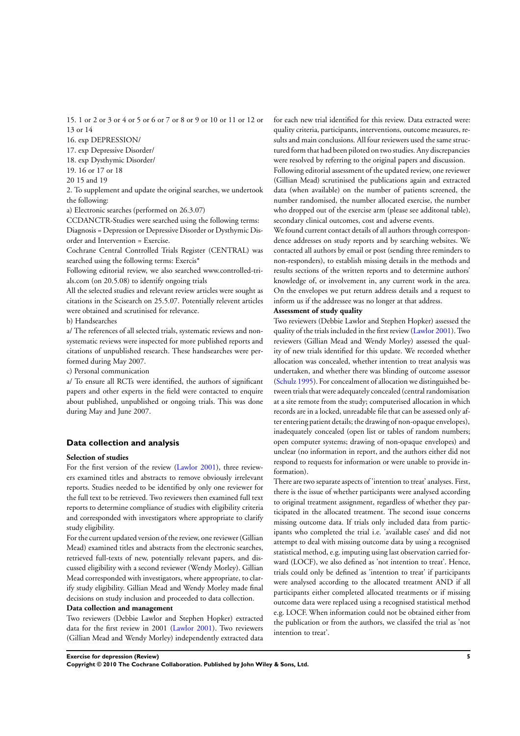15. 1 or 2 or 3 or 4 or 5 or 6 or 7 or 8 or 9 or 10 or 11 or 12 or 13 or 14

16. exp DEPRESSION/

17. exp Depressive Disorder/

18. exp Dysthymic Disorder/

19. 16 or 17 or 18

20 15 and 19

2. To supplement and update the original searches, we undertook the following:

a) Electronic searches (performed on 26.3.07)

CCDANCTR-Studies were searched using the following terms: Diagnosis = Depression or Depressive Disorder or Dysthymic Disorder and Intervention = Exercise.

Cochrane Central Controlled Trials Register (CENTRAL) was searched using the following terms: Exercis\*

Following editorial review, we also searched www.controlled-trials.com (on 20.5.08) to identify ongoing trials

All the selected studies and relevant review articles were sought as citations in the Scisearch on 25.5.07. Potentially relevent articles were obtained and scrutinised for relevance.

b) Handsearches

a/ The references of all selected trials, systematic reviews and nonsystematic reviews were inspected for more published reports and citations of unpublished research. These handsearches were performed during May 2007.

c) Personal communication

a/ To ensure all RCTs were identified, the authors of significant papers and other experts in the field were contacted to enquire about published, unpublished or ongoing trials. This was done during May and June 2007.

### **Data collection and analysis**

### **Selection of studies**

For the first version of the review [\(Lawlor 2001](#page-15-0)), three reviewers examined titles and abstracts to remove obviously irrelevant reports. Studies needed to be identified by only one reviewer for the full text to be retrieved. Two reviewers then examined full text reports to determine compliance of studies with eligibility criteria and corresponded with investigators where appropriate to clarify study eligibility.

For the current updated version of the review, one reviewer (Gillian Mead) examined titles and abstracts from the electronic searches, retrieved full-texts of new, potentially relevant papers, and discussed eligibility with a second reviewer (Wendy Morley). Gillian Mead corresponded with investigators, where appropriate, to clarify study eligibility. Gillian Mead and Wendy Morley made final decisions on study inclusion and proceeded to data collection.

### **Data collection and management**

Two reviewers (Debbie Lawlor and Stephen Hopker) extracted data for the first review in 2001 ([Lawlor 2001](#page-15-0)). Two reviewers (Gillian Mead and Wendy Morley) independently extracted data for each new trial identified for this review. Data extracted were: quality criteria, participants, interventions, outcome measures, results and main conclusions. All four reviewers used the same structured form that had been piloted on two studies. Any discrepancies were resolved by referring to the original papers and discussion.

Following editorial assessment of the updated review, one reviewer (Gillian Mead) scrutinised the publications again and extracted data (when available) on the number of patients screened, the number randomised, the number allocated exercise, the number who dropped out of the exercise arm (please see additonal table), secondary clinical outcomes, cost and adverse events.

We found current contact details of all authors through correspondence addresses on study reports and by searching websites. We contacted all authors by email or post (sending three reminders to non-responders), to establish missing details in the methods and results sections of the written reports and to determine authors' knowledge of, or involvement in, any current work in the area. On the envelopes we put return address details and a request to inform us if the addressee was no longer at that address.

#### **Assessment of study quality**

Two reviewers (Debbie Lawlor and Stephen Hopker) assessed the quality of the trials included in the first review ([Lawlor 2001](#page-15-0)). Two reviewers (Gillian Mead and Wendy Morley) assessed the quality of new trials identified for this update. We recorded whether allocation was concealed, whether intention to treat analysis was undertaken, and whether there was blinding of outcome assessor [\(Schulz 1995\)](#page-15-0). For concealment of allocation we distinguished between trials that were adequately concealed (central randomisation at a site remote from the study; computerised allocation in which records are in a locked, unreadable file that can be assessed only after entering patient details; the drawing of non-opaque envelopes), inadequately concealed (open list or tables of random numbers; open computer systems; drawing of non-opaque envelopes) and unclear (no information in report, and the authors either did not respond to requests for information or were unable to provide information).

There are two separate aspects of 'intention to treat' analyses. First, there is the issue of whether participants were analysed according to original treatment assignment, regardless of whether they participated in the allocated treatment. The second issue concerns missing outcome data. If trials only included data from participants who completed the trial i.e. 'available cases' and did not attempt to deal with missing outcome data by using a recognised statistical method, e.g. imputing using last observation carried forward (LOCF), we also defined as 'not intention to treat'. Hence, trials could only be defined as 'intention to treat' if participants were analysed according to the allocated treatment AND if all participants either completed allocated treatments or if missing outcome data were replaced using a recognised statistical method e.g. LOCF. When information could not be obtained either from the publication or from the authors, we classifed the trial as 'not intention to treat'.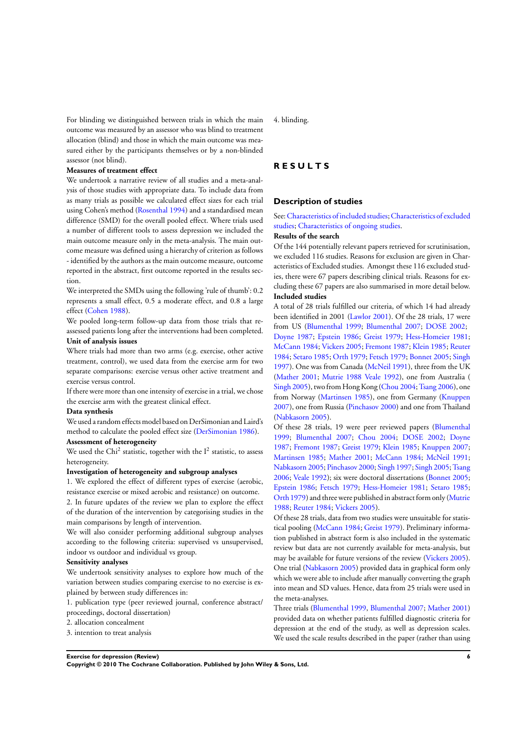For blinding we distinguished between trials in which the main outcome was measured by an assessor who was blind to treatment allocation (blind) and those in which the main outcome was measured either by the participants themselves or by a non-blinded assessor (not blind).

### **Measures of treatment effect**

We undertook a narrative review of all studies and a meta-analysis of those studies with appropriate data. To include data from as many trials as possible we calculated effect sizes for each trial using Cohen's method ([Rosenthal 1994](#page-15-0)) and a standardised mean difference (SMD) for the overall pooled effect. Where trials used a number of different tools to assess depression we included the main outcome measure only in the meta-analysis. The main outcome measure was defined using a hierarchy of criterion as follows - identified by the authors as the main outcome measure, outcome reported in the abstract, first outcome reported in the results section.

We interpreted the SMDs using the following 'rule of thumb': 0.2 represents a small effect, 0.5 a moderate effect, and 0.8 a large effect [\(Cohen 1988\)](#page-15-0).

We pooled long-term follow-up data from those trials that reassessed patients long after the interventions had been completed. **Unit of analysis issues**

Where trials had more than two arms (e.g. exercise, other active treatment, control), we used data from the exercise arm for two separate comparisons: exercise versus other active treatment and exercise versus control.

If there were more than one intensity of exercise in a trial, we chose the exercise arm with the greatest clinical effect.

### **Data synthesis**

We used a random effects model based on DerSimonian and Laird's method to calculate the pooled effect size [\(DerSimonian 1986](#page-15-0)).

### **Assessment of heterogeneity**

We used the Chi<sup>2</sup> statistic, together with the  $I^2$  statistic, to assess heterogeneity.

### **Investigation of heterogeneity and subgroup analyses**

1. We explored the effect of different types of exercise (aerobic, resistance exercise or mixed aerobic and resistance) on outcome. 2. In future updates of the review we plan to explore the effect

of the duration of the intervention by categorising studies in the main comparisons by length of intervention.

We will also consider performing additional subgroup analyses according to the following criteria: supervised vs unsupervised, indoor vs outdoor and individual vs group.

### **Sensitivity analyses**

We undertook sensitivity analyses to explore how much of the variation between studies comparing exercise to no exercise is explained by between study differences in:

1. publication type (peer reviewed journal, conference abstract/ proceedings, doctoral dissertation)

- 2. allocation concealment
- 3. intention to treat analysis

4. blinding.

### **R E S U L T S**

### **Description of studies**

### See:[Characteristics of included studies;](#page-23-0)[Characteristics of excluded](#page-38-0) [studies;](#page-38-0) [Characteristics of ongoing studies](#page-43-0).

### **Results of the search**

Of the 144 potentially relevant papers retrieved for scrutinisation, we excluded 116 studies. Reasons for exclusion are given in Characteristics of Excluded studies. Amongst these 116 excluded studies, there were 67 papers describing clinical trials. Reasons for excluding these 67 papers are also summarised in more detail below. **Included studies**

A total of 28 trials fulfilled our criteria, of which 14 had already been identified in 2001 [\(Lawlor 2001\)](#page-15-0). Of the 28 trials, 17 were from US [\(Blumenthal 1999](#page-15-0); [Blumenthal 2007](#page-15-0); [DOSE 2002](#page-15-0); [Doyne 1987;](#page-15-0) [Epstein 1986;](#page-15-0) [Greist 1979;](#page-15-0) [Hess-Homeier 1981;](#page-15-0) [McCann 1984](#page-15-0); [Vickers 2005;](#page-15-0) [Fremont 1987;](#page-15-0) [Klein 1985;](#page-15-0) [Reuter](#page-15-0) [1984](#page-15-0); [Setaro 1985;](#page-15-0) [Orth 1979](#page-15-0); [Fetsch 1979](#page-15-0); [Bonnet 2005](#page-15-0); [Singh](#page-15-0) [1997](#page-15-0)). One was from Canada [\(McNeil 1991\)](#page-15-0), three from the UK [\(Mather 2001](#page-15-0); [Mutrie 1988 Veale 1992\)](#page-15-0), one from Australia ( [Singh 2005](#page-15-0)), two from Hong Kong (Chou 2004; Tsang 2006), one from Norway ([Martinsen 1985](#page-15-0)), one from Germany [\(Knuppen](#page-15-0) [2007](#page-15-0)), one from Russia ([Pinchasov 2000](#page-15-0)) and one from Thailand [\(Nabkasorn 2005](#page-15-0)).

Of these 28 trials, 19 were peer reviewed papers [\(Blumenthal](#page-15-0) [1999](#page-15-0); [Blumenthal 2007;](#page-15-0) [Chou 2004](#page-15-0); [DOSE 2002](#page-15-0); [Doyne](#page-15-0) [1987](#page-15-0); [Fremont 1987;](#page-15-0) [Greist 1979](#page-15-0); [Klein 1985;](#page-15-0) [Knuppen 2007;](#page-15-0) [Martinsen 1985;](#page-15-0) [Mather 2001;](#page-15-0) [McCann 1984](#page-15-0); [McNeil 1991;](#page-15-0) [Nabkasorn 2005;](#page-15-0) [Pinchasov 2000](#page-15-0); [Singh 1997](#page-15-0); [Singh 2005](#page-15-0); [Tsang](#page-15-0) [2006](#page-15-0); [Veale 1992](#page-15-0)); six were doctoral dissertations [\(Bonnet 2005;](#page-15-0) [Epstein 1986;](#page-15-0) [Fetsch 1979;](#page-15-0) [Hess-Homeier 1981](#page-15-0); [Setaro 1985;](#page-15-0) [Orth 1979](#page-15-0)) and three were published in abstract form only ([Mutrie](#page-15-0) [1988](#page-15-0); [Reuter 1984](#page-15-0); [Vickers 2005\)](#page-15-0).

Of these 28 trials, data from two studies were unsuitable for statis-tical pooling [\(McCann 1984](#page-15-0); [Greist 1979\)](#page-15-0). Preliminary information published in abstract form is also included in the systematic review but data are not currently available for meta-analysis, but may be available for future versions of the review [\(Vickers 2005](#page-15-0)). One trial [\(Nabkasorn 2005](#page-15-0)) provided data in graphical form only which we were able to include after manually converting the graph into mean and SD values. Hence, data from 25 trials were used in the meta-analyses.

Three trials [\(Blumenthal 1999](#page-15-0), [Blumenthal 2007;](#page-15-0) [Mather 2001](#page-15-0)) provided data on whether patients fulfilled diagnostic criteria for depression at the end of the study, as well as depression scales. We used the scale results described in the paper (rather than using

**Exercise for depression (Review) 6**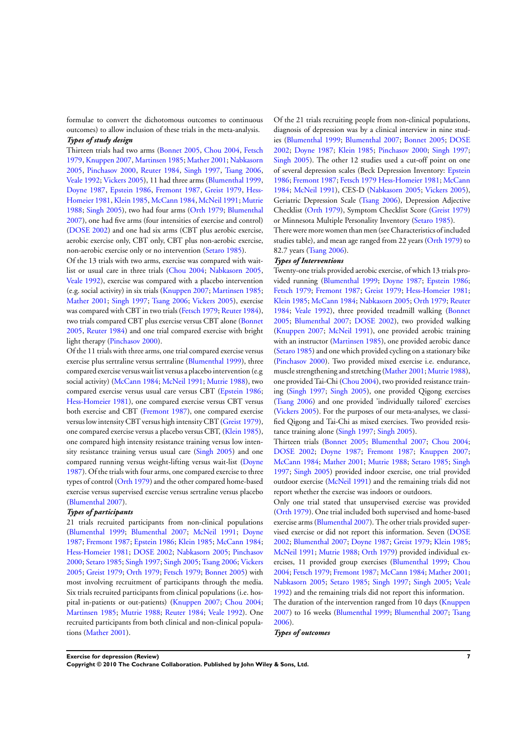formulae to convert the dichotomous outcomes to continuous outcomes) to allow inclusion of these trials in the meta-analysis. *Types of study design*

Thirteen trials had two arms ([Bonnet 2005,](#page-15-0) [Chou 2004](#page-15-0), [Fetsch](#page-15-0) [1979](#page-15-0), [Knuppen 2007,](#page-15-0) [Martinsen 1985](#page-15-0); [Mather 2001](#page-15-0); [Nabkasorn](#page-15-0) [2005](#page-15-0), [Pinchasov 2000,](#page-15-0) [Reuter 1984](#page-15-0), [Singh 1997](#page-15-0), [Tsang 2006,](#page-15-0) [Veale 1992](#page-15-0); [Vickers 2005](#page-15-0)), 11 had three arms [\(Blumenthal 1999,](#page-15-0) [Doyne 1987,](#page-15-0) [Epstein 1986,](#page-15-0) [Fremont 1987](#page-15-0), [Greist 1979,](#page-15-0) [Hess-](#page-15-0)[Homeier 1981,](#page-15-0) [Klein 1985](#page-15-0), [McCann 1984](#page-15-0), [McNeil 1991](#page-15-0); [Mutrie](#page-15-0) [1988](#page-15-0); [Singh 2005\)](#page-15-0), two had four arms [\(Orth 1979;](#page-15-0) [Blumenthal](#page-15-0) [2007](#page-15-0)), one had five arms (four intensities of exercise and control) [\(DOSE 2002](#page-15-0)) and one had six arms (CBT plus aerobic exercise, aerobic exercise only, CBT only, CBT plus non-aerobic exercise, non-aerobic exercise only or no intervention ([Setaro 1985\)](#page-15-0).

Of the 13 trials with two arms, exercise was compared with waitlist or usual care in three trials ([Chou 2004](#page-15-0); [Nabkasorn 2005,](#page-15-0) [Veale 1992](#page-15-0)), exercise was compared with a placebo intervention (e.g. social activity) in six trials [\(Knuppen 2007;](#page-15-0) [Martinsen 1985;](#page-15-0) [Mather 2001;](#page-15-0) [Singh 1997;](#page-15-0) [Tsang 2006](#page-15-0); [Vickers 2005](#page-15-0)), exercise was compared with CBT in two trials ([Fetsch 1979](#page-15-0); [Reuter 1984](#page-15-0)), two trials compared CBT plus exercise versus CBT alone ([Bonnet](#page-15-0) [2005](#page-15-0), [Reuter 1984\)](#page-15-0) and one trial compared exercise with bright light therapy ([Pinchasov 2000\)](#page-15-0).

Of the 11 trials with three arms, one trial compared exercise versus exercise plus sertraline versus sertraline [\(Blumenthal 1999](#page-15-0)), three compared exercise versus wait list versus a placebo intervention (e.g social activity) [\(McCann 1984](#page-15-0); [McNeil 1991](#page-15-0); [Mutrie 1988\)](#page-15-0), two compared exercise versus usual care versus CBT ([Epstein 1986;](#page-15-0) [Hess-Homeier 1981](#page-15-0)), one compared exercise versus CBT versus both exercise and CBT ([Fremont 1987](#page-15-0)), one compared exercise versus low intensity CBT versus high intensity CBT ([Greist 1979](#page-15-0)), one compared exercise versus a placebo versus CBT, [\(Klein 1985](#page-15-0)), one compared high intensity resistance training versus low intensity resistance training versus usual care [\(Singh 2005\)](#page-15-0) and one compared running versus weight-lifting versus wait-list ([Doyne](#page-15-0) [1987](#page-15-0)). Of the trials with four arms, one compared exercise to three types of control [\(Orth 1979](#page-15-0)) and the other compared home-based exercise versus supervised exercise versus sertraline versus placebo [\(Blumenthal 2007](#page-15-0)).

#### *Types of participants*

21 trials recruited participants from non-clinical populations [\(Blumenthal 1999;](#page-15-0) [Blumenthal 2007;](#page-15-0) [McNeil 1991;](#page-15-0) [Doyne](#page-15-0) [1987](#page-15-0); [Fremont 1987;](#page-15-0) [Epstein 1986;](#page-15-0) [Klein 1985](#page-15-0); [McCann 1984;](#page-15-0) [Hess-Homeier 1981](#page-15-0); [DOSE 2002](#page-15-0); [Nabkasorn 2005](#page-15-0); [Pinchasov](#page-15-0) [2000](#page-15-0); [Setaro 1985;](#page-15-0) [Singh 1997](#page-15-0); [Singh 2005](#page-15-0); [Tsang 2006](#page-15-0); [Vickers](#page-15-0) [2005](#page-15-0); [Greist 1979](#page-15-0); [Orth 1979;](#page-15-0) [Fetsch 1979;](#page-15-0) [Bonnet 2005](#page-15-0)) with most involving recruitment of participants through the media. Six trials recruited participants from clinical populations (i.e. hospital in-patients or out-patients) ([Knuppen 2007;](#page-15-0) [Chou 2004;](#page-15-0) [Martinsen 1985](#page-15-0); [Mutrie 1988](#page-15-0); [Reuter 1984](#page-15-0); [Veale 1992\)](#page-15-0). One recruited participants from both clinical and non-clinical populations [\(Mather 2001](#page-15-0)).

Of the 21 trials recruiting people from non-clinical populations, diagnosis of depression was by a clinical interview in nine studies ([Blumenthal 1999;](#page-15-0) [Blumenthal 2007](#page-15-0); [Bonnet 2005](#page-15-0); [DOSE](#page-15-0) [2002](#page-15-0); [Doyne 1987](#page-15-0); [Klein 1985](#page-15-0); [Pinchasov 2000](#page-15-0); [Singh 1997;](#page-15-0) [Singh 2005](#page-15-0)). The other 12 studies used a cut-off point on one of several depression scales (Beck Depression Inventory: [Epstein](#page-15-0) [1986](#page-15-0); [Fremont 1987](#page-15-0); [Fetsch 1979 Hess-Homeier 1981](#page-15-0); [McCann](#page-15-0) [1984](#page-15-0); [McNeil 1991\)](#page-15-0), CES-D ([Nabkasorn 2005;](#page-15-0) [Vickers 2005](#page-15-0)), Geriatric Depression Scale ([Tsang 2006](#page-15-0)), Depression Adjective Checklist [\(Orth 1979\)](#page-15-0), Symptom Checklist Score ([Greist 1979](#page-15-0)) or Minnesota Multiple Personality Inventory ([Setaro 1985\)](#page-15-0).

There were more women than men (see Characteristics of included studies table), and mean age ranged from 22 years ([Orth 1979](#page-15-0)) to 82.7 years [\(Tsang 2006\)](#page-15-0).

#### *Types of Interventions*

Twenty-one trials provided aerobic exercise, of which 13 trials provided running [\(Blumenthal 1999](#page-15-0); [Doyne 1987;](#page-15-0) [Epstein 1986;](#page-15-0) [Fetsch 1979](#page-15-0); [Fremont 1987](#page-15-0); [Greist 1979](#page-15-0); [Hess-Homeier 1981;](#page-15-0) [Klein 1985](#page-15-0); [McCann 1984](#page-15-0); [Nabkasorn 2005](#page-15-0); [Orth 1979;](#page-15-0) [Reuter](#page-15-0) [1984](#page-15-0); [Veale 1992\)](#page-15-0), three provided treadmill walking ([Bonnet](#page-15-0) [2005](#page-15-0); [Blumenthal 2007;](#page-15-0) [DOSE 2002](#page-15-0)), two provided walking [\(Knuppen 2007](#page-15-0); [McNeil 1991\)](#page-15-0), one provided aerobic training with an instructor ([Martinsen 1985](#page-15-0)), one provided aerobic dance [\(Setaro 1985](#page-15-0)) and one which provided cycling on a stationary bike [\(Pinchasov 2000](#page-15-0)). Two provided mixed exercise i.e. endurance, muscle strengthening and stretching [\(Mather 2001;](#page-15-0) [Mutrie 1988](#page-15-0)), one provided Tai-Chi [\(Chou 2004\)](#page-15-0), two provided resistance training ([Singh 1997](#page-15-0); [Singh 2005\)](#page-15-0), one provided Qigong exercises [\(Tsang 2006\)](#page-15-0) and one provided 'individually tailored' exercises [\(Vickers 2005](#page-15-0)). For the purposes of our meta-analyses, we classified Qigong and Tai-Chi as mixed exercises. Two provided resistance training alone [\(Singh 1997](#page-15-0); [Singh 2005](#page-15-0)).

Thirteen trials [\(Bonnet 2005;](#page-15-0) [Blumenthal 2007;](#page-15-0) [Chou 2004;](#page-15-0) [DOSE 2002;](#page-15-0) [Doyne 1987](#page-15-0); [Fremont 1987](#page-15-0); [Knuppen 2007;](#page-15-0) [McCann 1984;](#page-15-0) [Mather 2001](#page-15-0); [Mutrie 1988;](#page-15-0) [Setaro 1985](#page-15-0); [Singh](#page-15-0) [1997](#page-15-0); [Singh 2005\)](#page-15-0) provided indoor exercise, one trial provided outdoor exercise [\(McNeil 1991\)](#page-15-0) and the remaining trials did not report whether the exercise was indoors or outdoors.

Only one trial stated that unsupervised exercise was provided [\(Orth 1979\)](#page-15-0). One trial included both supervised and home-based exercise arms [\(Blumenthal 2007\)](#page-15-0). The other trials provided supervised exercise or did not report this information. Seven [\(DOSE](#page-15-0) [2002](#page-15-0); [Blumenthal 2007](#page-15-0); [Doyne 1987;](#page-15-0) [Greist 1979;](#page-15-0) [Klein 1985;](#page-15-0) [McNeil 1991](#page-15-0); [Mutrie 1988](#page-15-0); [Orth 1979\)](#page-15-0) provided individual exercises, 11 provided group exercises [\(Blumenthal 1999](#page-15-0); [Chou](#page-15-0) [2004](#page-15-0); [Fetsch 1979](#page-15-0); [Fremont 1987](#page-15-0); [McCann 1984](#page-15-0); [Mather 2001;](#page-15-0) [Nabkasorn 2005](#page-15-0); [Setaro 1985;](#page-15-0) [Singh 1997;](#page-15-0) [Singh 2005](#page-15-0); [Veale](#page-15-0) [1992](#page-15-0)) and the remaining trials did not report this information.

The duration of the intervention ranged from 10 days [\(Knuppen](#page-15-0) [2007](#page-15-0)) to 16 weeks ([Blumenthal 1999](#page-15-0); [Blumenthal 2007;](#page-15-0) [Tsang](#page-15-0) [2006](#page-15-0)).

*Types of outcomes*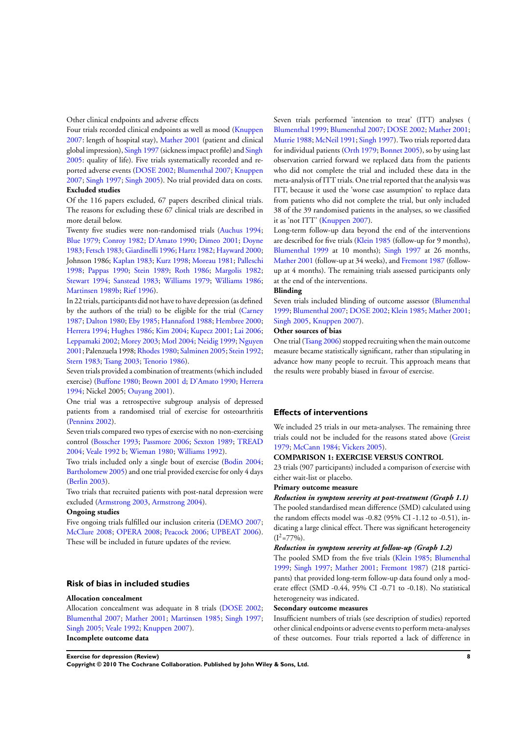Other clinical endpoints and adverse effects

Four trials recorded clinical endpoints as well as mood [\(Knuppen](#page-15-0) [2007](#page-15-0): length of hospital stay), [Mather 2001](#page-15-0) (patient and clinical global impression), [Singh 1997](#page-15-0) (sickness impact profile) and [Singh](#page-15-0) [2005](#page-15-0): quality of life). Five trials systematically recorded and reported adverse events ([DOSE 2002;](#page-15-0) [Blumenthal 2007](#page-15-0); [Knuppen](#page-15-0) [2007](#page-15-0); [Singh 1997;](#page-15-0) [Singh 2005\)](#page-15-0). No trial provided data on costs. **Excluded studies**

Of the 116 papers excluded, 67 papers described clinical trials. The reasons for excluding these 67 clinical trials are described in more detail below.

Twenty five studies were non-randomised trials ([Auchus 1994;](#page-15-0) [Blue 1979;](#page-15-0) [Conroy 1982;](#page-15-0) [D'Amato 1990;](#page-15-0) [Dimeo 2001;](#page-15-0) [Doyne](#page-15-0) [1983](#page-15-0); [Fetsch 1983;](#page-15-0) [Giardinelli 1996](#page-15-0); [Hartz 1982;](#page-15-0) [Hayward 2000;](#page-15-0) Johnson 1986; [Kaplan 1983](#page-15-0); [Kurz 1998;](#page-15-0) [Moreau 1981](#page-15-0); [Palleschi](#page-15-0) [1998](#page-15-0); [Pappas 1990;](#page-15-0) [Stein 1989](#page-15-0); [Roth 1986;](#page-15-0) [Margolis 1982;](#page-15-0) [Stewart 1994;](#page-15-0) [Sanstead 1983](#page-15-0); [Williams 1979](#page-15-0); [Williams 1986;](#page-15-0) [Martinsen 1989b;](#page-15-0) [Rief 1996\)](#page-15-0).

In 22 trials, participants did not have to have depression (as defined by the authors of the trial) to be eligible for the trial [\(Carney](#page-15-0) [1987](#page-15-0); [Dalton 1980;](#page-15-0) [Eby 1985](#page-15-0); [Hannaford 1988;](#page-15-0) [Hembree 2000;](#page-15-0) [Herrera 1994](#page-15-0); [Hughes 1986](#page-15-0); [Kim 2004;](#page-15-0) [Kupecz 2001;](#page-15-0) [Lai 2006;](#page-15-0) [Leppamaki 2002;](#page-15-0) [Morey 2003](#page-15-0); [Motl 2004](#page-15-0); [Neidig 1999](#page-15-0); [Nguyen](#page-15-0) [2001](#page-15-0); Palenzuela 1998; [Rhodes 1980;](#page-15-0) [Salminen 2005](#page-15-0); [Stein 1992;](#page-15-0) [Stern 1983;](#page-15-0) [Tsang 2003;](#page-15-0) [Tenorio 1986\)](#page-15-0).

Seven trials provided a combination of treatments (which included exercise) [\(Buffone 1980](#page-15-0); [Brown 2001 d;](#page-15-0) [D'Amato 1990](#page-15-0); [Herrera](#page-15-0) [1994](#page-15-0); Nickel 2005; [Ouyang 2001\)](#page-15-0).

One trial was a retrospective subgroup analysis of depressed patients from a randomised trial of exercise for osteoarthritis [\(Penninx 2002\)](#page-15-0).

Seven trials compared two types of exercise with no non-exercising control [\(Bosscher 1993](#page-15-0); [Passmore 2006;](#page-15-0) [Sexton 1989](#page-15-0); [TREAD](#page-15-0) [2004](#page-15-0); [Veale 1992 b;](#page-15-0) [Wieman 1980](#page-15-0); [Williams 1992\)](#page-15-0).

Two trials included only a single bout of exercise [\(Bodin 2004;](#page-15-0) [Bartholomew 2005\)](#page-15-0) and one trial provided exercise for only 4 days [\(Berlin 2003](#page-15-0)).

Two trials that recruited patients with post-natal depression were excluded ([Armstrong 2003](#page-15-0), [Armstrong 2004\)](#page-15-0).

### **Ongoing studies**

Five ongoing trials fulfilled our inclusion criteria ([DEMO 2007;](#page-15-0) [McClure 2008](#page-15-0); [OPERA 2008](#page-15-0); [Peacock 2006;](#page-15-0) [UPBEAT 2006](#page-15-0)). These will be included in future updates of the review.

### **Risk of bias in included studies**

### **Allocation concealment**

Allocation concealment was adequate in 8 trials ([DOSE 2002;](#page-15-0) [Blumenthal 2007](#page-15-0); [Mather 2001](#page-15-0); [Martinsen 1985](#page-15-0); [Singh 1997;](#page-15-0) [Singh 2005](#page-15-0); [Veale 1992](#page-15-0); [Knuppen 2007\)](#page-15-0). **Incomplete outcome data**

Seven trials performed 'intention to treat' (ITT) analyses ( [Blumenthal 1999;](#page-15-0) [Blumenthal 2007;](#page-15-0) [DOSE 2002](#page-15-0); [Mather 2001;](#page-15-0) [Mutrie 1988](#page-15-0); [McNeil 1991](#page-15-0); [Singh 1997\)](#page-15-0). Two trials reported data for individual patients ([Orth 1979](#page-15-0); [Bonnet 2005](#page-15-0)), so by using last observation carried forward we replaced data from the patients who did not complete the trial and included these data in the meta-analysis of ITT trials. One trial reported that the analysis was ITT, because it used the 'worse case assumption' to replace data from patients who did not complete the trial, but only included 38 of the 39 randomised patients in the analyses, so we classified it as 'not ITT' [\(Knuppen 2007](#page-15-0)).

Long-term follow-up data beyond the end of the interventions are described for five trials [\(Klein 1985](#page-15-0) (follow-up for 9 months), [Blumenthal 1999](#page-15-0) at 10 months); [Singh 1997](#page-15-0) at 26 months, [Mather 2001](#page-15-0) (follow-up at 34 weeks), and [Fremont 1987](#page-15-0) (followup at 4 months). The remaining trials assessed participants only at the end of the interventions.

### **Blinding**

Seven trials included blinding of outcome assessor [\(Blumenthal](#page-15-0) [1999](#page-15-0); [Blumenthal 2007;](#page-15-0) [DOSE 2002;](#page-15-0) [Klein 1985](#page-15-0); [Mather 2001;](#page-15-0) [Singh 2005](#page-15-0), [Knuppen 2007](#page-15-0)).

### **Other sources of bias**

One trial [\(Tsang 2006\)](#page-15-0) stopped recruiting when the main outcome measure became statistically significant, rather than stipulating in advance how many people to recruit. This approach means that the results were probably biased in favour of exercise.

### **Effects of interventions**

We included 25 trials in our meta-analyses. The remaining three trials could not be included for the reasons stated above [\(Greist](#page-15-0) [1979](#page-15-0); [McCann 1984;](#page-15-0) [Vickers 2005](#page-15-0)).

#### **COMPARISON 1: EXERCISE VERSUS CONTROL**

23 trials (907 participants) included a comparison of exercise with either wait-list or placebo.

### **Primary outcome measure**

*Reduction in symptom severity at post-treatment (Graph 1.1)* The pooled standardised mean difference (SMD) calculated using the random effects model was -0.82 (95% CI -1.12 to -0.51), indicating a large clinical effect. There was significant heterogeneity  $(I^2 = 77\%)$ .

### *Reduction in symptom severity at follow-up (Graph 1.2)*

The pooled SMD from the five trials [\(Klein 1985](#page-15-0); [Blumenthal](#page-15-0) [1999](#page-15-0); [Singh 1997](#page-15-0); [Mather 2001](#page-15-0); [Fremont 1987](#page-15-0)) (218 participants) that provided long-term follow-up data found only a moderate effect (SMD -0.44, 95% CI -0.71 to -0.18). No statistical heterogeneity was indicated.

### **Secondary outcome measures**

Insufficient numbers of trials (see description of studies) reported other clinical endpoints or adverse events to perform meta-analyses of these outcomes. Four trials reported a lack of difference in

**Exercise for depression (Review) 8**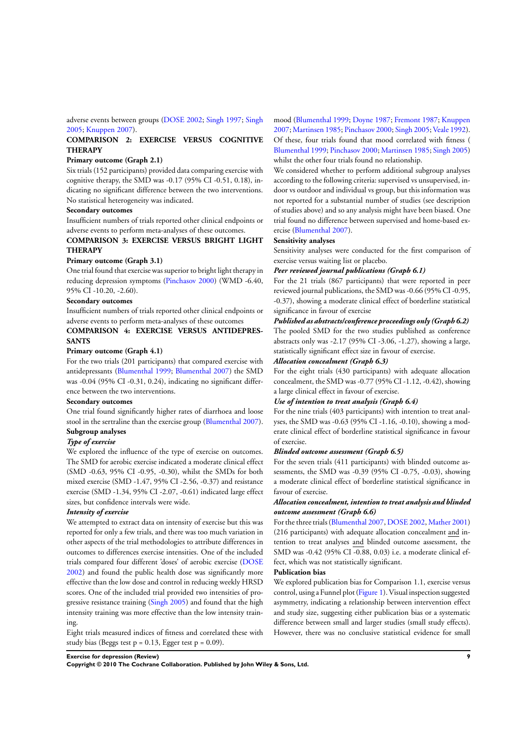adverse events between groups [\(DOSE 2002](#page-15-0); [Singh 1997](#page-15-0); [Singh](#page-15-0) [2005](#page-15-0); [Knuppen 2007\)](#page-15-0).

### **COMPARISON 2: EXERCISE VERSUS COGNITIVE THERAPY**

### **Primary outcome (Graph 2.1)**

Six trials (152 participants) provided data comparing exercise with cognitive therapy, the SMD was -0.17 (95% CI -0.51, 0.18), indicating no significant difference between the two interventions. No statistical heterogeneity was indicated.

#### **Secondary outcomes**

Insufficient numbers of trials reported other clinical endpoints or adverse events to perform meta-analyses of these outcomes.

### **COMPARISON 3: EXERCISE VERSUS BRIGHT LIGHT THERAPY**

### **Primary outcome (Graph 3.1)**

One trial found that exercise was superior to bright light therapy in reducing depression symptoms ([Pinchasov 2000](#page-15-0)) (WMD -6.40, 95% CI -10.20, -2.60).

### **Secondary outcomes**

Insufficient numbers of trials reported other clinical endpoints or adverse events to perform meta-analyses of these outcomes

**COMPARISON 4: EXERCISE VERSUS ANTIDEPRES-SANTS**

#### **Primary outcome (Graph 4.1)**

For the two trials (201 participants) that compared exercise with antidepressants [\(Blumenthal 1999;](#page-15-0) [Blumenthal 2007](#page-15-0)) the SMD was -0.04 (95% CI -0.31, 0.24), indicating no significant difference between the two interventions.

### **Secondary outcomes**

One trial found significantly higher rates of diarrhoea and loose stool in the sertraline than the exercise group [\(Blumenthal 2007](#page-15-0)). **Subgroup analyses**

#### *Type of exercise*

We explored the influence of the type of exercise on outcomes. The SMD for aerobic exercise indicated a moderate clinical effect (SMD -0.63, 95% CI -0.95, -0.30), whilst the SMDs for both mixed exercise (SMD -1.47, 95% CI -2.56, -0.37) and resistance exercise (SMD -1.34, 95% CI -2.07, -0.61) indicated large effect sizes, but confidence intervals were wide.

#### *Intensity of exercise*

We attempted to extract data on intensity of exercise but this was reported for only a few trials, and there was too much variation in other aspects of the trial methodologies to attribute differences in outcomes to differences exercise intensities. One of the included trials compared four different 'doses' of aerobic exercise [\(DOSE](#page-15-0) [2002](#page-15-0)) and found the public health dose was significantly more effective than the low dose and control in reducing weekly HRSD scores. One of the included trial provided two intensities of progressive resistance training [\(Singh 2005\)](#page-15-0) and found that the high intensity training was more effective than the low intensity training.

Eight trials measured indices of fitness and correlated these with study bias (Beggs test  $p = 0.13$ , Egger test  $p = 0.09$ ).

mood ([Blumenthal 1999](#page-15-0); [Doyne 1987](#page-15-0); [Fremont 1987](#page-15-0); [Knuppen](#page-15-0) [2007](#page-15-0); [Martinsen 1985](#page-15-0); [Pinchasov 2000](#page-15-0); Singh 2005; Veale 1992). Of these, four trials found that mood correlated with fitness ( [Blumenthal 1999;](#page-15-0) [Pinchasov 2000](#page-15-0); [Martinsen 1985;](#page-15-0) [Singh 2005](#page-15-0)) whilst the other four trials found no relationship.

We considered whether to perform additional subgroup analyses according to the following criteria: supervised vs unsupervised, indoor vs outdoor and individual vs group, but this information was not reported for a substantial number of studies (see description of studies above) and so any analysis might have been biased. One trial found no difference between supervised and home-based exercise [\(Blumenthal 2007](#page-15-0)).

#### **Sensitivity analyses**

Sensitivity analyses were conducted for the first comparison of exercise versus waiting list or placebo.

#### *Peer reviewed journal publications (Graph 6.1)*

For the 21 trials (867 participants) that were reported in peer reviewed journal publications, the SMD was -0.66 (95% CI -0.95, -0.37), showing a moderate clinical effect of borderline statistical significance in favour of exercise

# *Published as abstracts/conference proceedings only (Graph 6.2)*

The pooled SMD for the two studies published as conference abstracts only was -2.17 (95% CI -3.06, -1.27), showing a large, statistically significant effect size in favour of exercise.

### *Allocation concealment (Graph 6.3)*

For the eight trials (430 participants) with adequate allocation concealment, the SMD was -0.77 (95% CI -1.12, -0.42), showing a large clinical effect in favour of exercise.

### *Use of intention to treat analysis (Graph 6.4)*

For the nine trials (403 participants) with intention to treat analyses, the SMD was -0.63 (95% CI -1.16, -0.10), showing a moderate clinical effect of borderline statistical significance in favour of exercise.

#### *Blinded outcome assessment (Graph 6.5)*

For the seven trials (411 participants) with blinded outcome assessments, the SMD was -0.39 (95% CI -0.75, -0.03), showing a moderate clinical effect of borderline statistical significance in favour of exercise.

### *Allocation concealment, intention to treat analysis and blinded outcome assessment (Graph 6.6)*

For the three trials ([Blumenthal 2007](#page-15-0), [DOSE 2002](#page-15-0), [Mather 2001](#page-15-0)) (216 participants) with adequate allocation concealment and intention to treat analyses and blinded outcome assessment, the SMD was -0.42 (95% CI -0.88, 0.03) i.e. a moderate clinical effect, which was not statistically significant.

### **Publication bias**

We explored publication bias for Comparison 1.1, exercise versus control, using a Funnel plot [\(Figure 1\)](#page-12-0). Visual inspection suggested asymmetry, indicating a relationship between intervention effect and study size, suggesting either publication bias or a systematic difference between small and larger studies (small study effects). However, there was no conclusive statistical evidence for small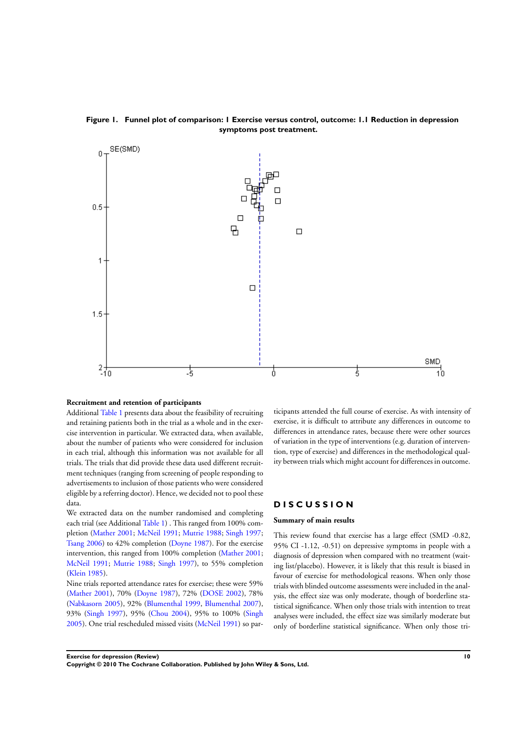

### <span id="page-12-0"></span>**Figure 1. Funnel plot of comparison: 1 Exercise versus control, outcome: 1.1 Reduction in depression symptoms post treatment.**

#### **Recruitment and retention of participants**

Additional [Table 1](#page-59-0) presents data about the feasibility of recruiting and retaining patients both in the trial as a whole and in the exercise intervention in particular. We extracted data, when available, about the number of patients who were considered for inclusion in each trial, although this information was not available for all trials. The trials that did provide these data used different recruitment techniques (ranging from screening of people responding to advertisements to inclusion of those patients who were considered eligible by a referring doctor). Hence, we decided not to pool these data.

We extracted data on the number randomised and completing each trial (see Additional [Table 1\)](#page-59-0) . This ranged from 100% completion [\(Mather 2001](#page-15-0); [McNeil 1991](#page-15-0); [Mutrie 1988;](#page-15-0) [Singh 1997;](#page-15-0) [Tsang 2006](#page-15-0)) to 42% completion ([Doyne 1987\)](#page-15-0). For the exercise intervention, this ranged from 100% completion ([Mather 2001;](#page-15-0) [McNeil 1991](#page-15-0); [Mutrie 1988](#page-15-0); [Singh 1997](#page-15-0)), to 55% completion [\(Klein 1985](#page-15-0)).

Nine trials reported attendance rates for exercise; these were 59% [\(Mather 2001\)](#page-15-0), 70% [\(Doyne 1987\)](#page-15-0), 72% ([DOSE 2002](#page-15-0)), 78% [\(Nabkasorn 2005\)](#page-15-0), 92% ([Blumenthal 1999](#page-15-0), [Blumenthal 2007](#page-15-0)), 93% [\(Singh 1997\)](#page-15-0), 95% ([Chou 2004](#page-15-0)), 95% to 100% [\(Singh](#page-15-0) [2005](#page-15-0)). One trial rescheduled missed visits ([McNeil 1991\)](#page-15-0) so participants attended the full course of exercise. As with intensity of exercise, it is difficult to attribute any differences in outcome to differences in attendance rates, because there were other sources of variation in the type of interventions (e.g. duration of intervention, type of exercise) and differences in the methodological quality between trials which might account for differences in outcome.

### **D I S C U S S I O N**

### **Summary of main results**

This review found that exercise has a large effect (SMD -0.82, 95% CI -1.12, -0.51) on depressive symptoms in people with a diagnosis of depression when compared with no treatment (waiting list/placebo). However, it is likely that this result is biased in favour of exercise for methodological reasons. When only those trials with blinded outcome assessments were included in the analysis, the effect size was only moderate, though of borderline statistical significance. When only those trials with intention to treat analyses were included, the effect size was similarly moderate but only of borderline statistical significance. When only those tri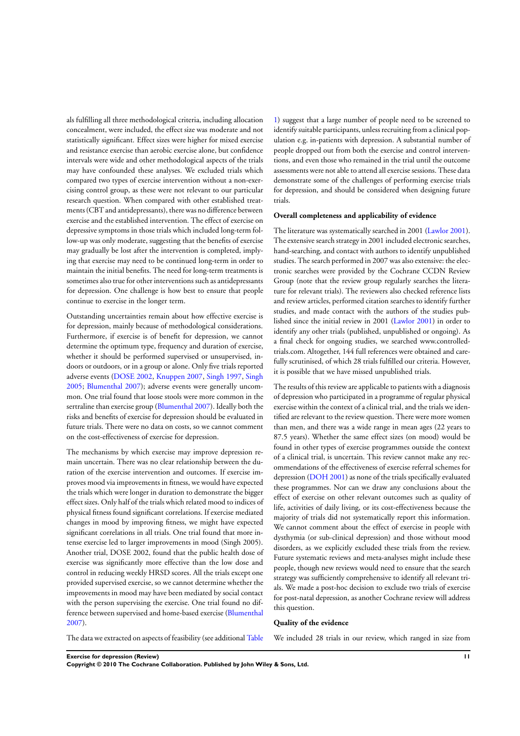als fulfilling all three methodological criteria, including allocation concealment, were included, the effect size was moderate and not statistically significant. Effect sizes were higher for mixed exercise and resistance exercise than aerobic exercise alone, but confidence intervals were wide and other methodological aspects of the trials may have confounded these analyses. We excluded trials which compared two types of exercise intervention without a non-exercising control group, as these were not relevant to our particular research question. When compared with other established treatments (CBT and antidepressants), there was no difference between exercise and the established intervention. The effect of exercise on depressive symptoms in those trials which included long-term follow-up was only moderate, suggesting that the benefits of exercise may gradually be lost after the intervention is completed, implying that exercise may need to be continued long-term in order to maintain the initial benefits. The need for long-term treatments is sometimes also true for other interventions such as antidepressants for depression. One challenge is how best to ensure that people continue to exercise in the longer term.

Outstanding uncertainties remain about how effective exercise is for depression, mainly because of methodological considerations. Furthermore, if exercise is of benefit for depression, we cannot determine the optimum type, frequency and duration of exercise, whether it should be performed supervised or unsupervised, indoors or outdoors, or in a group or alone. Only five trials reported adverse events [\(DOSE 2002](#page-15-0), [Knuppen 2007,](#page-15-0) [Singh 1997,](#page-15-0) [Singh](#page-15-0) [2005](#page-15-0); [Blumenthal 2007](#page-15-0)); adverse events were generally uncommon. One trial found that loose stools were more common in the sertraline than exercise group [\(Blumenthal 2007\)](#page-15-0). Ideally both the risks and benefits of exercise for depression should be evaluated in future trials. There were no data on costs, so we cannot comment on the cost-effectiveness of exercise for depression.

The mechanisms by which exercise may improve depression remain uncertain. There was no clear relationship between the duration of the exercise intervention and outcomes. If exercise improves mood via improvements in fitness, we would have expected the trials which were longer in duration to demonstrate the bigger effect sizes. Only half of the trials which related mood to indices of physical fitness found significant correlations. If exercise mediated changes in mood by improving fitness, we might have expected significant correlations in all trials. One trial found that more intense exercise led to larger improvements in mood (Singh 2005). Another trial, DOSE 2002, found that the public health dose of exercise was significantly more effective than the low dose and control in reducing weekly HRSD scores. All the trials except one provided supervised exercise, so we cannot determine whether the improvements in mood may have been mediated by social contact with the person supervising the exercise. One trial found no difference between supervised and home-based exercise [\(Blumenthal](#page-15-0) [2007](#page-15-0)).

[1\)](#page-59-0) suggest that a large number of people need to be screened to identify suitable participants, unless recruiting from a clinical population e.g. in-patients with depression. A substantial number of people dropped out from both the exercise and control interventions, and even those who remained in the trial until the outcome assessments were not able to attend all exercise sessions. These data demonstrate some of the challenges of performing exercise trials for depression, and should be considered when designing future trials.

### **Overall completeness and applicability of evidence**

The literature was systematically searched in 2001 ([Lawlor 2001](#page-15-0)). The extensive search strategy in 2001 included electronic searches, hand-searching, and contact with authors to identify unpublished studies. The search performed in 2007 was also extensive: the electronic searches were provided by the Cochrane CCDN Review Group (note that the review group regularly searches the literature for relevant trials). The reviewers also checked reference lists and review articles, performed citation searches to identify further studies, and made contact with the authors of the studies published since the initial review in 2001 [\(Lawlor 2001\)](#page-15-0) in order to identify any other trials (published, unpublished or ongoing). As a final check for ongoing studies, we searched www.controlledtrials.com. Altogether, 144 full references were obtained and carefully scrutinised, of which 28 trials fulfilled our criteria. However, it is possible that we have missed unpublished trials.

The results of this review are applicable to patients with a diagnosis of depression who participated in a programme of regular physical exercise within the context of a clinical trial, and the trials weidentified are relevant to the review question. There were more women than men, and there was a wide range in mean ages (22 years to 87.5 years). Whether the same effect sizes (on mood) would be found in other types of exercise programmes outside the context of a clinical trial, is uncertain. This review cannot make any recommendations of the effectiveness of exercise referral schemes for depression [\(DOH 2001](#page-15-0)) as none of the trials specifically evaluated these programmes. Nor can we draw any conclusions about the effect of exercise on other relevant outcomes such as quality of life, activities of daily living, or its cost-effectiveness because the majority of trials did not systematically report this information. We cannot comment about the effect of exercise in people with dysthymia (or sub-clinical depression) and those without mood disorders, as we explicitly excluded these trials from the review. Future systematic reviews and meta-analyses might include these people, though new reviews would need to ensure that the search strategy was sufficiently comprehensive to identify all relevant trials. We made a post-hoc decision to exclude two trials of exercise for post-natal depression, as another Cochrane review will address this question.

#### **Quality of the evidence**

The data we extracted on aspects of feasibility (see additional [Table](#page-59-0)

We included 28 trials in our review, which ranged in size from

**Exercise for depression (Review) 11**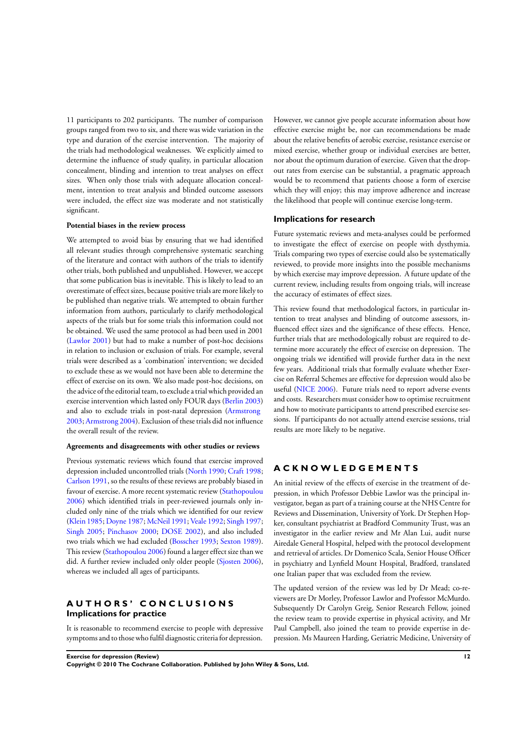11 participants to 202 participants. The number of comparison groups ranged from two to six, and there was wide variation in the type and duration of the exercise intervention. The majority of the trials had methodological weaknesses. We explicitly aimed to determine the influence of study quality, in particular allocation concealment, blinding and intention to treat analyses on effect sizes. When only those trials with adequate allocation concealment, intention to treat analysis and blinded outcome assessors were included, the effect size was moderate and not statistically significant.

### **Potential biases in the review process**

We attempted to avoid bias by ensuring that we had identified all relevant studies through comprehensive systematic searching of the literature and contact with authors of the trials to identify other trials, both published and unpublished. However, we accept that some publication bias is inevitable. This is likely to lead to an overestimate of effect sizes, because positive trials are more likely to be published than negative trials. We attempted to obtain further information from authors, particularly to clarify methodological aspects of the trials but for some trials this information could not be obtained. We used the same protocol as had been used in 2001 [\(Lawlor 2001\)](#page-15-0) but had to make a number of post-hoc decisions in relation to inclusion or exclusion of trials. For example, several trials were described as a 'combination' intervention; we decided to exclude these as we would not have been able to determine the effect of exercise on its own. We also made post-hoc decisions, on the advice of the editorial team, to exclude a trial which provided an exercise intervention which lasted only FOUR days [\(Berlin 2003](#page-15-0)) and also to exclude trials in post-natal depression [\(Armstrong](#page-15-0) [2003](#page-15-0); [Armstrong 2004](#page-15-0)). Exclusion of these trials did not influence the overall result of the review.

#### **Agreements and disagreements with other studies or reviews**

Previous systematic reviews which found that exercise improved depression included uncontrolled trials [\(North 1990;](#page-15-0) [Craft 1998;](#page-15-0) [Carlson 1991](#page-15-0), so the results of these reviews are probably biased in favour of exercise. A more recent systematic review [\(Stathopoulou](#page-15-0) [2006](#page-15-0)) which identified trials in peer-reviewed journals only included only nine of the trials which we identified for our review [\(Klein 1985](#page-15-0); [Doyne 1987](#page-15-0); [McNeil 1991](#page-15-0); [Veale 1992;](#page-15-0) [Singh 1997;](#page-15-0) [Singh 2005](#page-15-0); [Pinchasov 2000](#page-15-0); [DOSE 2002\)](#page-15-0), and also included two trials which we had excluded ([Bosscher 1993;](#page-15-0) [Sexton 1989](#page-15-0)). This review [\(Stathopoulou 2006](#page-15-0)) found a larger effect size than we did. A further review included only older people ([Sjosten 2006](#page-15-0)), whereas we included all ages of participants.

### **A U T H O R S ' C O N C L U S I O N S Implications for practice**

It is reasonable to recommend exercise to people with depressive symptoms and to those who fulfil diagnostic criteria for depression.

However, we cannot give people accurate information about how effective exercise might be, nor can recommendations be made about the relative benefits of aerobic exercise, resistance exercise or mixed exercise, whether group or individual exercises are better, nor about the optimum duration of exercise. Given that the dropout rates from exercise can be substantial, a pragmatic approach would be to recommend that patients choose a form of exercise which they will enjoy; this may improve adherence and increase the likelihood that people will continue exercise long-term.

### **Implications for research**

Future systematic reviews and meta-analyses could be performed to investigate the effect of exercise on people with dysthymia. Trials comparing two types of exercise could also be systematically reviewed, to provide more insights into the possible mechanisms by which exercise may improve depression. A future update of the current review, including results from ongoing trials, will increase the accuracy of estimates of effect sizes.

This review found that methodological factors, in particular intention to treat analyses and blinding of outcome assessors, influenced effect sizes and the significance of these effects. Hence, further trials that are methodologically robust are required to determine more accurately the effect of exercise on depression. The ongoing trials we identified will provide further data in the next few years. Additional trials that formally evaluate whether Exercise on Referral Schemes are effective for depression would also be useful [\(NICE 2006](#page-15-0)). Future trials need to report adverse events and costs. Researchers must consider how to optimise recruitment and how to motivate participants to attend prescribed exercise sessions. If participants do not actually attend exercise sessions, trial results are more likely to be negative.

### **A C K N O W L E D G E M E N T S**

An initial review of the effects of exercise in the treatment of depression, in which Professor Debbie Lawlor was the principal investigator, began as part of a training course at the NHS Centre for Reviews and Dissemination, University of York. Dr Stephen Hopker, consultant psychiatrist at Bradford Community Trust, was an investigator in the earlier review and Mr Alan Lui, audit nurse Airedale General Hospital, helped with the protocol development and retrieval of articles. Dr Domenico Scala, Senior House Officer in psychiatry and Lynfield Mount Hospital, Bradford, translated one Italian paper that was excluded from the review.

The updated version of the review was led by Dr Mead; co-reviewers are Dr Morley, Professor Lawlor and Professor McMurdo. Subsequently Dr Carolyn Greig, Senior Research Fellow, joined the review team to provide expertise in physical activity, and Mr Paul Campbell, also joined the team to provide expertise in depression. Ms Maureen Harding, Geriatric Medicine, University of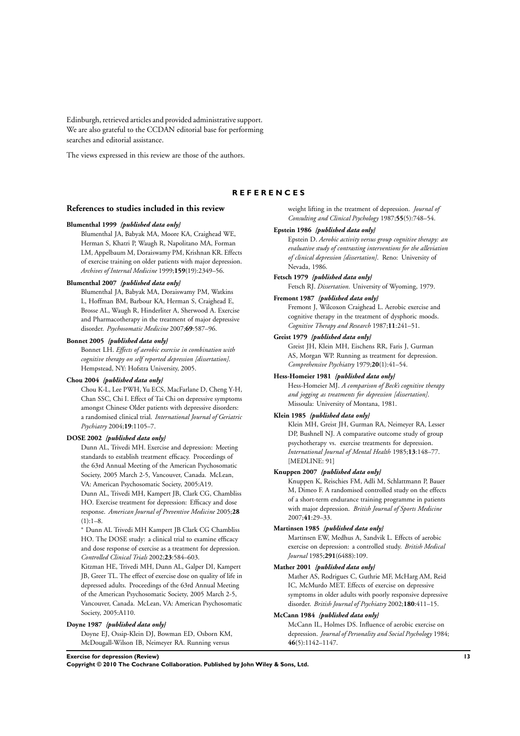<span id="page-15-0"></span>Edinburgh, retrieved articles and provided administrative support. We are also grateful to the CCDAN editorial base for performing searches and editorial assistance.

The views expressed in this review are those of the authors.

### **R E F E R E N C E S**

#### **References to studies included in this review**

#### **Blumenthal 1999** *{published data only}*

Blumenthal JA, Babyak MA, Moore KA, Craighead WE, Herman S, Khatri P, Waugh R, Napolitano MA, Forman LM, Appelbaum M, Doraiswamy PM, Krishnan KR. Effects of exercise training on older patients with major depression. *Archives of Internal Medicine* 1999;**159**(19):2349–56.

#### **Blumenthal 2007** *{published data only}*

Blumenthal JA, Babyak MA, Doraiswamy PM, Watkins L, Hoffman BM, Barbour KA, Herman S, Craighead E, Brosse AL, Waugh R, Hinderliter A, Sherwood A. Exercise and Pharmacotherapy in the treatment of major depressive disorder. *Psychosomatic Medicine* 2007;**69**:587–96.

#### **Bonnet 2005** *{published data only}*

Bonnet LH. *Effects of aerobic exercise in combination with cognitive therapy on self reported depression [dissertation]*. Hempstead, NY: Hofstra University, 2005.

#### **Chou 2004** *{published data only}*

Chou K-L, Lee PWH, Yu ECS, MacFarlane D, Cheng Y-H, Chan SSC, Chi I. Effect of Tai Chi on depressive symptoms amongst Chinese Older patients with depressive disorders: a randomised clinical trial. *International Journal of Geriatric Psychiatry* 2004;**19**:1105–7.

#### **DOSE 2002** *{published data only}*

Dunn AL, Trivedi MH. Exercise and depression: Meeting standards to establish treatment efficacy. Proceedings of the 63rd Annual Meeting of the American Psychosomatic Society, 2005 March 2-5, Vancouver, Canada. McLean, VA: American Psychosomatic Society, 2005:A19.

Dunn AL, Trivedi MH, Kampert JB, Clark CG, Chambliss HO. Exercise treatment for depression: Efficacy and dose response. *American Journal of Preventive Medicine* 2005;**28**  $(1):1–8.$ 

<sup>∗</sup> Dunn AL Trivedi MH Kampert JB Clark CG Chambliss HO. The DOSE study: a clinical trial to examine efficacy and dose response of exercise as a treatment for depression. *Controlled Clinical Trials* 2002;**23**:584–603.

Kitzman HE, Trivedi MH, Dunn AL, Galper DI, Kampert JB, Greer TL. The effect of exercise dose on quality of life in depressed adults. Proceedings of the 63rd Annual Meeting of the American Psychosomatic Society, 2005 March 2-5, Vancouver, Canada. McLean, VA: American Psychosomatic Society, 2005:A110.

### **Doyne 1987** *{published data only}*

Doyne EJ, Ossip-Klein DJ, Bowman ED, Osborn KM, McDougall-Wilson IB, Neimeyer RA. Running versus

weight lifting in the treatment of depression. *Journal of Consulting and Clinical Psychology* 1987;**55**(5):748–54.

#### **Epstein 1986** *{published data only}*

Epstein D. *Aerobic activity versus group cognitive therapy: an evaluative study of contrasting interventions for the alleviation of clinical depression [dissertation]*. Reno: University of Nevada, 1986.

#### **Fetsch 1979** *{published data only}*

Fetsch RJ. *Dissertation*. University of Wyoming, 1979.

#### **Fremont 1987** *{published data only}*

Fremont J, Wilcoxon Craighead L. Aerobic exercise and cognitive therapy in the treatment of dysphoric moods. *Cognitive Therapy and Research* 1987;**11**:241–51.

### **Greist 1979** *{published data only}*

Greist JH, Klein MH, Eischens RR, Faris J, Gurman AS, Morgan WP. Running as treatment for depression. *Comprehensive Psychiatry* 1979;**20**(1):41–54.

### **Hess-Homeier 1981** *{published data only}*

Hess-Homeier MJ. *A comparison of Beck's cognitive therapy and jogging as treatments for depression [dissertation]*. Missoula: University of Montana, 1981.

### **Klein 1985** *{published data only}*

Klein MH, Greist JH, Gurman RA, Neimeyer RA, Lesser DP, Bushnell NJ. A comparative outcome study of group psychotherapy vs. exercise treatments for depression. *International Journal of Mental Health* 1985;**13**:148–77. [MEDLINE: 91]

### **Knuppen 2007** *{published data only}*

Knuppen K, Reischies FM, Adli M, Schlattmann P, Bauer M, Dimeo F. A randomised controlled study on the effects of a short-term endurance training programme in patients with major depression. *British Journal of Sports Medicine* 2007;**41**:29–33.

#### **Martinsen 1985** *{published data only}*

Martinsen EW, Medhus A, Sandvik L. Effects of aerobic exercise on depression: a controlled study. *British Medical Journal* 1985;**291**(6488):109.

### **Mather 2001** *{published data only}*

Mather AS, Rodrigues C, Guthrie MF, McHarg AM, Reid IC, McMurdo MET. Effects of exercise on depressive symptoms in older adults with poorly responsive depressive disorder. *British Journal of Psychiatry* 2002;**180**:411–15.

### **McCann 1984** *{published data only}*

McCann IL, Holmes DS. Influence of aerobic exercise on depression. *Journal of Personality and Social Psychology* 1984; **46**(5):1142–1147.

### **Exercise for depression (Review) 13**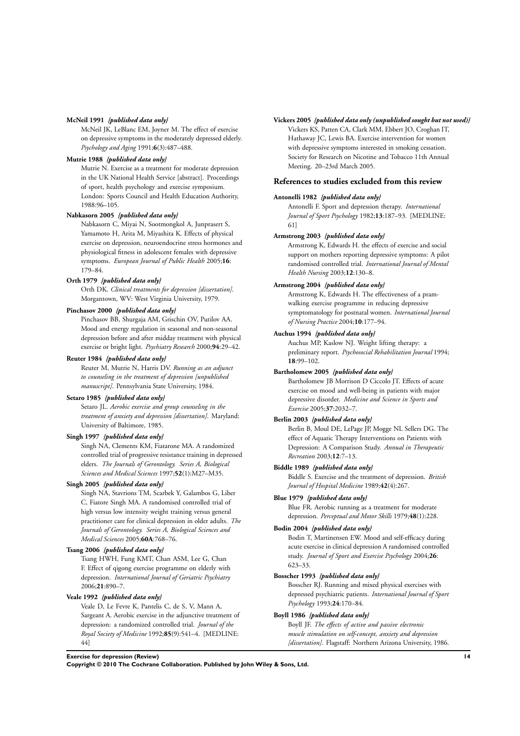#### **McNeil 1991** *{published data only}*

McNeil JK, LeBlanc EM, Joyner M. The effect of exercise on depressive symptoms in the moderately depressed elderly. *Psychology and Aging* 1991;**6**(3):487–488.

#### **Mutrie 1988** *{published data only}*

Mutrie N. Exercise as a treatment for moderate depression in the UK National Health Service [abstract]. Proceedings of sport, health psychology and exercise symposium. London: Sports Council and Health Education Authority, 1988:96–105.

#### **Nabkasorn 2005** *{published data only}*

Nabkasorn C, Miyai N, Sootmongkol A, Junprasert S, Yamamoto H, Arita M, Miyashita K. Effects of physical exercise on depression, neuroendocrine stress hormones and physiological fitness in adolescent females with depressive symptoms. *European Journal of Public Health* 2005;**16**: 179–84.

### **Orth 1979** *{published data only}*

Orth DK. *Clinical treatments for depression [dissertation]*. Morgantown, WV: West Virginia University, 1979.

### **Pinchasov 2000** *{published data only}*

Pinchasov BB, Shurgaja AM, Grischin OV, Putilov AA. Mood and energy regulation in seasonal and non-seasonal depression before and after midday treatment with physical exercise or bright light. *Psychiatry Research* 2000;**94**:29–42.

### **Reuter 1984** *{published data only}*

Reuter M, Mutrie N, Harris DV. *Running as an adjunct to counseling in the treatment of depression [unpublished manuscript]*. Pennsylvania State University, 1984.

### **Setaro 1985** *{published data only}*

Setaro JL. *Aerobic exercise and group counseling in the treatment of anxiety and depression [dissertation]*. Maryland: University of Baltimore, 1985.

### **Singh 1997** *{published data only}*

Singh NA, Clements KM, Fiatarone MA. A randomized controlled trial of progressive resistance training in depressed elders. *The Journals of Gerontology. Series A, Biological Sciences and Medical Sciences* 1997;**52**(1):M27–M35.

### **Singh 2005** *{published data only}*

Singh NA, Stavrions TM, Scarbek Y, Galambos G, Liber C, Fiatore Singh MA. A randomised controlled trial of high versus low intensity weight training versus general practitioner care for clinical depression in older adults. *The Journals of Gerontology. Series A, Biological Sciences and Medical Sciences* 2005;**60A**:768–76.

#### **Tsang 2006** *{published data only}*

Tsang HWH, Fung KMT, Chan ASM, Lee G, Chan F. Effect of qigong exercise programme on elderly with depression. *International Journal of Geriatric Psychiatry* 2006;**21**:890–7.

### **Veale 1992** *{published data only}*

Veale D, Le Fevre K, Pantelis C, de S, V, Mann A, Sargeant A. Aerobic exercise in the adjunctive treatment of depression: a randomized controlled trial. *Journal of the Royal Society of Medicine* 1992;**85**(9):541–4. [MEDLINE: 44]

### **Vickers 2005** *{published data only (unpublished sought but not used)}*

Vickers KS, Patten CA, Clark MM, Ebbert JO, Croghan IT, Hathaway JC, Lewis BA. Exercise intervention for women with depressive symptoms interested in smoking cessation. Society for Research on Nicotine and Tobacco 11th Annual Meeting. 20–23rd March 2005.

### **References to studies excluded from this review**

### **Antonelli 1982** *{published data only}*

Antonelli F. Sport and depression therapy. *International Journal of Sport Psychology* 1982;**13**:187–93. [MEDLINE: 61]

#### **Armstrong 2003** *{published data only}*

Armstrong K, Edwards H. the effects of exercise and social support on mothers reporting depressive symptoms: A pilot randomised controlled trial. *International Journal of Mental Health Nursing* 2003;**12**:130–8.

### **Armstrong 2004** *{published data only}*

Armstrong K, Edwards H. The effectiveness of a pramwalking exercise programme in reducing depressive symptomatology for postnatal women. *International Journal of Nursing Practice* 2004;**10**:177–94.

### **Auchus 1994** *{published data only}*

Auchus MP, Kaslow NJ. Weight lifting therapy: a preliminary report. *Psychosocial Rehabilitation Journal* 1994; **18**:99–102.

#### **Bartholomew 2005** *{published data only}*

Bartholomew JB Morrison D Ciccolo JT. Effects of acute exercise on mood and well-being in patients with major depressive disorder. *Medicine and Science in Sports and Exercise* 2005;**37**:2032–7.

#### **Berlin 2003** *{published data only}*

Berlin B, Moul DE, LePage JP, Mogge NL Sellers DG. The effect of Aquatic Therapy Interventions on Patients with Depression: A Comparison Study. *Annual in Therapeutic Recreation* 2003;**12**:7–13.

#### **Biddle 1989** *{published data only}*

Biddle S. Exercise and the treatment of depression. *British Journal of Hospital Medicine* 1989;**42**(4):267.

#### **Blue 1979** *{published data only}*

Blue FR. Aerobic running as a treatment for moderate depression. *Perceptual and Motor Skills* 1979;**48**(1):228.

### **Bodin 2004** *{published data only}*

Bodin T, Martinensen EW. Mood and self-efficacy during acute exercise in clinical depression A randomised controlled study. *Journal of Sport and Exercise Psychology* 2004;**26**: 623–33.

#### **Bosscher 1993** *{published data only}*

Bosscher RJ. Running and mixed physical exercises with depressed psychiatric patients. *International Journal of Sport Psychology* 1993;**24**:170–84.

#### **Boyll 1986** *{published data only}*

Boyll JF. *The effects of active and passive electronic muscle stimulation on self-concept, anxiety and depression [dissertation]*. Flagstaff: Northern Arizona University, 1986.

### **Exercise for depression (Review) 14**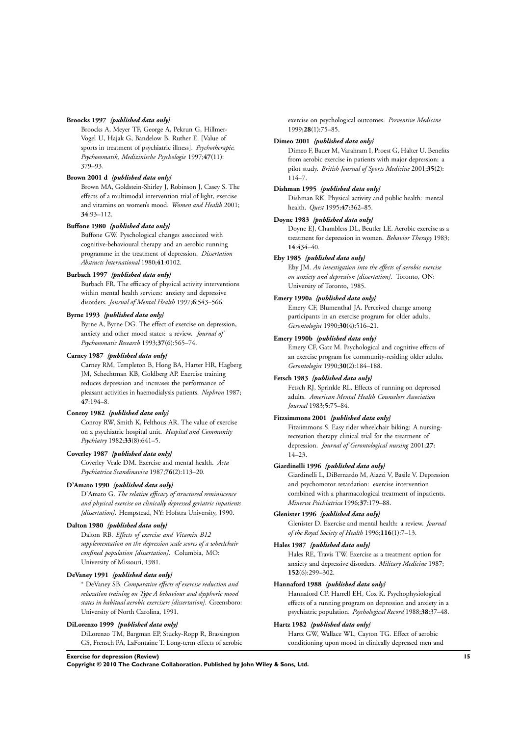#### **Broocks 1997** *{published data only}*

Broocks A, Meyer TF, George A, Pekrun G, Hillmer-Vogel U, Hajak G, Bandelow B, Ruther E. [Value of sports in treatment of psychiatric illness]. *Psychotherapie, Psychosomatik, Medizinische Psychologie* 1997;**47**(11): 379–93.

### **Brown 2001 d** *{published data only}*

Brown MA, Goldstein-Shirley J, Robinson J, Casey S. The effects of a multimodal intervention trial of light, exercise and vitamins on women's mood. *Women and Health* 2001; **34**:93–112.

#### **Buffone 1980** *{published data only}*

Buffone GW. Pyschological changes associated with cognitive-behavioural therapy and an aerobic running programme in the treatment of depression. *Dissertation Abstracts International* 1980;**41**:0102.

### **Burbach 1997** *{published data only}*

Burbach FR. The efficacy of physical activity interventions within mental health services: anxiety and depressive disorders. *Journal of Mental Health* 1997;**6**:543–566.

### **Byrne 1993** *{published data only}*

Byrne A, Byrne DG. The effect of exercise on depression, anxiety and other mood states: a review. *Journal of Psychosomatic Research* 1993;**37**(6):565–74.

#### **Carney 1987** *{published data only}*

Carney RM, Templeton B, Hong BA, Harter HR, Hagberg JM, Schechtman KB, Goldberg AP. Exercise training reduces depression and increases the performance of pleasant activities in haemodialysis patients. *Nephron* 1987; **47**:194–8.

### **Conroy 1982** *{published data only}*

Conroy RW, Smith K, Felthous AR. The value of exercise on a psychiatric hospital unit. *Hospital and Community Psychiatry* 1982;**33**(8):641–5.

### **Coverley 1987** *{published data only}*

Coverley Veale DM. Exercise and mental health. *Acta Psychiatrica Scandinavica* 1987;**76**(2):113–20.

#### **D'Amato 1990** *{published data only}*

D'Amato G. *The relative efficacy of structured reminiscence and physical exercise on clinically depressed geriatric inpatients [dissertation]*. Hempstead, NY: Hofstra University, 1990.

### **Dalton 1980** *{published data only}*

Dalton RB. *Effects of exercise and Vitamin B12 supplementation on the depression scale scores of a wheelchair confined population [dissertation]*. Columbia, MO: University of Missouri, 1981.

### **DeVaney 1991** *{published data only}*

<sup>∗</sup> DeVaney SB. *Comparative effects of exercise reduction and relaxation training on Type A behaviour and dysphoric mood states in habitual aerobic exercisers [dissertation]*. Greensboro: University of North Carolina, 1991.

#### **DiLorenzo 1999** *{published data only}*

DiLorenzo TM, Bargman EP, Stucky-Ropp R, Brassington GS, Frensch PA, LaFontaine T. Long-term effects of aerobic exercise on psychological outcomes. *Preventive Medicine* 1999;**28**(1):75–85.

#### **Dimeo 2001** *{published data only}*

Dimeo F, Bauer M, Varahram I, Proest G, Halter U. Benefits from aerobic exercise in patients with major depression: a pilot study. *British Journal of Sports Medicine* 2001;**35**(2): 114–7.

### **Dishman 1995** *{published data only}*

Dishman RK. Physical activity and public health: mental health. *Quest* 1995;**47**:362–85.

#### **Doyne 1983** *{published data only}*

Doyne EJ, Chambless DL, Beutler LE. Aerobic exercise as a treatment for depression in women. *Behavior Therapy* 1983; **14**:434–40.

### **Eby 1985** *{published data only}*

Eby JM. *An investigation into the effects of aerobic exercise on anxiety and depression [dissertation]*. Toronto, ON: University of Toronto, 1985.

#### **Emery 1990a** *{published data only}*

Emery CF, Blumenthal JA. Perceived change among participants in an exercise program for older adults. *Gerontologist* 1990;**30**(4):516–21.

### **Emery 1990b** *{published data only}*

Emery CF, Gatz M. Psychological and cognitive effects of an exercise program for community-residing older adults. *Gerontologist* 1990;**30**(2):184–188.

### **Fetsch 1983** *{published data only}*

Fetsch RJ, Sprinkle RL. Effects of running on depressed adults. *American Mental Health Counselors Association Journal* 1983;**5**:75–84.

### **Fitzsimmons 2001** *{published data only}*

Fitzsimmons S. Easy rider wheelchair biking: A nursingrecreation therapy clinical trial for the treatment of depression. *Journal of Gerontological nursing* 2001;**27**:  $14 - 23$ .

#### **Giardinelli 1996** *{published data only}*

Giardinelli L, DiBernardo M, Aiazzi V, Basile V. Depression and psychomotor retardation: exercise intervention combined with a pharmacological treatment of inpatients. *Minerva Psichiatrica* 1996;**37**:179–88.

### **Glenister 1996** *{published data only}*

Glenister D. Exercise and mental health: a review. *Journal of the Royal Society of Health* 1996;**116**(1):7–13.

#### **Hales 1987** *{published data only}*

Hales RE, Travis TW. Exercise as a treatment option for anxiety and depressive disorders. *Military Medicine* 1987; **152**(6):299–302.

#### **Hannaford 1988** *{published data only}*

Hannaford CP, Harrell EH, Cox K. Psychophysiological effects of a running program on depression and anxiety in a psychiatric population. *Psychological Record* 1988;**38**:37–48.

### **Hartz 1982** *{published data only}*

Hartz GW, Wallace WL, Cayton TG. Effect of aerobic conditioning upon mood in clinically depressed men and

### **Exercise for depression (Review) 15**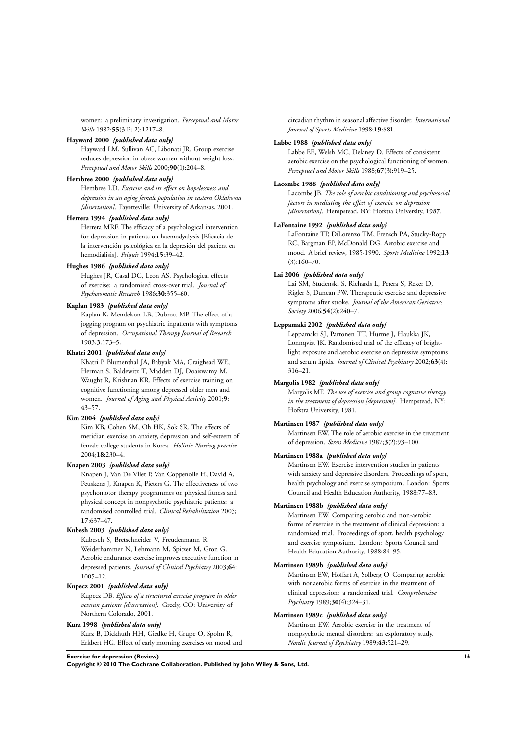women: a preliminary investigation. *Perceptual and Motor Skills* 1982;**55**(3 Pt 2):1217–8.

### **Hayward 2000** *{published data only}*

Hayward LM, Sullivan AC, Libonati JR. Group exercise reduces depression in obese women without weight loss. *Perceptual and Motor Skills* 2000;**90**(1):204–8.

### **Hembree 2000** *{published data only}*

Hembree LD. *Exercise and its effect on hopelessness and depression in an aging female population in eastern Oklahoma [dissertation]*. Fayetteville: University of Arkansas, 2001.

#### **Herrera 1994** *{published data only}*

Herrera MRF. The efficacy of a psychological intervention for depression in patients on haemodyalysis [Eficacia de la intervención psicológica en la depresión del pacient en hemodialisis]. *Psiquis* 1994;**15**:39–42.

#### **Hughes 1986** *{published data only}*

Hughes JR, Casal DC, Leon AS. Psychological effects of exercise: a randomised cross-over trial. *Journal of Psychosomatic Research* 1986;**30**:355–60.

### **Kaplan 1983** *{published data only}*

Kaplan K, Mendelson LB, Dubrott MP. The effect of a jogging program on psychiatric inpatients with symptoms of depression. *Occupational Therapy Journal of Research* 1983;**3**:173–5.

#### **Khatri 2001** *{published data only}*

Khatri P, Blumenthal JA, Babyak MA, Craighead WE, Herman S, Baldewitz T, Madden DJ, Doaiswamy M, Waught R, Krishnan KR. Effects of exercise training on cognitive functioning among depressed older men and women. *Journal of Aging and Physical Activity* 2001;**9**: 43–57.

#### **Kim 2004** *{published data only}*

Kim KB, Cohen SM, Oh HK, Sok SR. The effects of meridian exercise on anxiety, depression and self-esteem of female college students in Korea. *Holistic Nursing practice* 2004;**18**:230–4.

#### **Knapen 2003** *{published data only}*

Knapen J, Van De Vliet P, Van Coppenolle H, David A, Peuskens J, Knapen K, Pieters G. The effectiveness of two psychomotor therapy programmes on physical fitness and physical concept in nonpsychotic psychiatric patients: a randomised controlled trial. *Clinical Rehabilitation* 2003; **17**:637–47.

### **Kubesh 2003** *{published data only}*

Kubesch S, Bretschneider V, Freudenmann R, Weiderhammer N, Lehmann M, Spitzer M, Gron G. Aerobic endurance exercise improves executive function in depressed patients. *Journal of Clinical Psychiatry* 2003;**64**: 1005–12.

#### **Kupecz 2001** *{published data only}*

Kupecz DB. *Effects of a structured exercise program in older veteran patients [dissertation]*. Greely, CO: University of Northern Colorado, 2001.

### **Kurz 1998** *{published data only}*

Kurz B, Dickhuth HH, Giedke H, Grupe O, Spohn R, Erkbert HG. Effect of early morning exercises on mood and circadian rhythm in seasonal affective disorder. *International Journal of Sports Medicine* 1998;**19**:S81.

#### **Labbe 1988** *{published data only}*

Labbe EE, Welsh MC, Delaney D. Effects of consistent aerobic exercise on the psychological functioning of women. *Perceptual and Motor Skills* 1988;**67**(3):919–25.

### **Lacombe 1988** *{published data only}*

Lacombe JB. *The role of aerobic conditioning and psychosocial factors in mediating the effect of exercise on depression [dissertation]*. Hempstead, NY: Hofstra University, 1987.

### **LaFontaine 1992** *{published data only}*

LaFontaine TP, DiLorenzo TM, Frensch PA, Stucky-Ropp RC, Bargman EP, McDonald DG. Aerobic exercise and mood. A brief review, 1985-1990. *Sports Medicine* 1992;**13** (3):160–70.

#### **Lai 2006** *{published data only}*

Lai SM, Studenski S, Richards L, Perera S, Reker D, Rigler S, Duncan PW. Therapeutic exercise and depressive symptoms after stroke. *Journal of the American Geriatrics Society* 2006;**54**(2):240–7.

#### **Leppamaki 2002** *{published data only}*

Leppamaki SJ, Partonen TT, Hurme J, Haukka JK, Lonnqvist JK. Randomised trial of the efficacy of brightlight exposure and aerobic exercise on depressive symptoms and serum lipids. *Journal of Clinical Psychiatry* 2002;**63**(4): 316–21.

#### **Margolis 1982** *{published data only}*

Margolis MF. *The use of exercise and group cognitive therapy in the treatment of depression [depression]*. Hempstead, NY: Hofstra University, 1981.

#### **Martinsen 1987** *{published data only}*

Martinsen EW. The role of aerobic exercise in the treatment of depression. *Stress Medicine* 1987;**3**(2):93–100.

#### **Martinsen 1988a** *{published data only}*

Martinsen EW. Exercise intervention studies in patients with anxiety and depressive disorders. Proceedings of sport, health psychology and exercise symposium. London: Sports Council and Health Education Authority, 1988:77–83.

#### **Martinsen 1988b** *{published data only}*

Martinsen EW. Comparing aerobic and non-aerobic forms of exercise in the treatment of clinical depression: a randomised trial. Proceedings of sport, health psychology and exercise symposium. London: Sports Council and Health Education Authority, 1988:84–95.

#### **Martinsen 1989b** *{published data only}*

Martinsen EW, Hoffart A, Solberg O. Comparing aerobic with nonaerobic forms of exercise in the treatment of clinical depression: a randomized trial. *Comprehensive Psychiatry* 1989;**30**(4):324–31.

#### **Martinsen 1989c** *{published data only}*

Martinsen EW. Aerobic exercise in the treatment of nonpsychotic mental disorders: an exploratory study. *Nordic Journal of Psychiatry* 1989;**43**:521–29.

### **Exercise for depression (Review) 16**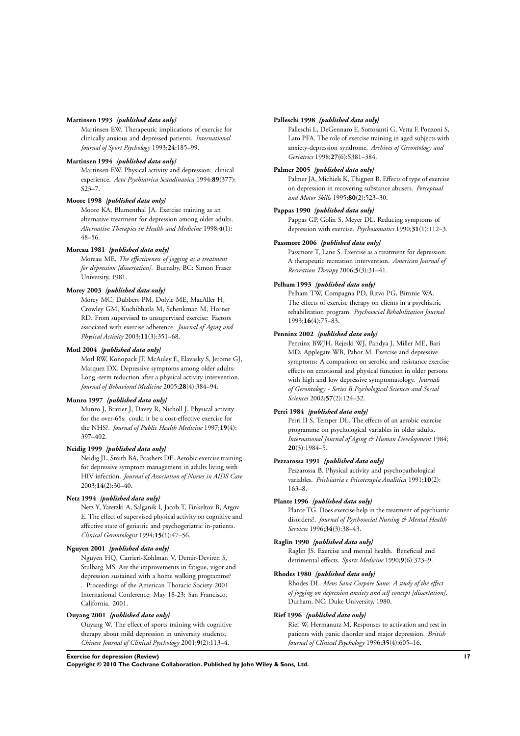#### **Martinsen 1993** *{published data only}*

Martinsen EW. Therapeutic implications of exercise for clinically anxious and depressed patients. *International Journal of Sport Psychology* 1993;**24**:185–99.

### **Martinsen 1994** *{published data only}*

Martinsen EW. Physical activity and depression: clinical experience. *Acta Psychiatrica Scandinavica* 1994;**89**(377): S23–7.

### **Moore 1998** *{published data only}*

Moore KA, Blumenthal JA. Exercise training as an alternative treatment for depression among older adults. *Alternative Therapies in Health and Medicine* 1998;**4**(1): 48–56.

#### **Moreau 1981** *{published data only}*

Moreau ME. *The effectiveness of jogging as a treatment for depression [dissertation]*. Burnaby, BC: Simon Fraser University, 1981.

### **Morey 2003** *{published data only}*

Morey MC, Dubbert PM, Dolyle ME, MacAller H, Crowley GM, Kuchibhatla M, Schenkman M, Horner RD. From supervised to unsupervised exercise: Factors associated with exercise adherence. *Journal of Aging and Physical Activity* 2003;**11**(3):351–68.

### **Motl 2004** *{published data only}*

Motl RW, Konopack JF, McAuley E, Elavasky S, Jerome GJ, Marquez DX. Depressive symptoms among older adults: Long -term reduction after a physical activity intervention. *Journal of Behavioral Medicine* 2005;**28**(4):384–94.

#### **Munro 1997** *{published data only}*

Munro J, Brazier J, Davey R, Nicholl J. Physical activity for the over-65s: could it be a cost-effective exercise for the NHS?. *Journal of Public Health Medicine* 1997;**19**(4): 397–402.

### **Neidig 1999** *{published data only}*

Neidig JL, Smith BA, Brashers DE. Aerobic exercise training for depressive symptom management in adults living with HIV infection. *Journal of Association of Nurses in AIDS Care* 2003;**14**(2):30–40.

#### **Netz 1994** *{published data only}*

Netz Y, Yaretzki A, Salganik I, Jacob T, Finkeltov B, Argov E. The effect of supervised physical activity on cognitive and affective state of geriatric and psychogeriatric in-patients. *Clinical Gerontologist* 1994;**15**(1):47–56.

### **Nguyen 2001** *{published data only}*

Nguyen HQ, Carrieri-Kohlman V, Demir-Deviren S, Stulbarg MS. Are the improvements in fatigue, vigor and depression sustained with a home walking programme? . Proceedings of the American Thoracic Society 2001 International Conference; May 18-23; San Francisco, California. 2001.

#### **Ouyang 2001** *{published data only}*

Ouyang W. The effect of sports training with cognitive therapy about mild depression in university students. *Chinese Journal of Clinical Pyschology* 2001;**9**(2):113–4.

#### **Palleschi 1998** *{published data only}*

Palleschi L, DeGennaro E, Sottosanti G, Vetta F, Ponzoni S, Lato PFA. The role of exercise training in aged subjects with anxiety-depression syndrome. *Archives of Gerontology and Geriatrics* 1998;**27**(6):S381–384.

### **Palmer 2005** *{published data only}*

Palmer JA, Michiels K, Thigpen B. Effects of type of exercise on depression in recovering substance abusers. *Perceptual and Motor Skills* 1995;**80**(2):523–30.

#### **Pappas 1990** *{published data only}*

Pappas GP, Golin S, Meyer DL. Reducing symptoms of depression with exercise. *Psychosomatics* 1990;**31**(1):112–3.

#### **Passmore 2006** *{published data only}*

Passmore T, Lane S. Exercise as a treatment for depression: A therapeutic recreation intervention. *American Journal of Recreation Therapy* 2006;**5**(3):31–41.

#### **Pelham 1993** *{published data only}*

Pelham TW, Compagna PD, Ritvo PG, Birnnie WA. The effects of exercise therapy on clients in a psychiatric rehabilitation program. *Psychosocial Rehabilitation Journal* 1993;**16**(4):75–83.

#### **Penninx 2002** *{published data only}*

Penninx BWJH, Rejeski WJ, Pandya J, Miller ME, Bari MD, Applegate WB, Pahor M. Exercise and depressive symptoms: A comparison on aerobic and resistance exercise effects on emotional and physical function in older persons with high and low depressive symptomatology. *Journals of Gerontology - Series B Psychological Sciences and Social Sciences* 2002;**57**(2):124–32.

### **Perri 1984** *{published data only}*

Perri II S, Temper DL. The effects of an aerobic exercise programme on psychological variables in older adults. *International Journal of Aging & Human Development* 1984; **20**(3):1984–5.

### **Pezzarossa 1991** *{published data only}*

Pezzarossa B. Physical activity and psychopathological variables. *Psichiatria e Psicoterapia Analitica* 1991;**10**(2): 163–8.

### **Plante 1996** *{published data only}*

Plante TG. Does exercise help in the treatment of psychiatric disorders?. *Journal of Psychosocial Nursing & Mental Health Services* 1996;**34**(3):38–43.

### **Raglin 1990** *{published data only}*

Raglin JS. Exercise and mental health. Beneficial and detrimental effects. *Sports Medicine* 1990;**9**(6):323–9.

#### **Rhodes 1980** *{published data only}*

Rhodes DL. *Mens Sana Corpore Sano: A study of the effect of jogging on depression anxiety and self concept [dissertation]*. Durham, NC: Duke University, 1980.

#### **Rief 1996** *{published data only}*

Rief W, Hermanutz M. Responses to activation and rest in patients with panic disorder and major depression. *British Journal of Clinical Psychology* 1996;**35**(4):605–16.

### **Exercise for depression (Review) 17**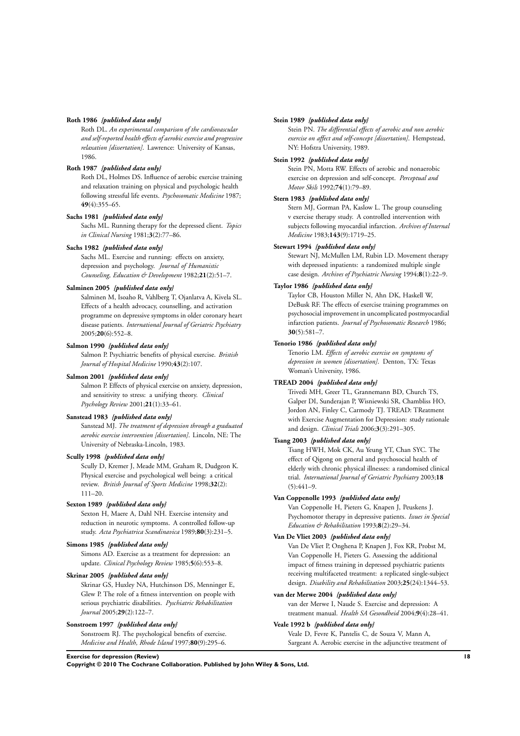#### **Roth 1986** *{published data only}*

Roth DL. *An experimental comparison of the cardiovascular and self-reported health effects of aerobic exercise and progressive relaxation [dissertation]*. Lawrence: University of Kansas, 1986.

### **Roth 1987** *{published data only}*

Roth DL, Holmes DS. Influence of aerobic exercise training and relaxation training on physical and psychologic health following stressful life events. *Psychosomatic Medicine* 1987; **49**(4):355–65.

### **Sachs 1981** *{published data only}*

Sachs ML. Running therapy for the depressed client. *Topics in Clinical Nursing* 1981;**3**(2):77–86.

### **Sachs 1982** *{published data only}*

Sachs ML. Exercise and running: effects on anxiety, depression and psychology. *Journal of Humanistic Counseling, Education & Development* 1982;**21**(2):51–7.

### **Salminen 2005** *{published data only}*

Salminen M, Isoaho R, Vahlberg T, Ojanlatva A, Kivela SL. Effects of a health advocacy, counselling, and activation programme on depressive symptoms in older coronary heart disease patients. *International Journal of Geriatric Psychiatry* 2005;**20**(6):552–8.

#### **Salmon 1990** *{published data only}*

Salmon P. Psychiatric benefits of physical exercise. *Bristish Journal of Hospital Medicine* 1990;**43**(2):107.

### **Salmon 2001** *{published data only}*

Salmon P. Effects of physical exercise on anxiety, depression, and sensitivity to stress: a unifying theory. *Clinical Psychology Review* 2001;**21**(1):33–61.

### **Sanstead 1983** *{published data only}*

Sanstead MJ. *The treatment of depression through a graduated aerobic exercise intervention [dissertation]*. Lincoln, NE: The University of Nebraska-Lincoln, 1983.

### **Scully 1998** *{published data only}*

Scully D, Kremer J, Meade MM, Graham R, Dudgeon K. Physical exercise and psychological well being: a critical review. *British Journal of Sports Medicine* 1998;**32**(2): 111–20.

### **Sexton 1989** *{published data only}*

Sexton H, Maere A, Dahl NH. Exercise intensity and reduction in neurotic symptoms. A controlled follow-up study. *Acta Psychiatrica Scandinavica* 1989;**80**(3):231–5.

### **Simons 1985** *{published data only}*

Simons AD. Exercise as a treatment for depression: an update. *Clinical Psychology Review* 1985;**5**(6):553–8.

#### **Skrinar 2005** *{published data only}*

Skrinar GS, Huxley NA, Hutchinson DS, Menninger E, Glew P. The role of a fitness intervention on people with serious psychiatric disabilities. *Pyschiatric Rehabilitation Journal* 2005;**29**(2):122–7.

### **Sonstroem 1997** *{published data only}*

Sonstroem RJ. The psychological benefits of exercise. *Medicine and Health, Rhode Island* 1997;**80**(9):295–6.

#### **Stein 1989** *{published data only}*

Stein PN. *The differential effects of aerobic and non aerobic exercise on affect and self-concept [dissertation]*. Hempstead, NY: Hofstra University, 1989.

### **Stein 1992** *{published data only}*

Stein PN, Motta RW. Effects of aerobic and nonaerobic exercise on depression and self-concept. *Perceptual and Motor Skils* 1992;**74**(1):79–89.

### **Stern 1983** *{published data only}*

Stern MJ, Gorman PA, Kaslow L. The group counseling v exercise therapy study. A controlled intervention with subjects following myocardial infarction. *Archives of Internal Medicine* 1983;**143**(9):1719–25.

#### **Stewart 1994** *{published data only}*

Stewart NJ, McMullen LM, Rubin LD. Movement therapy with depressed inpatients: a randomized multiple single case design. *Archives of Psychiatric Nursing* 1994;**8**(1):22–9.

#### **Taylor 1986** *{published data only}*

Taylor CB, Houston Miller N, Ahn DK, Haskell W, DeBusk RF. The effects of exercise training programmes on psychosocial improvement in uncomplicated postmyocardial infarction patients. *Journal of Psychosomatic Research* 1986; **30**(5):581–7.

#### **Tenorio 1986** *{published data only}*

Tenorio LM. *Effects of aerobic exercise on symptoms of depression in women [dissertation]*. Denton, TX: Texas Woman's University, 1986.

#### **TREAD 2004** *{published data only}*

Trivedi MH, Greer TL, Grannemann BD, Church TS, Galper DI, Sunderajan P, Wisniewski SR, Chambliss HO, Jordon AN, Finley C, Carmody TJ. TREAD: TReatment with Exercise Augmentation for Depression: study rationale and design. *Clinical Trials* 2006;**3**(3):291–305.

### **Tsang 2003** *{published data only}*

Tsang HWH, Mok CK, Au Yeung YT, Chan SYC. The effect of Qigong on general and psychosocial health of elderly with chronic physical illnesses: a randomised clinical trial. *International Journal of Geriatric Psychiatry* 2003;**18**  $(5):441-9.$ 

### **Van Coppenolle 1993** *{published data only}*

Van Coppenolle H, Pieters G, Knapen J, Peuskens J. Psychomotor therapy in depressive patients. *Issues in Special Education & Rehabilitation* 1993;**8**(2):29–34.

### **Van De Vliet 2003** *{published data only}*

Van De Vliet P, Onghena P, Knapen J, Fox KR, Probst M, Van Coppenolle H, Pieters G. Assessing the additional impact of fitness training in depressed psychiatric patients receiving multifaceted treatment: a replicated single-subject design. *Disability and Rehabilitation* 2003;**25**(24):1344–53.

### **van der Merwe 2004** *{published data only}*

van der Merwe I, Naude S. Exercise and depression: A treatment manual. *Health SA Gesondheid* 2004;**9**(4):28–41.

### **Veale 1992 b** *{published data only}*

Veale D, Fevre K, Pantelis C, de Souza V, Mann A, Sargeant A. Aerobic exercise in the adjunctive treatment of

### **Exercise for depression (Review) 18**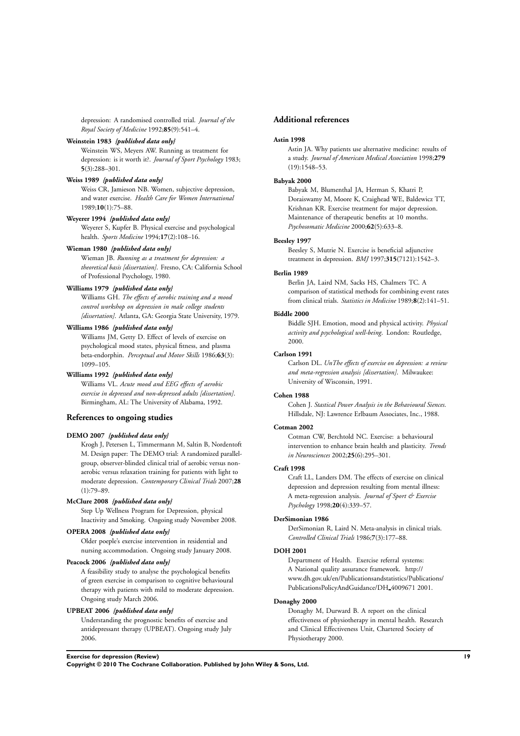depression: A randomised controlled trial. *Journal of the Royal Society of Medicine* 1992;**85**(9):541–4.

### **Weinstein 1983** *{published data only}*

Weinstein WS, Meyers AW. Running as treatment for depression: is it worth it?. *Journal of Sport Psychology* 1983; **5**(3):288–301.

### **Weiss 1989** *{published data only}*

Weiss CR, Jamieson NB. Women, subjective depression, and water exercise. *Health Care for Women International* 1989;**10**(1):75–88.

#### **Weyerer 1994** *{published data only}*

Weyerer S, Kupfer B. Physical exercise and psychological health. *Sports Medicine* 1994;**17**(2):108–16.

### **Wieman 1980** *{published data only}*

Wieman JB. *Running as a treatment for depression: a theoretical basis [dissertation]*. Fresno, CA: California School of Professional Psychology, 1980.

### **Williams 1979** *{published data only}*

Williams GH. *The effects of aerobic training and a mood control workshop on depression in male college students [dissertation]*. Atlanta, GA: Georgia State University, 1979.

#### **Williams 1986** *{published data only}*

Williams JM, Getty D. Effect of levels of exercise on psychological mood states, physical fitness, and plasma beta-endorphin. *Perceptual and Motor Skills* 1986;**63**(3): 1099–105.

### **Williams 1992** *{published data only}*

Williams VL. *Acute mood and EEG effects of aerobic exercise in depressed and non-depressed adults [dissertation]*. Birmingham, AL: The University of Alabama, 1992.

### **References to ongoing studies**

#### **DEMO 2007** *{published data only}*

Krogh J, Petersen L, Timmermann M, Saltin B, Nordentoft M. Design paper: The DEMO trial: A randomized parallelgroup, observer-blinded clinical trial of aerobic versus nonaerobic versus relaxation training for patients with light to moderate depression. *Contemporary Clinical Trials* 2007;**28**  $(1):79-89.$ 

### **McClure 2008** *{published data only}*

Step Up Wellness Program for Depression, physical Inactivity and Smoking. Ongoing study November 2008.

#### **OPERA 2008** *{published data only}*

Older poeple's exercise intervention in residential and nursing accommodation. Ongoing study January 2008.

#### **Peacock 2006** *{published data only}*

A feasibility study to analyse the psychological benefits of green exercise in comparison to cognitive behavioural therapy with patients with mild to moderate depression. Ongoing study March 2006.

#### **UPBEAT 2006** *{published data only}*

Understanding the prognostic benefits of exercise and antidepressant therapy (UPBEAT). Ongoing study July 2006.

### **Additional references**

### **Astin 1998**

Astin JA. Why patients use alternative medicine: results of a study. *Journal of American Medical Association* 1998;**279** (19):1548–53.

### **Babyak 2000**

Babyak M, Blumenthal JA, Herman S, Khatri P, Doraiswamy M, Moore K, Craighead WE, Baldewicz TT, Krishnan KR. Exercise treatment for major depression. Maintenance of therapeutic benefits at 10 months. *Psychosomatic Medicine* 2000;**62**(5):633–8.

#### **Beesley 1997**

Beesley S, Mutrie N. Exercise is beneficial adjunctive treatment in depression. *BMJ* 1997;**315**(7121):1542–3.

#### **Berlin 1989**

Berlin JA, Laird NM, Sacks HS, Chalmers TC. A comparison of statistical methods for combining event rates from clinical trials. *Statistics in Medicine* 1989;**8**(2):141–51.

#### **Biddle 2000**

Biddle SJH. Emotion, mood and physical activity. *Physical activity and psychological well-being*. London: Routledge, 2000.

#### **Carlson 1991**

Carlson DL. *UnThe effects of exercise on depression: a review and meta-regression analysis [dissertation]*. Milwaukee: University of Wisconsin, 1991.

#### **Cohen 1988**

Cohen J. *Stastical Power Analysis in the Behavioural Siences*. Hillsdale, NJ: Lawrence Erlbaum Associates, Inc., 1988.

#### **Cotman 2002**

Cotman CW, Berchtold NC. Exercise: a behavioural intervention to enhance brain health and plasticity. *Trends in Neurosciences* 2002;**25**(6):295–301.

#### **Craft 1998**

Craft LL, Landers DM. The effects of exercise on clinical depression and depression resulting from mental illness: A meta-regression analysis. *Journal of Sport & Exercise Psychology* 1998;**20**(4):339–57.

#### **DerSimonian 1986**

DerSimonian R, Laird N. Meta-analysis in clinical trials. *Controlled Clinical Trials* 1986;**7**(3):177–88.

### **DOH 2001**

Department of Health. Exercise referral systems: A National quality assurance framework. http:// www.dh.gov.uk/en/Publicationsandstatistics/Publications/ PublicationsPolicyAndGuidance/DH 4009671 2001.

### **Donaghy 2000**

Donaghy M, Durward B. A report on the clinical effectiveness of physiotherapy in mental health. Research and Clinical Effectiveness Unit, Chartered Society of Physiotherapy 2000.

### **Exercise for depression (Review) 19**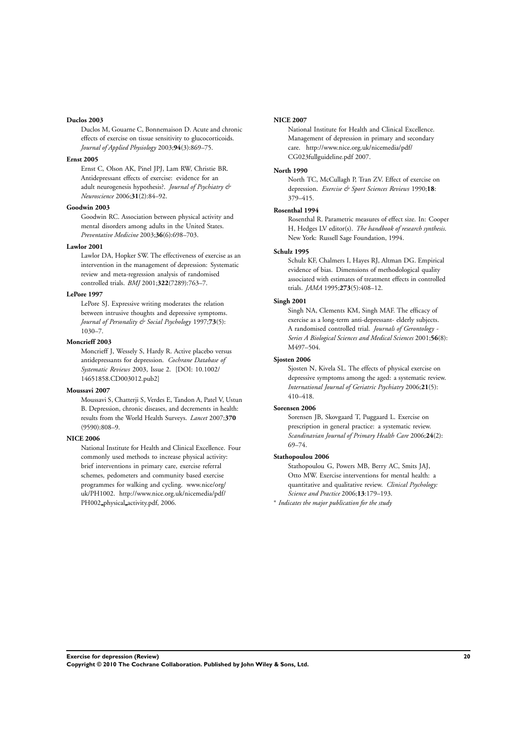### **Duclos 2003**

Duclos M, Gouarne C, Bonnemaison D. Acute and chronic effects of exercise on tissue sensitivity to glucocorticoids. *Journal of Applied Physiology* 2003;**94**(3):869–75.

### **Ernst 2005**

Ernst C, Olson AK, Pinel JPJ, Lam RW, Christie BR. Antidepressant effects of exercise: evidence for an adult neurogenesis hypothesis?. *Journal of Psychiatry & Neuroscience* 2006;**31**(2):84–92.

### **Goodwin 2003**

Goodwin RC. Association between physical activity and mental disorders among adults in the United States. *Preventative Medicine* 2003;**36**(6):698–703.

#### **Lawlor 2001**

Lawlor DA, Hopker SW. The effectiveness of exercise as an intervention in the management of depression: Systematic review and meta-regression analysis of randomised controlled trials. *BMJ* 2001;**322**(7289):763–7.

#### **LePore 1997**

LePore SJ. Expressive writing moderates the relation between intrusive thoughts and depressive symptoms. *Journal of Personality & Social Psychology* 1997;**73**(5): 1030–7.

### **Moncrieff 2003**

Moncrieff J, Wessely S, Hardy R. Active placebo versus antidepressants for depression. *Cochrane Database of Systematic Reviews* 2003, Issue 2. [DOI: 10.1002/ 14651858.CD003012.pub2]

### **Moussavi 2007**

Moussavi S, Chatterji S, Verdes E, Tandon A, Patel V, Ustun B. Depression, chronic diseases, and decrements in health: results from the World Health Surveys. *Lancet* 2007;**370** (9590):808–9.

#### **NICE 2006**

National Institute for Health and Clinical Excellence. Four commonly used methods to increase physical activity: brief interventions in primary care, exercise referral schemes, pedometers and community based exercise programmes for walking and cycling. www.nice/org/ uk/PH1002. http://www.nice.org.uk/nicemedia/pdf/ PH002<sub>-physical activity.pdf, 2006.</sub>

#### **NICE 2007**

National Institute for Health and Clinical Excellence. Management of depression in primary and secondary care. http://www.nice.org.uk/nicemedia/pdf/ CG023fullguideline.pdf 2007.

### **North 1990**

North TC, McCullagh P, Tran ZV. Effect of exercise on depression. *Exercise & Sport Sciences Reviews* 1990;**18**: 379–415.

#### **Rosenthal 1994**

Rosenthal R. Parametric measures of effect size. In: Cooper H, Hedges LV editor(s). *The handbook of research synthesis*. New York: Russell Sage Foundation, 1994.

#### **Schulz 1995**

Schulz KF, Chalmers I, Hayes RJ, Altman DG. Empirical evidence of bias. Dimensions of methodological quality associated with estimates of treatment effects in controlled trials. *JAMA* 1995;**273**(5):408–12.

#### **Singh 2001**

Singh NA, Clements KM, Singh MAF. The efficacy of exercise as a long-term anti-depressant- elderly subjects. A randomised controlled trial. *Journals of Gerontology - Series A Biological Sciences and Medical Sciences* 2001;**56**(8): M497–504.

#### **Sjosten 2006**

Sjosten N, Kivela SL. The effects of physical exercise on depressive symptoms among the aged: a systematic review. *International Journal of Geriatric Psychiatry* 2006;**21**(5): 410–418.

#### **Sorensen 2006**

Sorensen JB, Skovgaard T, Puggaard L. Exercise on prescription in general practice: a systematic review. *Scandinavian Journal of Primary Health Care* 2006;**24**(2): 69–74.

#### **Stathopoulou 2006**

Stathopoulou G, Powers MB, Berry AC, Smits JAJ, Otto MW. Exercise interventions for mental health: a quantitative and qualitative review. *Clinical Psychology: Science and Practice* 2006;**13**:179–193.

∗ *Indicates the major publication for the study*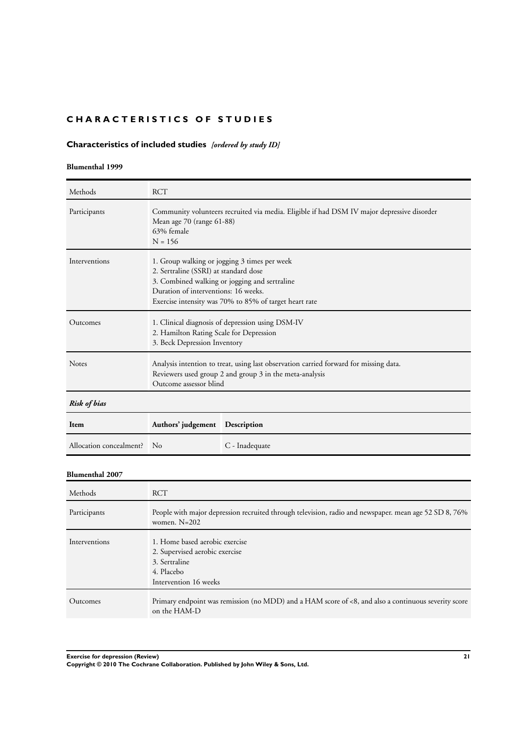# <span id="page-23-0"></span>**CHARACTERISTICS OF STUDIES**

# **Characteristics of included studies** *[ordered by study ID]*

### **Blumenthal 1999**

| Methods                 | <b>RCT</b>                                                                                                                                                                                                                               |  |  |
|-------------------------|------------------------------------------------------------------------------------------------------------------------------------------------------------------------------------------------------------------------------------------|--|--|
| Participants            | Community volunteers recruited via media. Eligible if had DSM IV major depressive disorder<br>Mean age 70 (range 61-88)<br>63% female<br>$N = 156$                                                                                       |  |  |
| Interventions           | 1. Group walking or jogging 3 times per week<br>2. Sertraline (SSRI) at standard dose<br>3. Combined walking or jogging and sertraline<br>Duration of interventions: 16 weeks.<br>Exercise intensity was 70% to 85% of target heart rate |  |  |
| Outcomes                | 1. Clinical diagnosis of depression using DSM-IV<br>2. Hamilton Rating Scale for Depression<br>3. Beck Depression Inventory                                                                                                              |  |  |
| Notes                   | Analysis intention to treat, using last observation carried forward for missing data.<br>Reviewers used group 2 and group 3 in the meta-analysis<br>Outcome assessor blind                                                               |  |  |
| <b>Risk of bias</b>     |                                                                                                                                                                                                                                          |  |  |
| Item                    | Authors' judgement<br><b>Description</b>                                                                                                                                                                                                 |  |  |
| Allocation concealment? | No<br>C - Inadequate                                                                                                                                                                                                                     |  |  |
| <b>Blumenthal 2007</b>  |                                                                                                                                                                                                                                          |  |  |
| Methods                 | <b>RCT</b>                                                                                                                                                                                                                               |  |  |
| Participants            | People with major depression recruited through television, radio and newspaper. mean age 52 SD 8, 76%<br>women. N=202                                                                                                                    |  |  |
| Interventions           | 1. Home based aerobic exercise<br>2. Supervised aerobic exercise<br>3. Sertraline<br>4. Placebo<br>Intervention 16 weeks                                                                                                                 |  |  |
| Outcomes                | Primary endpoint was remission (no MDD) and a HAM score of <8, and also a continuous severity score<br>on the HAM-D                                                                                                                      |  |  |

**Exercise for depression (Review) 21 Copyright © 2010 The Cochrane Collaboration. Published by John Wiley & Sons, Ltd.**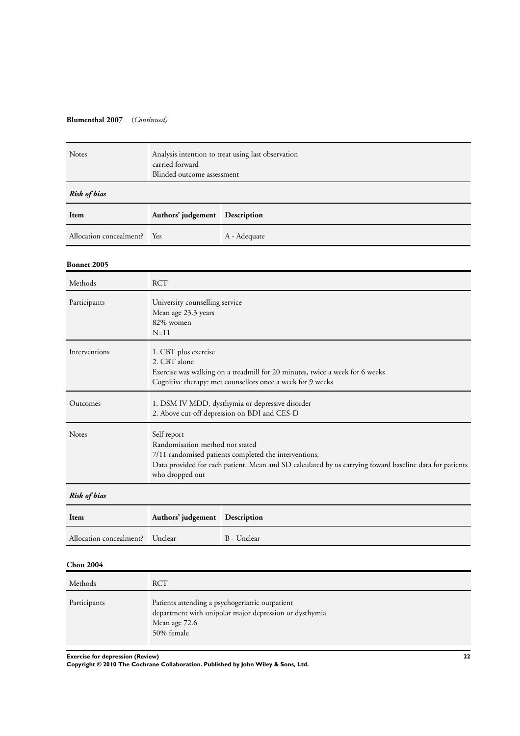### **Blumenthal 2007** (*Continued)*

| <b>Notes</b>                | Analysis intention to treat using last observation<br>carried forward<br>Blinded outcome assessment |              |
|-----------------------------|-----------------------------------------------------------------------------------------------------|--------------|
| Risk of bias                |                                                                                                     |              |
| Item                        | Authors' judgement Description                                                                      |              |
| Allocation concealment? Yes |                                                                                                     | A - Adequate |

### **Bonnet 2005**

| Methods             | <b>RCT</b>                                                                                                                                                                                                                            |
|---------------------|---------------------------------------------------------------------------------------------------------------------------------------------------------------------------------------------------------------------------------------|
| Participants        | University counselling service<br>Mean age 23.3 years<br>82% women<br>$N=11$                                                                                                                                                          |
| Interventions       | 1. CBT plus exercise<br>2. CBT alone<br>Exercise was walking on a treadmill for 20 minutes, twice a week for 6 weeks<br>Cognitive therapy: met counsellors once a week for 9 weeks                                                    |
| Outcomes            | 1. DSM IV MDD, dysthymia or depressive disorder<br>2. Above cut-off depression on BDI and CES-D                                                                                                                                       |
| <b>Notes</b>        | Self report<br>Randomisation method not stated<br>7/11 randomised patients completed the interventions.<br>Data provided for each patient. Mean and SD calculated by us carrying foward baseline data for patients<br>who dropped out |
| <b>Risk of bias</b> |                                                                                                                                                                                                                                       |

| IWSK VJ VIIIS                   |                                |             |
|---------------------------------|--------------------------------|-------------|
| Item                            | Authors' judgement Description |             |
| Allocation concealment? Unclear |                                | B - Unclear |

# **Chou 2004**

| Methods      | <b>RCT</b>                                                                                                                               |
|--------------|------------------------------------------------------------------------------------------------------------------------------------------|
| Participants | Patients attending a psychogeriatric outpatient<br>department with unipolar major depression or dysthymia<br>Mean age 72.6<br>50% female |

**Exercise for depression (Review) 22**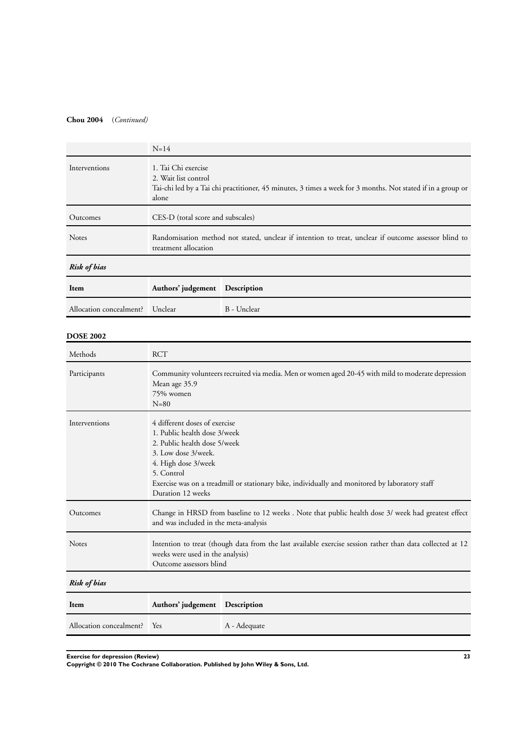### **Chou 2004** (*Continued)*

|                         | $N=14$                                                                                                                                                                                                                                                                           |                                                                                                      |  |
|-------------------------|----------------------------------------------------------------------------------------------------------------------------------------------------------------------------------------------------------------------------------------------------------------------------------|------------------------------------------------------------------------------------------------------|--|
| Interventions           | 1. Tai Chi exercise<br>2. Wait list control<br>Tai-chi led by a Tai chi practitioner, 45 minutes, 3 times a week for 3 months. Not stated if in a group or<br>alone                                                                                                              |                                                                                                      |  |
| Outcomes                | CES-D (total score and subscales)                                                                                                                                                                                                                                                |                                                                                                      |  |
| Notes                   | treatment allocation                                                                                                                                                                                                                                                             | Randomisation method not stated, unclear if intention to treat, unclear if outcome assessor blind to |  |
| <b>Risk of bias</b>     |                                                                                                                                                                                                                                                                                  |                                                                                                      |  |
| Item                    | Authors' judgement                                                                                                                                                                                                                                                               | <b>Description</b>                                                                                   |  |
| Allocation concealment? | Unclear                                                                                                                                                                                                                                                                          | B - Unclear                                                                                          |  |
| <b>DOSE 2002</b>        |                                                                                                                                                                                                                                                                                  |                                                                                                      |  |
| Methods                 | <b>RCT</b>                                                                                                                                                                                                                                                                       |                                                                                                      |  |
| Participants            | Community volunteers recruited via media. Men or women aged 20-45 with mild to moderate depression<br>Mean age 35.9<br>75% women<br>$N=80$                                                                                                                                       |                                                                                                      |  |
| Interventions           | 4 different doses of exercise<br>1. Public health dose 3/week<br>2. Public health dose 5/week<br>3. Low dose 3/week.<br>4. High dose 3/week<br>5. Control<br>Exercise was on a treadmill or stationary bike, individually and monitored by laboratory staff<br>Duration 12 weeks |                                                                                                      |  |
| Outcomes                | Change in HRSD from baseline to 12 weeks. Note that public health dose 3/ week had greatest effect<br>and was included in the meta-analysis                                                                                                                                      |                                                                                                      |  |
| Notes                   | Intention to treat (though data from the last available exercise session rather than data collected at 12<br>weeks were used in the analysis)<br>Outcome assessors blind                                                                                                         |                                                                                                      |  |
| <b>Risk of bias</b>     |                                                                                                                                                                                                                                                                                  |                                                                                                      |  |

| Item                        | Authors' judgement Description |              |
|-----------------------------|--------------------------------|--------------|
| Allocation concealment? Yes |                                | A - Adequate |

**Exercise for depression (Review) 23**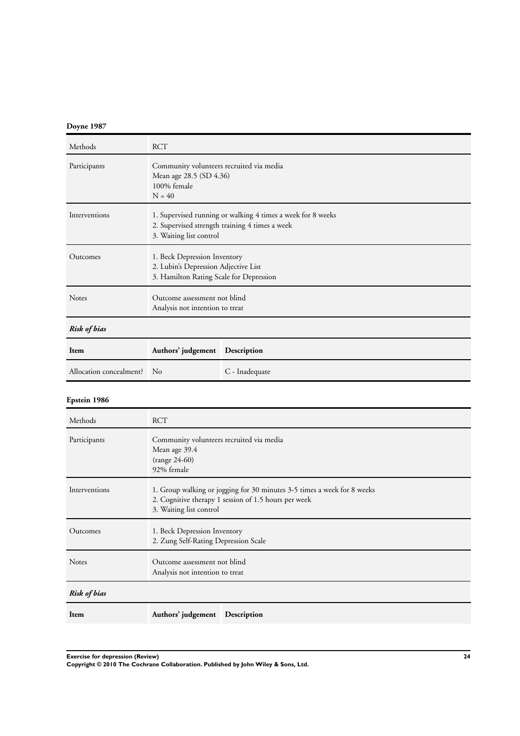### **Doyne 1987**

| Methods                 | <b>RCT</b>                                                                                                                               |                |  |
|-------------------------|------------------------------------------------------------------------------------------------------------------------------------------|----------------|--|
| Participants            | Community volunteers recruited via media<br>Mean age 28.5 (SD 4.36)<br>100% female<br>$N = 40$                                           |                |  |
| Interventions           | 1. Supervised running or walking 4 times a week for 8 weeks<br>2. Supervised strength training 4 times a week<br>3. Waiting list control |                |  |
| Outcomes                | 1. Beck Depression Inventory<br>2. Lubin's Depression Adjective List<br>3. Hamilton Rating Scale for Depression                          |                |  |
| <b>Notes</b>            | Outcome assessment not blind<br>Analysis not intention to treat                                                                          |                |  |
| <b>Risk of bias</b>     |                                                                                                                                          |                |  |
| Item                    | Authors' judgement Description                                                                                                           |                |  |
| Allocation concealment? | No                                                                                                                                       | C - Inadequate |  |

### **Epstein 1986**

| Methods             | <b>RCT</b>                                                                                                                                                 |  |  |
|---------------------|------------------------------------------------------------------------------------------------------------------------------------------------------------|--|--|
| Participants        | Community volunteers recruited via media<br>Mean age 39.4<br>(range 24-60)<br>92% female                                                                   |  |  |
| Interventions       | 1. Group walking or jogging for 30 minutes 3-5 times a week for 8 weeks<br>2. Cognitive therapy 1 session of 1.5 hours per week<br>3. Waiting list control |  |  |
| Outcomes            | 1. Beck Depression Inventory<br>2. Zung Self-Rating Depression Scale                                                                                       |  |  |
| <b>Notes</b>        | Outcome assessment not blind<br>Analysis not intention to treat                                                                                            |  |  |
| <b>Risk of bias</b> |                                                                                                                                                            |  |  |
| Item                | Authors' judgement Description                                                                                                                             |  |  |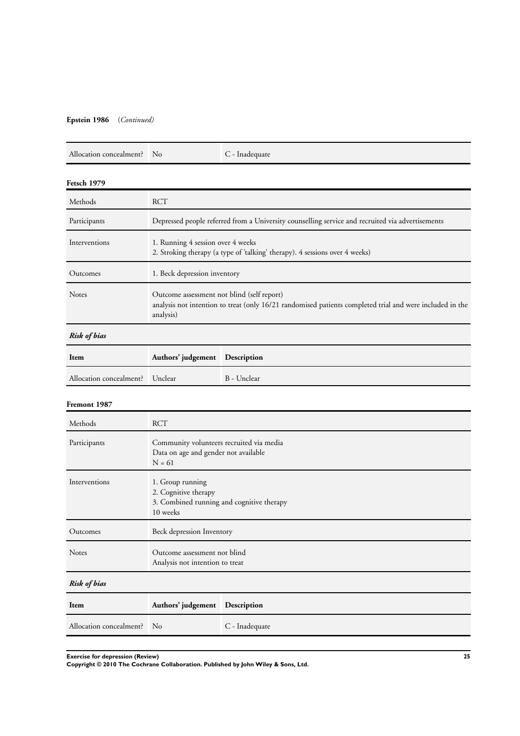### **Epstein 1986** (*Continued)*

| Allocation concealment? | <sub>No</sub>                                                                                                                                                       | C - Inadequate                                                                                                   |  |  |
|-------------------------|---------------------------------------------------------------------------------------------------------------------------------------------------------------------|------------------------------------------------------------------------------------------------------------------|--|--|
| Fetsch 1979             |                                                                                                                                                                     |                                                                                                                  |  |  |
| Methods                 | <b>RCT</b>                                                                                                                                                          |                                                                                                                  |  |  |
| Participants            |                                                                                                                                                                     | Depressed people referred from a University counselling service and recruited via advertisements                 |  |  |
| Interventions           |                                                                                                                                                                     | 1. Running 4 session over 4 weeks<br>2. Stroking therapy (a type of 'talking' therapy). 4 sessions over 4 weeks) |  |  |
| Outcomes                | 1. Beck depression inventory                                                                                                                                        |                                                                                                                  |  |  |
| Notes                   | Outcome assessment not blind (self report)<br>analysis not intention to treat (only 16/21 randomised patients completed trial and were included in the<br>analysis) |                                                                                                                  |  |  |
| <b>Risk of bias</b>     |                                                                                                                                                                     |                                                                                                                  |  |  |
| Item                    | Authors' judgement Description                                                                                                                                      |                                                                                                                  |  |  |
| Allocation concealment? | Unclear                                                                                                                                                             | B - Unclear                                                                                                      |  |  |
| Fremont 1987            |                                                                                                                                                                     |                                                                                                                  |  |  |
| Methods                 | <b>RCT</b>                                                                                                                                                          |                                                                                                                  |  |  |
| Participants            | Community volunteers recruited via media<br>Data on age and gender not available<br>$N = 61$                                                                        |                                                                                                                  |  |  |
| Interventions           | 1. Group running<br>2. Cognitive therapy<br>3. Combined running and cognitive therapy<br>10 weeks                                                                   |                                                                                                                  |  |  |
| Outcomes                | Beck depression Inventory                                                                                                                                           |                                                                                                                  |  |  |
| Notes                   | Outcome assessment not blind<br>Analysis not intention to treat                                                                                                     |                                                                                                                  |  |  |
| Risk of bias            |                                                                                                                                                                     |                                                                                                                  |  |  |
| Item                    | Authors' judgement                                                                                                                                                  | Description                                                                                                      |  |  |
| Allocation concealment? | No                                                                                                                                                                  | C - Inadequate                                                                                                   |  |  |

**Exercise for depression (Review) 25**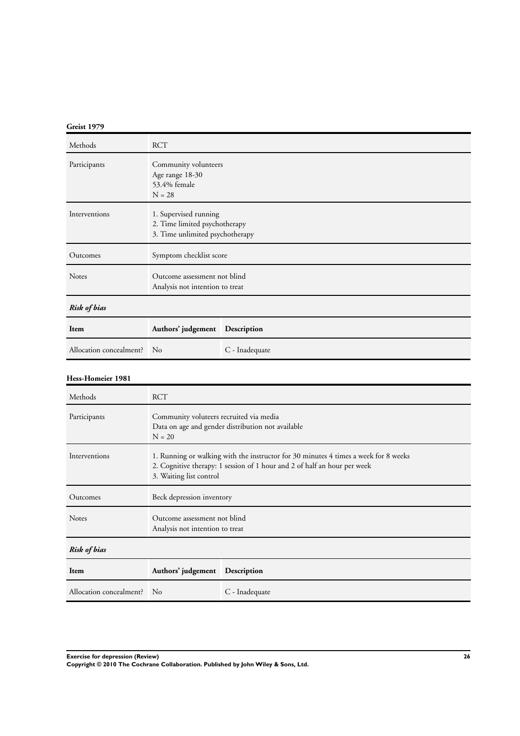### **Greist 1979**

| Methods                 | <b>RCT</b>                                                                                |                |  |
|-------------------------|-------------------------------------------------------------------------------------------|----------------|--|
| Participants            | Community volunteers<br>Age range 18-30<br>53.4% female<br>$N = 28$                       |                |  |
| Interventions           | 1. Supervised running<br>2. Time limited psychotherapy<br>3. Time unlimited psychotherapy |                |  |
| Outcomes                | Symptom checklist score                                                                   |                |  |
| Notes                   | Outcome assessment not blind<br>Analysis not intention to treat                           |                |  |
| <b>Risk of bias</b>     |                                                                                           |                |  |
| Item                    | Authors' judgement                                                                        | Description    |  |
| Allocation concealment? | No.                                                                                       | C - Inadequate |  |

# **Hess-Homeier 1981**

| Methods                    | <b>RCT</b>                                                                                                                                                                                 |                                                   |
|----------------------------|--------------------------------------------------------------------------------------------------------------------------------------------------------------------------------------------|---------------------------------------------------|
| Participants               | Community voluteers recruited via media<br>$N = 20$                                                                                                                                        | Data on age and gender distribution not available |
| Interventions              | 1. Running or walking with the instructor for 30 minutes 4 times a week for 8 weeks<br>2. Cognitive therapy: 1 session of 1 hour and 2 of half an hour per week<br>3. Waiting list control |                                                   |
| Outcomes                   | Beck depression inventory                                                                                                                                                                  |                                                   |
| <b>Notes</b>               | Outcome assessment not blind<br>Analysis not intention to treat                                                                                                                            |                                                   |
| <b>Risk of bias</b>        |                                                                                                                                                                                            |                                                   |
| Item                       | Authors' judgement Description                                                                                                                                                             |                                                   |
| Allocation concealment? No |                                                                                                                                                                                            | C - Inadequate                                    |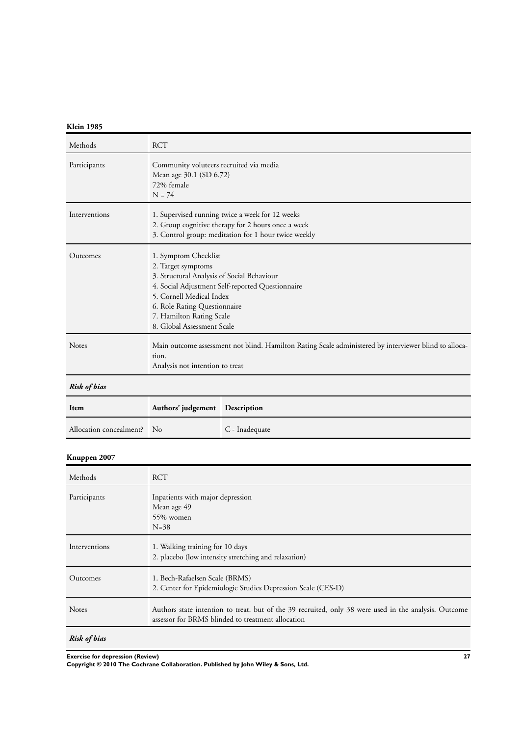### **Klein 1985**

| Methods                 | <b>RCT</b>                                                                                                                                                                                                                                                         |                |
|-------------------------|--------------------------------------------------------------------------------------------------------------------------------------------------------------------------------------------------------------------------------------------------------------------|----------------|
| Participants            | Community voluteers recruited via media<br>Mean age 30.1 (SD 6.72)<br>72% female<br>$N = 74$                                                                                                                                                                       |                |
| Interventions           | 1. Supervised running twice a week for 12 weeks<br>2. Group cognitive therapy for 2 hours once a week<br>3. Control group: meditation for 1 hour twice weekly                                                                                                      |                |
| Outcomes                | 1. Symptom Checklist<br>2. Target symptoms<br>3. Structural Analysis of Social Behaviour<br>4. Social Adjustment Self-reported Questionnaire<br>5. Cornell Medical Index<br>6. Role Rating Questionnaire<br>7. Hamilton Rating Scale<br>8. Global Assessment Scale |                |
| <b>Notes</b>            | Main outcome assessment not blind. Hamilton Rating Scale administered by interviewer blind to alloca-<br>tion.<br>Analysis not intention to treat                                                                                                                  |                |
| <b>Risk of bias</b>     |                                                                                                                                                                                                                                                                    |                |
| Item                    | Authors' judgement Description                                                                                                                                                                                                                                     |                |
| Allocation concealment? | N <sub>0</sub>                                                                                                                                                                                                                                                     | C - Inadequate |
|                         |                                                                                                                                                                                                                                                                    |                |

# **Knuppen 2007**

| Methods       | <b>RCT</b>                                                                                                                                                 |
|---------------|------------------------------------------------------------------------------------------------------------------------------------------------------------|
| Participants  | Inpatients with major depression<br>Mean age 49<br>55% women<br>$N = 38$                                                                                   |
| Interventions | 1. Walking training for 10 days<br>2. placebo (low intensity stretching and relaxation)                                                                    |
| Outcomes      | 1. Bech-Rafaelsen Scale (BRMS)<br>2. Center for Epidemiologic Studies Depression Scale (CES-D)                                                             |
| <b>Notes</b>  | Authors state intention to treat. but of the 39 recruited, only 38 were used in the analysis. Outcome<br>assessor for BRMS blinded to treatment allocation |
| Risk of bias  |                                                                                                                                                            |

**Exercise for depression (Review) 27**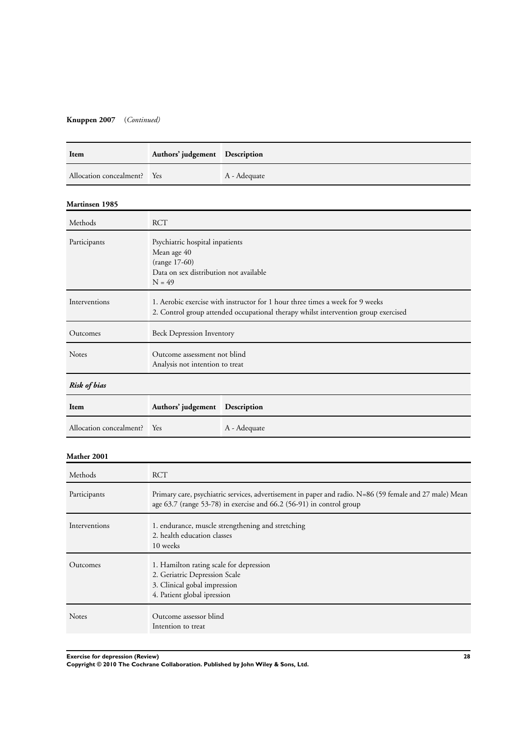### **Knuppen 2007** (*Continued)*

| Item                    | Authors' judgement                                                                                                                                                              | Description  |
|-------------------------|---------------------------------------------------------------------------------------------------------------------------------------------------------------------------------|--------------|
| Allocation concealment? | Yes                                                                                                                                                                             | A - Adequate |
| Martinsen 1985          |                                                                                                                                                                                 |              |
| Methods                 | <b>RCT</b>                                                                                                                                                                      |              |
| Participants            | Psychiatric hospital inpatients<br>Mean age 40<br>(range 17-60)<br>Data on sex distribution not available<br>$N = 49$                                                           |              |
| Interventions           | 1. Aerobic exercise with instructor for 1 hour three times a week for 9 weeks<br>2. Control group attended occupational therapy whilst intervention group exercised             |              |
| Outcomes                | <b>Beck Depression Inventory</b>                                                                                                                                                |              |
| Notes                   | Outcome assessment not blind<br>Analysis not intention to treat                                                                                                                 |              |
| <b>Risk of bias</b>     |                                                                                                                                                                                 |              |
| Item                    | Authors' judgement                                                                                                                                                              | Description  |
| Allocation concealment? | Yes                                                                                                                                                                             | A - Adequate |
| <b>Mather 2001</b>      |                                                                                                                                                                                 |              |
| Methods                 | <b>RCT</b>                                                                                                                                                                      |              |
| Participants            | Primary care, psychiatric services, advertisement in paper and radio. N=86 (59 female and 27 male) Mean<br>age 63.7 (range 53-78) in exercise and 66.2 (56-91) in control group |              |
| Interventions           | 1. endurance, muscle strengthening and stretching<br>2. health education classes<br>10 weeks                                                                                    |              |
| Outcomes                | 1. Hamilton rating scale for depression<br>2. Geriatric Depression Scale<br>3. Clinical gobal impression<br>4. Patient global ipression                                         |              |
| Notes                   | Outcome assessor blind<br>Intention to treat                                                                                                                                    |              |

**Exercise for depression (Review) 28**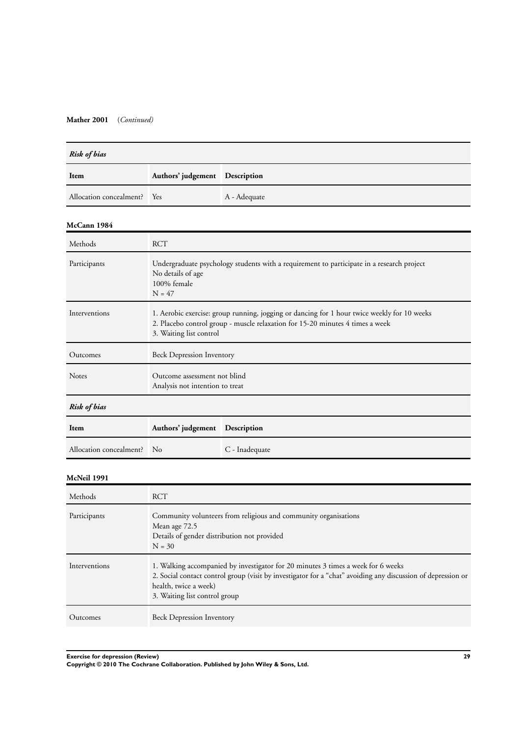### **Mather 2001** (*Continued)*

| <b>Risk of bias</b>         |                                |              |
|-----------------------------|--------------------------------|--------------|
| Item                        | Authors' judgement Description |              |
| Allocation concealment? Yes |                                | A - Adequate |

### **McCann 1984**

| Methods                 | <b>RCT</b>                                                                                                                                                                                              |                |
|-------------------------|---------------------------------------------------------------------------------------------------------------------------------------------------------------------------------------------------------|----------------|
| Participants            | Undergraduate psychology students with a requirement to participate in a research project<br>No details of age<br>100% female<br>$N = 47$                                                               |                |
| Interventions           | 1. Aerobic exercise: group running, jogging or dancing for 1 hour twice weekly for 10 weeks<br>2. Placebo control group - muscle relaxation for 15-20 minutes 4 times a week<br>3. Waiting list control |                |
| Outcomes                | <b>Beck Depression Inventory</b>                                                                                                                                                                        |                |
| <b>Notes</b>            | Outcome assessment not blind<br>Analysis not intention to treat                                                                                                                                         |                |
| <b>Risk of bias</b>     |                                                                                                                                                                                                         |                |
| Item                    | Authors' judgement Description                                                                                                                                                                          |                |
| Allocation concealment? | N <sub>0</sub>                                                                                                                                                                                          | C - Inadequate |

### **McNeil 1991**

| Methods       | <b>RCT</b>                                                                                                                                                                                                                                                 |
|---------------|------------------------------------------------------------------------------------------------------------------------------------------------------------------------------------------------------------------------------------------------------------|
| Participants  | Community volunteers from religious and community organisations<br>Mean age 72.5<br>Details of gender distribution not provided<br>$N = 30$                                                                                                                |
| Interventions | 1. Walking accompanied by investigator for 20 minutes 3 times a week for 6 weeks<br>2. Social contact control group (visit by investigator for a "chat" avoiding any discussion of depression or<br>health, twice a week)<br>3. Waiting list control group |
| Outcomes      | <b>Beck Depression Inventory</b>                                                                                                                                                                                                                           |

**Exercise for depression (Review) 29**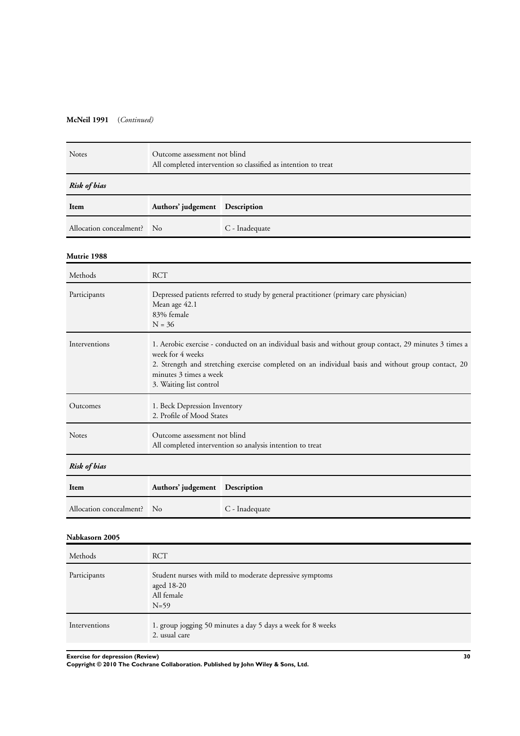### **McNeil 1991** (*Continued)*

| <b>Notes</b>               | Outcome assessment not blind<br>All completed intervention so classified as intention to treat |                |
|----------------------------|------------------------------------------------------------------------------------------------|----------------|
| <b>Risk of bias</b>        |                                                                                                |                |
| Item                       | Authors' judgement Description                                                                 |                |
| Allocation concealment? No |                                                                                                | C - Inadequate |

### **Mutrie 1988**

| Methods                 | <b>RCT</b>                                                                                                                                                                                                                                                                            |                |
|-------------------------|---------------------------------------------------------------------------------------------------------------------------------------------------------------------------------------------------------------------------------------------------------------------------------------|----------------|
| Participants            | Depressed patients referred to study by general practitioner (primary care physician)<br>Mean age 42.1<br>83% female<br>$N = 36$                                                                                                                                                      |                |
| Interventions           | 1. Aerobic exercise - conducted on an individual basis and without group contact, 29 minutes 3 times a<br>week for 4 weeks<br>2. Strength and stretching exercise completed on an individual basis and without group contact, 20<br>minutes 3 times a week<br>3. Waiting list control |                |
| Outcomes                | 1. Beck Depression Inventory<br>2. Profile of Mood States                                                                                                                                                                                                                             |                |
| <b>Notes</b>            | Outcome assessment not blind<br>All completed intervention so analysis intention to treat                                                                                                                                                                                             |                |
| <b>Risk of bias</b>     |                                                                                                                                                                                                                                                                                       |                |
| Item                    | Authors' judgement<br><b>Description</b>                                                                                                                                                                                                                                              |                |
| Allocation concealment? | No                                                                                                                                                                                                                                                                                    | C - Inadequate |
| Nabkasorn 2005          |                                                                                                                                                                                                                                                                                       |                |

# Methods RCT Participants Student nurses with mild to moderate depressive symptoms aged 18-20 All female N=59 Interventions 1. group jogging 50 minutes a day 5 days a week for 8 weeks 2. usual care

**Exercise for depression (Review) 30**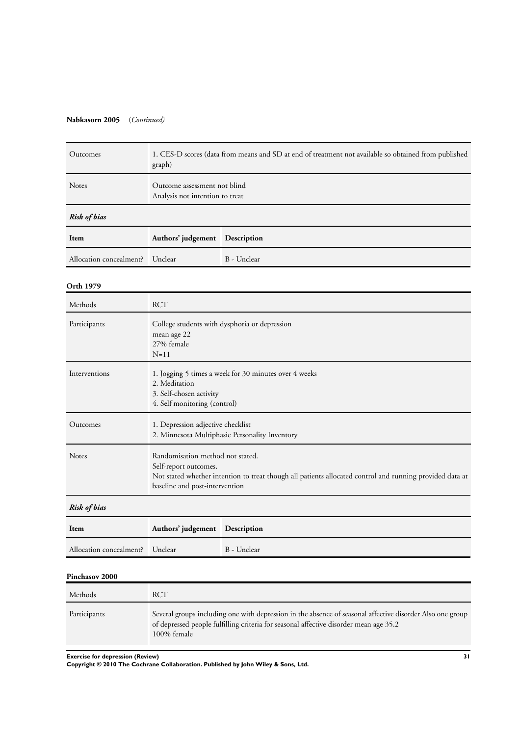### **Nabkasorn 2005** (*Continued)*

| Outcomes                | graph)                                                          | 1. CES-D scores (data from means and SD at end of treatment not available so obtained from published |
|-------------------------|-----------------------------------------------------------------|------------------------------------------------------------------------------------------------------|
| <b>Notes</b>            | Outcome assessment not blind<br>Analysis not intention to treat |                                                                                                      |
| <b>Risk of bias</b>     |                                                                 |                                                                                                      |
| Item                    | Authors' judgement Description                                  |                                                                                                      |
| Allocation concealment? | <b>Unclear</b>                                                  | B - Unclear                                                                                          |

### **Orth 1979**

| Methods                 | <b>RCT</b>                                                                                                                                                                                                        |             |
|-------------------------|-------------------------------------------------------------------------------------------------------------------------------------------------------------------------------------------------------------------|-------------|
| Participants            | College students with dysphoria or depression<br>mean age 22<br>27% female<br>$N=11$                                                                                                                              |             |
| Interventions           | 1. Jogging 5 times a week for 30 minutes over 4 weeks<br>2. Meditation<br>3. Self-chosen activity<br>4. Self monitoring (control)                                                                                 |             |
| Outcomes                | 1. Depression adjective checklist<br>2. Minnesota Multiphasic Personality Inventory                                                                                                                               |             |
| <b>Notes</b>            | Randomisation method not stated.<br>Self-report outcomes.<br>Not stated whether intention to treat though all patients allocated control and running provided data at<br>baseline and post-intervention           |             |
| <b>Risk of bias</b>     |                                                                                                                                                                                                                   |             |
| Item                    | Authors' judgement                                                                                                                                                                                                | Description |
| Allocation concealment? | Unclear                                                                                                                                                                                                           | B - Unclear |
| Pinchasov 2000          |                                                                                                                                                                                                                   |             |
| Methods                 | <b>RCT</b>                                                                                                                                                                                                        |             |
| Participants            | Several groups including one with depression in the absence of seasonal affective disorder Also one group<br>of depressed people fulfilling criteria for seasonal affective disorder mean age 35.2<br>100% female |             |

**Exercise for depression (Review) 31**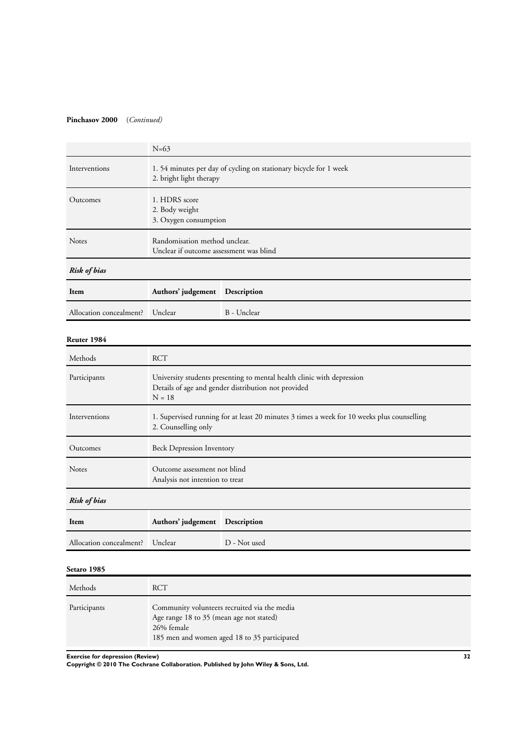### **Pinchasov 2000** (*Continued)*

|                         | $N=63$                                                                                                                                    |                                                                          |  |
|-------------------------|-------------------------------------------------------------------------------------------------------------------------------------------|--------------------------------------------------------------------------|--|
| Interventions           | 1.54 minutes per day of cycling on stationary bicycle for 1 week<br>2. bright light therapy                                               |                                                                          |  |
| Outcomes                | 1. HDRS score<br>2. Body weight                                                                                                           | 3. Oxygen consumption                                                    |  |
| Notes                   |                                                                                                                                           | Randomisation method unclear.<br>Unclear if outcome assessment was blind |  |
| Risk of bias            |                                                                                                                                           |                                                                          |  |
| Item                    | Authors' judgement Description                                                                                                            |                                                                          |  |
| Allocation concealment? | Unclear                                                                                                                                   | B - Unclear                                                              |  |
| Reuter 1984             |                                                                                                                                           |                                                                          |  |
| Methods                 | <b>RCT</b>                                                                                                                                |                                                                          |  |
| Participants            | University students presenting to mental health clinic with depression<br>Details of age and gender distribution not provided<br>$N = 18$ |                                                                          |  |
| Interventions           | 1. Supervised running for at least 20 minutes 3 times a week for 10 weeks plus counselling<br>2. Counselling only                         |                                                                          |  |
| Outcomes                | <b>Beck Depression Inventory</b>                                                                                                          |                                                                          |  |
| Notes                   | Outcome assessment not blind<br>Analysis not intention to treat                                                                           |                                                                          |  |
| <b>Risk of bias</b>     |                                                                                                                                           |                                                                          |  |
| Item                    | Authors' judgement                                                                                                                        | Description                                                              |  |
| Allocation concealment? | Unclear                                                                                                                                   | D - Not used                                                             |  |
| Setaro 1985             |                                                                                                                                           |                                                                          |  |
| Methods                 | RCT                                                                                                                                       |                                                                          |  |

| Methods      | <b>RCT</b>                                                                                                                                             |
|--------------|--------------------------------------------------------------------------------------------------------------------------------------------------------|
| Participants | Community volunteers recruited via the media<br>Age range 18 to 35 (mean age not stated)<br>26% female<br>185 men and women aged 18 to 35 participated |

**Exercise for depression (Review) 32**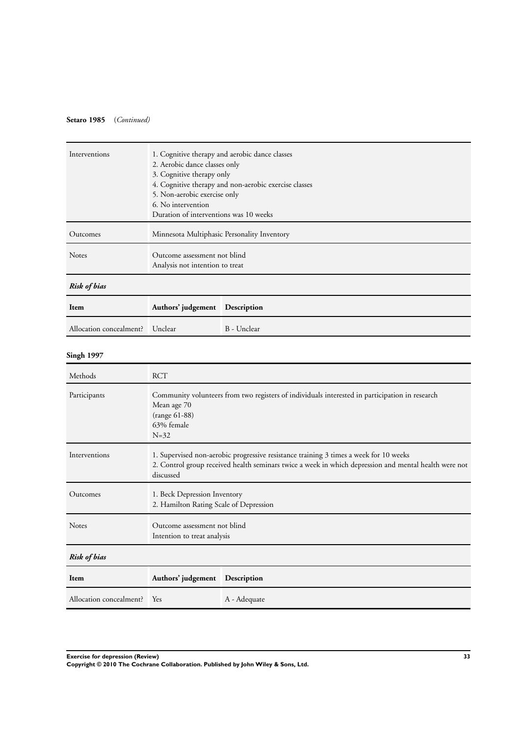### **Setaro 1985** (*Continued)*

| Interventions           | 1. Cognitive therapy and aerobic dance classes |                                                       |  |
|-------------------------|------------------------------------------------|-------------------------------------------------------|--|
|                         | 2. Aerobic dance classes only                  |                                                       |  |
|                         | 3. Cognitive therapy only                      |                                                       |  |
|                         |                                                | 4. Cognitive therapy and non-aerobic exercise classes |  |
|                         | 5. Non-aerobic exercise only                   |                                                       |  |
|                         | 6. No intervention                             |                                                       |  |
|                         | Duration of interventions was 10 weeks         |                                                       |  |
| Outcomes                |                                                | Minnesota Multiphasic Personality Inventory           |  |
| <b>Notes</b>            | Outcome assessment not blind                   |                                                       |  |
|                         | Analysis not intention to treat                |                                                       |  |
| <b>Risk of bias</b>     |                                                |                                                       |  |
| Item                    | Authors' judgement Description                 |                                                       |  |
| Allocation concealment? | Unclear                                        | B - Unclear                                           |  |

# **Singh 1997**

| Methods                 | <b>RCT</b>                                                                                                                                                                                                  |                    |
|-------------------------|-------------------------------------------------------------------------------------------------------------------------------------------------------------------------------------------------------------|--------------------|
| Participants            | Community volunteers from two registers of individuals interested in participation in research<br>Mean age 70<br>(range 61-88)<br>63% female<br>$N=32$                                                      |                    |
| Interventions           | 1. Supervised non-aerobic progressive resistance training 3 times a week for 10 weeks<br>2. Control group received health seminars twice a week in which depression and mental health were not<br>discussed |                    |
| Outcomes                | 1. Beck Depression Inventory<br>2. Hamilton Rating Scale of Depression                                                                                                                                      |                    |
| <b>Notes</b>            | Outcome assessment not blind<br>Intention to treat analysis                                                                                                                                                 |                    |
| <b>Risk of bias</b>     |                                                                                                                                                                                                             |                    |
| Item                    | Authors' judgement                                                                                                                                                                                          | <b>Description</b> |
| Allocation concealment? | Yes                                                                                                                                                                                                         | A - Adequate       |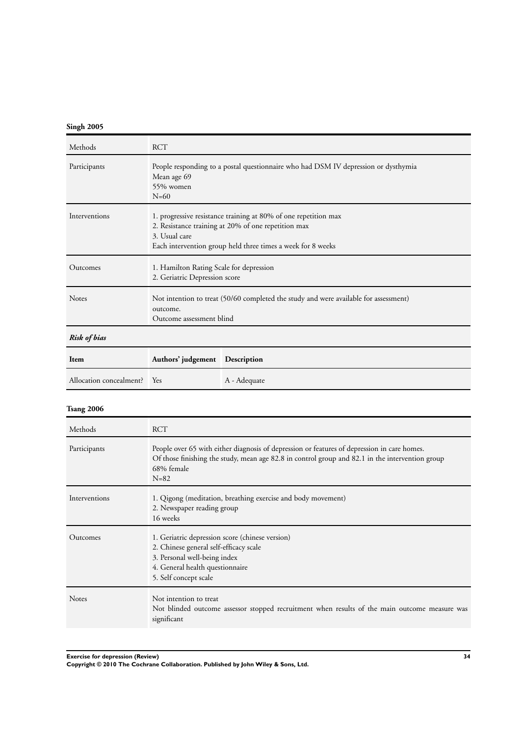# **Singh 2005**

| Methods                 | <b>RCT</b>                                                                                                                                                                                             |                    |
|-------------------------|--------------------------------------------------------------------------------------------------------------------------------------------------------------------------------------------------------|--------------------|
| Participants            | People responding to a postal questionnaire who had DSM IV depression or dysthymia<br>Mean age 69<br>55% women<br>$N=60$                                                                               |                    |
| Interventions           | 1. progressive resistance training at 80% of one repetition max<br>2. Resistance training at 20% of one repetition max<br>3. Usual care<br>Each intervention group held three times a week for 8 weeks |                    |
| Outcomes                | 1. Hamilton Rating Scale for depression<br>2. Geriatric Depression score                                                                                                                               |                    |
| <b>Notes</b>            | Not intention to treat (50/60 completed the study and were available for assessment)<br>outcome.<br>Outcome assessment blind                                                                           |                    |
| <b>Risk of bias</b>     |                                                                                                                                                                                                        |                    |
| Item                    | Authors' judgement                                                                                                                                                                                     | <b>Description</b> |
| Allocation concealment? | Yes                                                                                                                                                                                                    | A - Adequate       |

# **Tsang 2006**

| Methods       | <b>RCT</b>                                                                                                                                                                                                             |
|---------------|------------------------------------------------------------------------------------------------------------------------------------------------------------------------------------------------------------------------|
| Participants  | People over 65 with either diagnosis of depression or features of depression in care homes.<br>Of those finishing the study, mean age 82.8 in control group and 82.1 in the intervention group<br>68% female<br>$N=82$ |
| Interventions | 1. Qigong (meditation, breathing exercise and body movement)<br>2. Newspaper reading group<br>16 weeks                                                                                                                 |
| Outcomes      | 1. Geriatric depression score (chinese version)<br>2. Chinese general self-efficacy scale<br>3. Personal well-being index<br>4. General health questionnaire<br>5. Self concept scale                                  |
| <b>Notes</b>  | Not intention to treat<br>Not blinded outcome assessor stopped recruitment when results of the main outcome measure was<br>significant                                                                                 |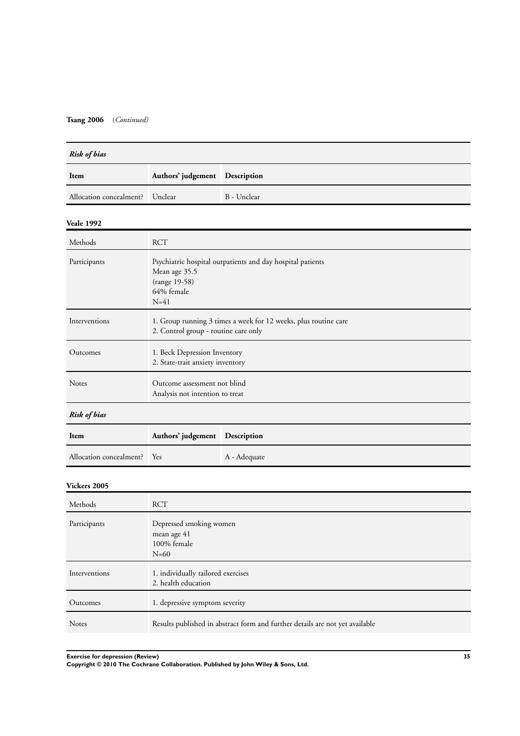# **Tsang 2006** (*Continued)*

| <b>Risk of bias</b>     |                                                                                                                      |              |
|-------------------------|----------------------------------------------------------------------------------------------------------------------|--------------|
| Item                    | Authors' judgement                                                                                                   | Description  |
| Allocation concealment? | Unclear                                                                                                              | B - Unclear  |
| <b>Veale 1992</b>       |                                                                                                                      |              |
| Methods                 | <b>RCT</b>                                                                                                           |              |
| Participants            | Psychiatric hospital outpatients and day hospital patients<br>Mean age 35.5<br>(range 19-58)<br>64% female<br>$N=41$ |              |
| Interventions           | 1. Group running 3 times a week for 12 weeks, plus routine care<br>2. Control group - routine care only              |              |
| Outcomes                | 1. Beck Depression Inventory<br>2. State-trait anxiety inventory                                                     |              |
| Notes                   | Outcome assessment not blind<br>Analysis not intention to treat                                                      |              |
| <b>Risk of bias</b>     |                                                                                                                      |              |
| Item                    | Authors' judgement                                                                                                   | Description  |
| Allocation concealment? | Yes                                                                                                                  | A - Adequate |
| Vickers 2005            |                                                                                                                      |              |
| Methods                 | <b>RCT</b>                                                                                                           |              |
| Participants            | Depressed smoking women                                                                                              |              |

|               | mean age 41<br>100% female<br>$N=60$                                         |
|---------------|------------------------------------------------------------------------------|
| Interventions | 1. individually tailored exercises<br>2. health education                    |
| Outcomes      | 1. depressive symptom severity                                               |
| <b>Notes</b>  | Results published in abstract form and further details are not yet available |

**Exercise for depression (Review) 35**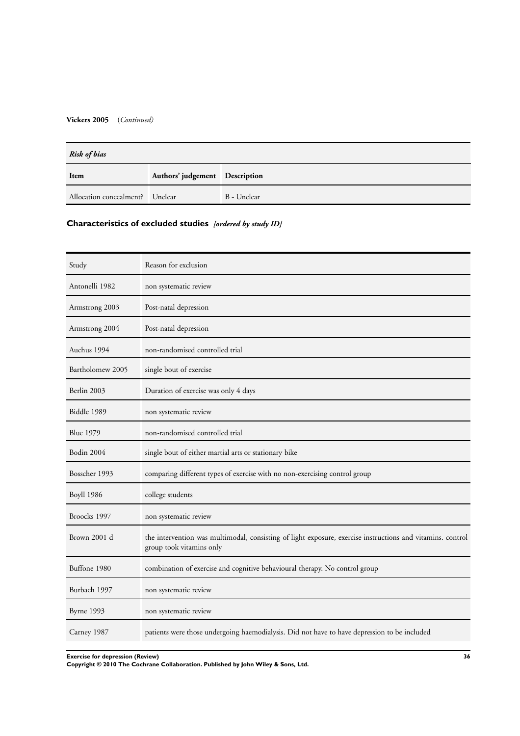### <span id="page-38-0"></span>**Vickers 2005** (*Continued)*

| <b>Risk of bias</b>             |                                |             |
|---------------------------------|--------------------------------|-------------|
| Item                            | Authors' judgement Description |             |
| Allocation concealment? Unclear |                                | B - Unclear |

# **Characteristics of excluded studies** *[ordered by study ID]*

| Study            | Reason for exclusion                                                                                                                   |
|------------------|----------------------------------------------------------------------------------------------------------------------------------------|
| Antonelli 1982   | non systematic review                                                                                                                  |
| Armstrong 2003   | Post-natal depression                                                                                                                  |
| Armstrong 2004   | Post-natal depression                                                                                                                  |
| Auchus 1994      | non-randomised controlled trial                                                                                                        |
| Bartholomew 2005 | single bout of exercise                                                                                                                |
| Berlin 2003      | Duration of exercise was only 4 days                                                                                                   |
| Biddle 1989      | non systematic review                                                                                                                  |
| <b>Blue 1979</b> | non-randomised controlled trial                                                                                                        |
| Bodin 2004       | single bout of either martial arts or stationary bike                                                                                  |
| Bosscher 1993    | comparing different types of exercise with no non-exercising control group                                                             |
| Boyll 1986       | college students                                                                                                                       |
| Broocks 1997     | non systematic review                                                                                                                  |
| Brown 2001 d     | the intervention was multimodal, consisting of light exposure, exercise instructions and vitamins. control<br>group took vitamins only |
| Buffone 1980     | combination of exercise and cognitive behavioural therapy. No control group                                                            |
| Burbach 1997     | non systematic review                                                                                                                  |
| Byrne 1993       | non systematic review                                                                                                                  |
| Carney 1987      | patients were those undergoing haemodialysis. Did not have to have depression to be included                                           |

**Exercise for depression (Review) 36**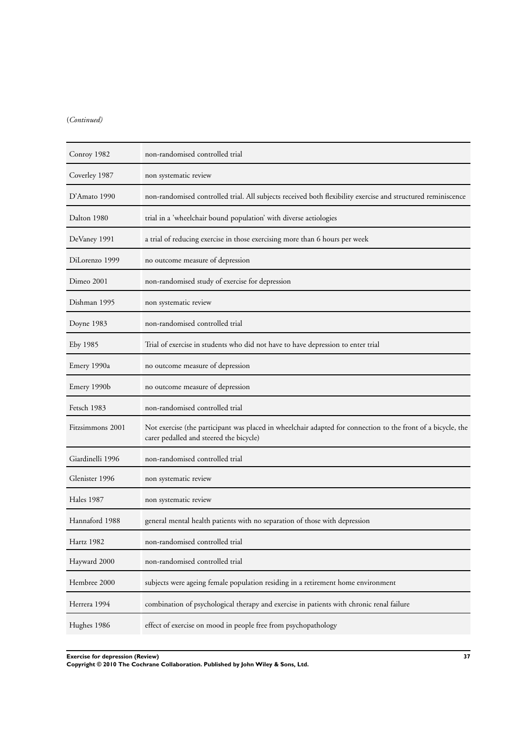| non-randomised controlled trial                                                                                                                         |
|---------------------------------------------------------------------------------------------------------------------------------------------------------|
| non systematic review                                                                                                                                   |
| non-randomised controlled trial. All subjects received both flexibility exercise and structured reminiscence                                            |
| trial in a 'wheelchair bound population' with diverse aetiologies                                                                                       |
| a trial of reducing exercise in those exercising more than 6 hours per week                                                                             |
| no outcome measure of depression                                                                                                                        |
| non-randomised study of exercise for depression                                                                                                         |
| non systematic review                                                                                                                                   |
| non-randomised controlled trial                                                                                                                         |
| Trial of exercise in students who did not have to have depression to enter trial                                                                        |
| no outcome measure of depression                                                                                                                        |
| no outcome measure of depression                                                                                                                        |
| non-randomised controlled trial                                                                                                                         |
| Not exercise (the participant was placed in wheelchair adapted for connection to the front of a bicycle, the<br>carer pedalled and steered the bicycle) |
| non-randomised controlled trial                                                                                                                         |
| non systematic review                                                                                                                                   |
| non systematic review                                                                                                                                   |
| general mental health patients with no separation of those with depression                                                                              |
| non-randomised controlled trial                                                                                                                         |
| non-randomised controlled trial                                                                                                                         |
| subjects were ageing female population residing in a retirement home environment                                                                        |
| combination of psychological therapy and exercise in patients with chronic renal failure                                                                |
| effect of exercise on mood in people free from psychopathology                                                                                          |
|                                                                                                                                                         |

**Exercise for depression (Review) 37**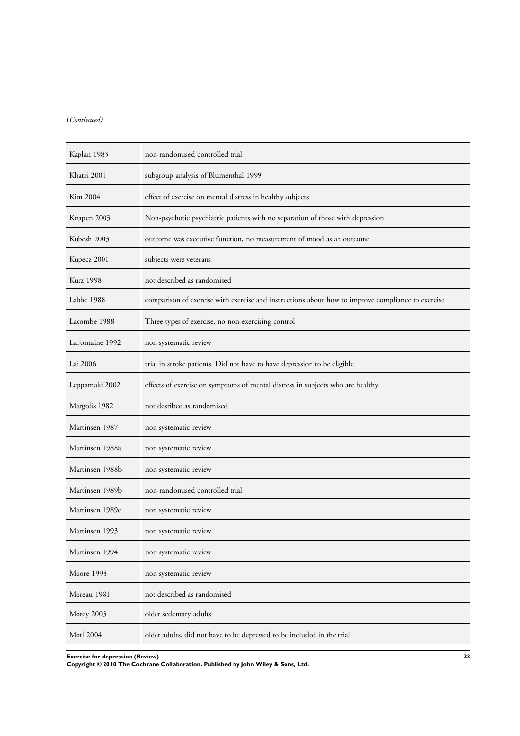| Kaplan 1983      | non-randomised controlled trial                                                                   |
|------------------|---------------------------------------------------------------------------------------------------|
| Khatri 2001      | subgroup analysis of Blumenthal 1999                                                              |
| Kim 2004         | effect of exercise on mental distress in healthy subjects                                         |
| Knapen 2003      | Non-psychotic psychiatric patients with no separation of those with depression                    |
| Kubesh 2003      | outcome was executive function, no measurement of mood as an outcome                              |
| Kupecz 2001      | subjects were veterans                                                                            |
| <b>Kurz</b> 1998 | not described as randomised                                                                       |
| Labbe 1988       | comparison of exercise with exercise and instructions about how to improve compliance to exercise |
| Lacombe 1988     | Three types of exercise, no non-exercising control                                                |
| LaFontaine 1992  | non systematic review                                                                             |
| Lai 2006         | trial in stroke patients. Did not have to have depression to be eligible                          |
| Leppamaki 2002   | effects of exercise on symptoms of mental distress in subjects who are healthy                    |
| Margolis 1982    | not desribed as randomised                                                                        |
| Martinsen 1987   | non systematic review                                                                             |
| Martinsen 1988a  | non systematic review                                                                             |
| Martinsen 1988b  | non systematic review                                                                             |
| Martinsen 1989b  | non-randomised controlled trial                                                                   |
| Martinsen 1989c  | non systematic review                                                                             |
| Martinsen 1993   | non systematic review                                                                             |
| Martinsen 1994   | non systematic review                                                                             |
| Moore 1998       | non systematic review                                                                             |
| Moreau 1981      | not described as randomised                                                                       |
| Morey 2003       | older sedentary adults                                                                            |
| Motl 2004        | older adults, did not have to be depressed to be included in the trial                            |

**Exercise for depression (Review) 38**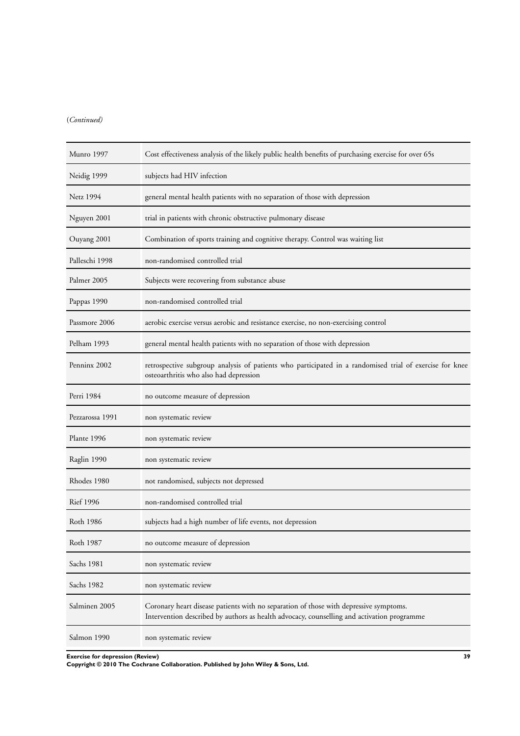| Munro 1997       | Cost effectiveness analysis of the likely public health benefits of purchasing exercise for over 65s                                                                                |
|------------------|-------------------------------------------------------------------------------------------------------------------------------------------------------------------------------------|
| Neidig 1999      | subjects had HIV infection                                                                                                                                                          |
| <b>Netz</b> 1994 | general mental health patients with no separation of those with depression                                                                                                          |
| Nguyen 2001      | trial in patients with chronic obstructive pulmonary disease                                                                                                                        |
| Ouyang 2001      | Combination of sports training and cognitive therapy. Control was waiting list                                                                                                      |
| Palleschi 1998   | non-randomised controlled trial                                                                                                                                                     |
| Palmer 2005      | Subjects were recovering from substance abuse                                                                                                                                       |
| Pappas 1990      | non-randomised controlled trial                                                                                                                                                     |
| Passmore 2006    | aerobic exercise versus aerobic and resistance exercise, no non-exercising control                                                                                                  |
| Pelham 1993      | general mental health patients with no separation of those with depression                                                                                                          |
| Penninx 2002     | retrospective subgroup analysis of patients who participated in a randomised trial of exercise for knee<br>osteoarthritis who also had depression                                   |
| Perri 1984       | no outcome measure of depression                                                                                                                                                    |
| Pezzarossa 1991  | non systematic review                                                                                                                                                               |
| Plante 1996      | non systematic review                                                                                                                                                               |
| Raglin 1990      | non systematic review                                                                                                                                                               |
| Rhodes 1980      | not randomised, subjects not depressed                                                                                                                                              |
| <b>Rief 1996</b> | non-randomised controlled trial                                                                                                                                                     |
| Roth 1986        | subjects had a high number of life events, not depression                                                                                                                           |
| Roth 1987        | no outcome measure of depression                                                                                                                                                    |
| Sachs 1981       | non systematic review                                                                                                                                                               |
| Sachs 1982       | non systematic review                                                                                                                                                               |
| Salminen 2005    | Coronary heart disease patients with no separation of those with depressive symptoms.<br>Intervention described by authors as health advocacy, counselling and activation programme |
| Salmon 1990      | non systematic review                                                                                                                                                               |

**Exercise for depression (Review) 39**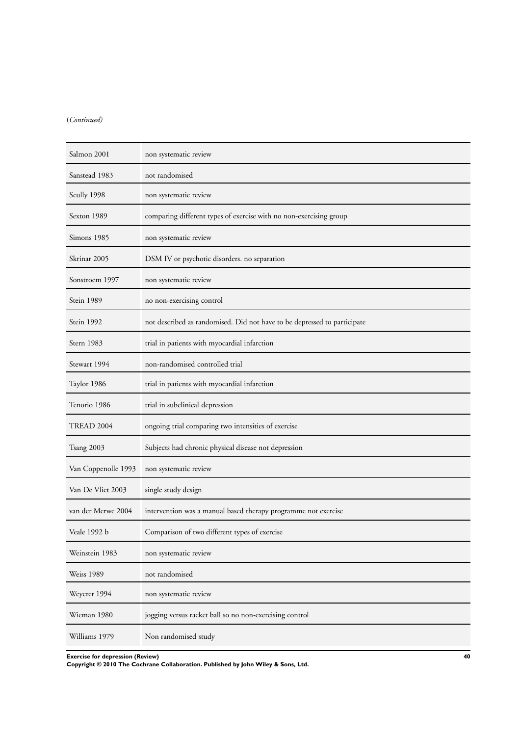| Salmon 2001         | non systematic review                                                    |
|---------------------|--------------------------------------------------------------------------|
| Sanstead 1983       | not randomised                                                           |
| Scully 1998         | non systematic review                                                    |
| Sexton 1989         | comparing different types of exercise with no non-exercising group       |
| Simons 1985         | non systematic review                                                    |
| Skrinar 2005        | DSM IV or psychotic disorders. no separation                             |
| Sonstroem 1997      | non systematic review                                                    |
| Stein 1989          | no non-exercising control                                                |
| Stein 1992          | not described as randomised. Did not have to be depressed to participate |
| Stern 1983          | trial in patients with myocardial infarction                             |
| Stewart 1994        | non-randomised controlled trial                                          |
| Taylor 1986         | trial in patients with myocardial infarction                             |
| Tenorio 1986        | trial in subclinical depression                                          |
| TREAD 2004          | ongoing trial comparing two intensities of exercise                      |
| Tsang 2003          | Subjects had chronic physical disease not depression                     |
| Van Coppenolle 1993 | non systematic review                                                    |
| Van De Vliet 2003   | single study design                                                      |
| van der Merwe 2004  | intervention was a manual based therapy programme not exercise           |
| Veale 1992 b        | Comparison of two different types of exercise                            |
| Weinstein 1983      | non systematic review                                                    |
| Weiss 1989          | not randomised                                                           |
| Weyerer 1994        | non systematic review                                                    |
| Wieman 1980         | jogging versus racket ball so no non-exercising control                  |
| Williams 1979       | Non randomised study                                                     |

**Exercise for depression (Review) 40**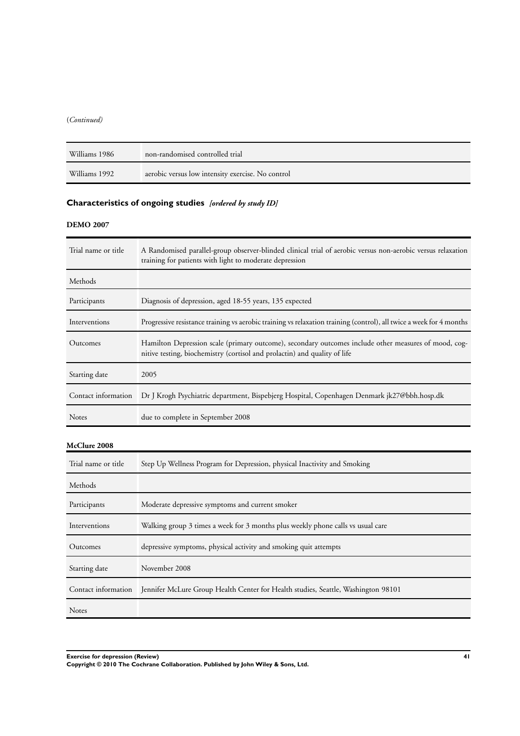<span id="page-43-0"></span>

| Williams 1986 | non-randomised controlled trial                   |
|---------------|---------------------------------------------------|
| Williams 1992 | aerobic versus low intensity exercise. No control |

# **Characteristics of ongoing studies** *[ordered by study ID]*

### **DEMO 2007**

| Trial name or title | A Randomised parallel-group observer-blinded clinical trial of aerobic versus non-aerobic versus relaxation<br>training for patients with light to moderate depression            |
|---------------------|-----------------------------------------------------------------------------------------------------------------------------------------------------------------------------------|
| Methods             |                                                                                                                                                                                   |
| Participants        | Diagnosis of depression, aged 18-55 years, 135 expected                                                                                                                           |
| Interventions       | Progressive resistance training vs aerobic training vs relaxation training (control), all twice a week for 4 months                                                               |
| Outcomes            | Hamilton Depression scale (primary outcome), secondary outcomes include other measures of mood, cog-<br>nitive testing, biochemistry (cortisol and prolactin) and quality of life |
| Starting date       | 2005                                                                                                                                                                              |
| Contact information | Dr J Krogh Psychiatric department, Bispebjerg Hospital, Copenhagen Denmark jk27@bbh.hosp.dk                                                                                       |
| <b>Notes</b>        | due to complete in September 2008                                                                                                                                                 |

## **McClure 2008**

| Trial name or title | Step Up Wellness Program for Depression, physical Inactivity and Smoking          |
|---------------------|-----------------------------------------------------------------------------------|
| Methods             |                                                                                   |
| Participants        | Moderate depressive symptoms and current smoker                                   |
| Interventions       | Walking group 3 times a week for 3 months plus weekly phone calls vs usual care   |
| Outcomes            | depressive symptoms, physical activity and smoking quit attempts                  |
| Starting date       | November 2008                                                                     |
| Contact information | Jennifer McLure Group Health Center for Health studies, Seattle, Washington 98101 |
| <b>Notes</b>        |                                                                                   |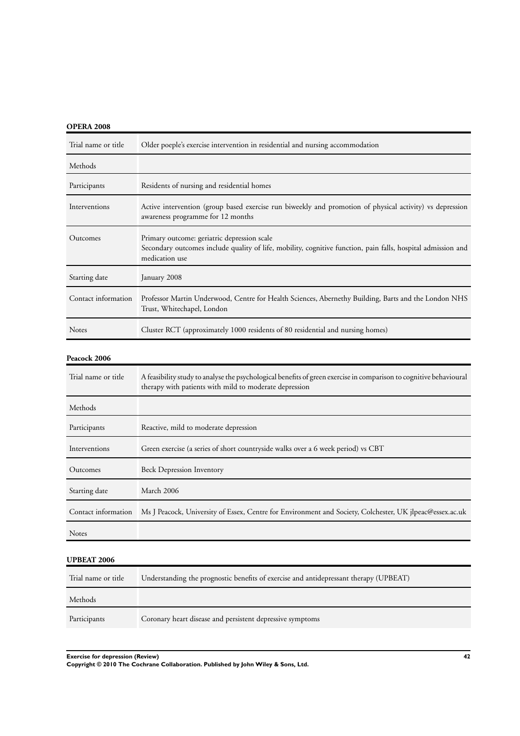### **OPERA 2008**

| Trial name or title | Older poeple's exercise intervention in residential and nursing accommodation                                                                                                 |
|---------------------|-------------------------------------------------------------------------------------------------------------------------------------------------------------------------------|
| Methods             |                                                                                                                                                                               |
| Participants        | Residents of nursing and residential homes                                                                                                                                    |
| Interventions       | Active intervention (group based exercise run biweekly and promotion of physical activity) vs depression<br>awareness programme for 12 months                                 |
| Outcomes            | Primary outcome: geriatric depression scale<br>Secondary outcomes include quality of life, mobility, cognitive function, pain falls, hospital admission and<br>medication use |
| Starting date       | January 2008                                                                                                                                                                  |
| Contact information | Professor Martin Underwood, Centre for Health Sciences, Abernethy Building, Barts and the London NHS<br>Trust, Whitechapel, London                                            |
| <b>Notes</b>        | Cluster RCT (approximately 1000 residents of 80 residential and nursing homes)                                                                                                |

### **Peacock 2006**

| Trial name or title | A feasibility study to analyse the psychological benefits of green exercise in comparison to cognitive behavioural<br>therapy with patients with mild to moderate depression |
|---------------------|------------------------------------------------------------------------------------------------------------------------------------------------------------------------------|
| Methods             |                                                                                                                                                                              |
| Participants        | Reactive, mild to moderate depression                                                                                                                                        |
| Interventions       | Green exercise (a series of short countryside walks over a 6 week period) vs CBT                                                                                             |
| Outcomes            | <b>Beck Depression Inventory</b>                                                                                                                                             |
| Starting date       | March 2006                                                                                                                                                                   |
| Contact information | Ms J Peacock, University of Essex, Centre for Environment and Society, Colchester, UK ilpeac@essex.ac.uk                                                                     |
|                     |                                                                                                                                                                              |

Notes

# **UPBEAT 2006**

| Trial name or title | Understanding the prognostic benefits of exercise and antidepressant therapy (UPBEAT) |
|---------------------|---------------------------------------------------------------------------------------|
| Methods             |                                                                                       |
| Participants        | Coronary heart disease and persistent depressive symptoms                             |

**Exercise for depression (Review) 42**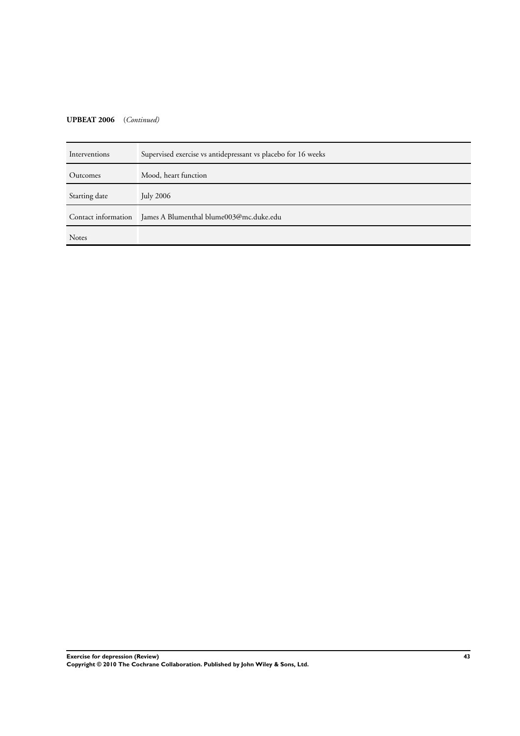### **UPBEAT 2006** (*Continued)*

| Interventions | Supervised exercise vs antidepressant vs placebo for 16 weeks |
|---------------|---------------------------------------------------------------|
| Outcomes      | Mood, heart function                                          |
| Starting date | <b>July 2006</b>                                              |
|               | Contact information James A Blumenthal blume003@mc.duke.edu   |
| <b>Notes</b>  |                                                               |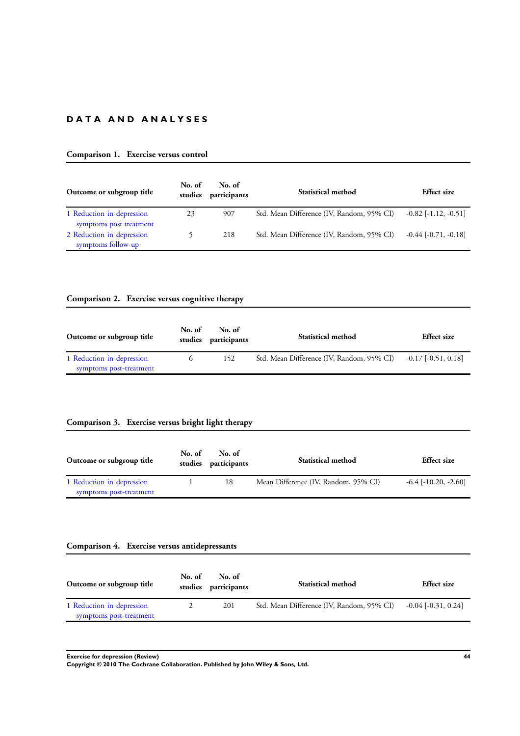## **D A T A A N D A N A L Y S E S**

#### **Outcome or subgroup title No. of studies No. of participants Statistical method Effect size** [1 Reduction in depression](#page-48-0) [symptoms post treatment](#page-48-0) 23 907 Std. Mean Difference (IV, Random, 95% CI) -0.82 [-1.12, -0.51] [2 Reduction in depression](#page-48-0) [symptoms follow-up](#page-48-0) 5 218 Std. Mean Difference (IV, Random, 95% CI) -0.44 [-0.71, -0.18]

### **Comparison 1. Exercise versus control**

### **Comparison 2. Exercise versus cognitive therapy**

| Outcome or subgroup title | No. of   | No. of<br>studies participants | Statistical method                        | <b>Effect</b> size      |
|---------------------------|----------|--------------------------------|-------------------------------------------|-------------------------|
| 1 Reduction in depression | $\Omega$ | 152                            | Std. Mean Difference (IV, Random, 95% CI) | $-0.17$ $[-0.51, 0.18]$ |
| symptoms post-treatment   |          |                                |                                           |                         |

### **Comparison 3. Exercise versus bright light therapy**

| Outcome or subgroup title | No. of | No. of<br>studies participants | <b>Statistical method</b>            | <b>Effect</b> size       |
|---------------------------|--------|--------------------------------|--------------------------------------|--------------------------|
| 1 Reduction in depression |        | 18                             | Mean Difference (IV, Random, 95% CI) | $-6.4$ $[-10.20, -2.60]$ |
| symptoms post-treatment   |        |                                |                                      |                          |

### **Comparison 4. Exercise versus antidepressants**

| Outcome or subgroup title | No. of | No. of<br>studies participants | <b>Statistical method</b>                 | <b>Effect</b> size      |
|---------------------------|--------|--------------------------------|-------------------------------------------|-------------------------|
| 1 Reduction in depression |        | 201                            | Std. Mean Difference (IV, Random, 95% CI) | $-0.04$ $[-0.31, 0.24]$ |
| symptoms post-treatment   |        |                                |                                           |                         |

**Exercise for depression (Review) 44**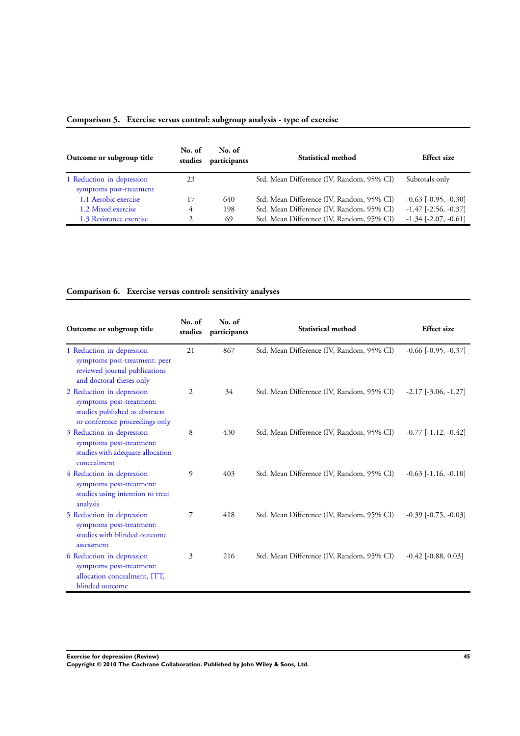| Outcome or subgroup title                            | No. of<br>studies | No. of<br>participants | Statistical method                        | <b>Effect size</b>            |
|------------------------------------------------------|-------------------|------------------------|-------------------------------------------|-------------------------------|
| 1 Reduction in depression<br>symptoms post-treatment | 23                |                        | Std. Mean Difference (IV, Random, 95% CI) | Subtotals only                |
| 1.1 Aerobic exercise                                 | 17                | 640                    | Std. Mean Difference (IV, Random, 95% CI) | $-0.63$ $[-0.95, -0.30]$      |
| 1.2 Mixed exercise                                   | 4                 | 198                    | Std. Mean Difference (IV, Random, 95% CI) | $-1.47$ [ $-2.56$ , $-0.37$ ] |
| 1.3 Resistance exercise                              | $\mathcal{L}$     | 69                     | Std. Mean Difference (IV, Random, 95% CI) | $-1.34$ $[-2.07, -0.61]$      |

### **Comparison 5. Exercise versus control: subgroup analysis - type of exercise**

### **Comparison 6. Exercise versus control: sensitivity analyses**

| Outcome or subgroup title                                                                                                 | No. of<br>studies | No. of<br>participants | Statistical method                        | <b>Effect</b> size            |
|---------------------------------------------------------------------------------------------------------------------------|-------------------|------------------------|-------------------------------------------|-------------------------------|
| 1 Reduction in depression<br>symptoms post-treatment: peer<br>reviewed journal publications<br>and doctoral theses only   | 21                | 867                    | Std. Mean Difference (IV, Random, 95% CI) | $-0.66$ $[-0.95, -0.37]$      |
| 2 Reduction in depression<br>symptoms post-treatment:<br>studies published as abstracts<br>or conference proceedings only | 2                 | 34                     | Std. Mean Difference (IV, Random, 95% CI) | $-2.17$ $[-3.06, -1.27]$      |
| 3 Reduction in depression<br>symptoms post-treatment:<br>studies with adequate allocation<br>concealment                  | 8                 | 430                    | Std. Mean Difference (IV, Random, 95% CI) | $-0.77$ $[-1.12, -0.42]$      |
| 4 Reduction in depression<br>symptoms post-treatment:<br>studies using intention to treat<br>analysis                     | 9                 | 403                    | Std. Mean Difference (IV, Random, 95% CI) | $-0.63$ [ $-1.16$ , $-0.10$ ] |
| 5 Reduction in depression<br>symptoms post-treatment:<br>studies with blinded outcome<br>assessment                       | 7                 | 418                    | Std. Mean Difference (IV, Random, 95% CI) | $-0.39$ $[-0.75, -0.03]$      |
| 6 Reduction in depression<br>symptoms post-treatment:<br>allocation concealment, ITT,<br>blinded outcome                  | 3                 | 216                    | Std. Mean Difference (IV, Random, 95% CI) | $-0.42$ [ $-0.88, 0.03$ ]     |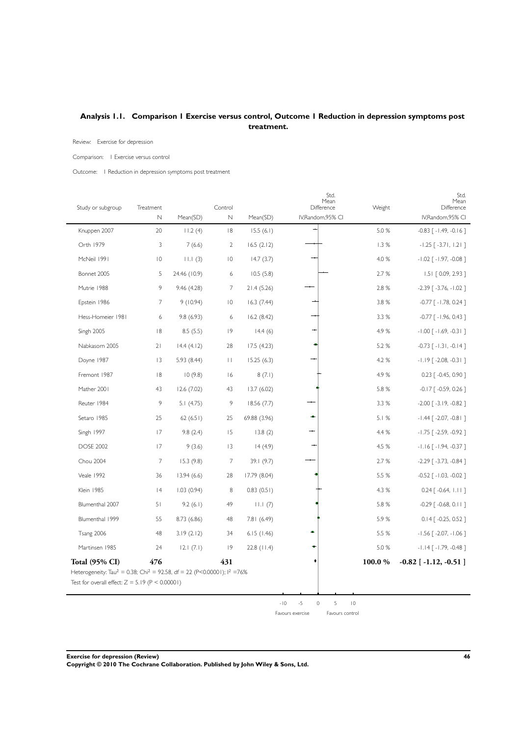### <span id="page-48-0"></span>**Analysis 1.1. Comparison 1 Exercise versus control, Outcome 1 Reduction in depression symptoms post treatment.**

Review: Exercise for depression

Comparison: 1 Exercise versus control

Outcome: 1 Reduction in depression symptoms post treatment

| Study or subgroup                                                                                                                   | Treatment<br>$\mathbb N$ | Mean(SD)     | Control<br>$\mathbb N$ | Mean(SD)      | Std.<br>Mean<br>Difference<br>IV,Random,95% CI | Weight         | Std.<br>Mean<br>Difference<br>IV,Random,95% CI |
|-------------------------------------------------------------------------------------------------------------------------------------|--------------------------|--------------|------------------------|---------------|------------------------------------------------|----------------|------------------------------------------------|
| Knuppen 2007                                                                                                                        | 20                       | 11.2(4)      | 8                      | 15.5(6.1)     |                                                | 5.0%           | $-0.83$ $\lceil -1.49, -0.16 \rceil$           |
| Orth 1979                                                                                                                           | 3                        | 7(6.6)       | 2                      | 16.5(2.12)    |                                                | 1.3%           | $-1.25$ [ $-3.71$ , 1.21]                      |
| McNeil 1991                                                                                                                         | $ 0\rangle$              | 11.1(3)      | $\overline{0}$         | 14.7(3.7)     |                                                | 4.0 %          | $-1.02$ [ $-1.97$ , $-0.08$ ]                  |
| Bonnet 2005                                                                                                                         | 5                        | 24.46 (10.9) | 6                      | 10.5(5.8)     |                                                | 2.7%           | $1.51$ $[0.09, 2.93]$                          |
| Mutrie 1988                                                                                                                         | 9                        | 9.46 (4.28)  | 7                      | 21.4(5.26)    |                                                | 2.8 %          | $-2.39$ $[-3.76, -1.02]$                       |
| Epstein 1986                                                                                                                        | 7                        | 9(10.94)     | $\overline{0}$         | 16.3(7.44)    |                                                | 3.8 %          | $-0.77$ [ $-1.78$ , 0.24]                      |
| Hess-Homeier 1981                                                                                                                   | 6                        | 9.8(6.93)    | 6                      | 16.2(8.42)    |                                                | 3.3 %          | $-0.77$ [ $-1.96$ , 0.43]                      |
| Singh 2005                                                                                                                          | 8                        | 8.5(5.5)     | 9                      | 14.4(6)       |                                                | 4.9%           | $-1.00$ $[-1.69, -0.31]$                       |
| Nabkasorn 2005                                                                                                                      | 21                       | 14.4(4.12)   | 28                     | 17.5(4.23)    |                                                | 5.2 %          | $-0.73$ [ $-1.31$ , $-0.14$ ]                  |
| Doyne 1987                                                                                                                          | 3                        | 5.93 (8.44)  | $\mathbf{H}$           | 15.25(6.3)    |                                                | 4.2 %          | $-1.19$ [ $-2.08$ , $-0.31$ ]                  |
| Fremont 1987                                                                                                                        | 8                        | 10(9.8)      | 6                      | 8(7.1)        |                                                | 4.9%           | $0.23$ $\lceil -0.45, 0.90 \rceil$             |
| Mather 2001                                                                                                                         | 43                       | 12.6(7.02)   | 43                     | 13.7(6.02)    |                                                | 5.8 %          | $-0.17$ [ $-0.59$ , 0.26 ]                     |
| Reuter 1984                                                                                                                         | 9                        | 5.1(4.75)    | 9                      | 18.56(7.7)    |                                                | 3.3 %          | $-2.00$ $[-3.19, -0.82]$                       |
| Setaro 1985                                                                                                                         | 25                       | 62(6.51)     | 25                     | 69.88 (3.96)  |                                                | 5.1%           | $-1.44$ [ $-2.07$ , $-0.81$ ]                  |
| Singh 1997                                                                                                                          | 17                       | 9.8(2.4)     | 15                     | 13.8(2)       |                                                | 4.4 %          | $-1.75$ [ $-2.59$ , $-0.92$ ]                  |
| <b>DOSE 2002</b>                                                                                                                    | 17                       | 9(3.6)       | 3                      | 14(4.9)       |                                                | 4.5 %          | $-1.16$ $[-1.94, -0.37]$                       |
| Chou 2004                                                                                                                           | 7                        | 15.3(9.8)    | 7                      | 39.1 (9.7)    |                                                | 2.7%           | $-2.29$ [ $-3.73$ , $-0.84$ ]                  |
| <b>Veale 1992</b>                                                                                                                   | 36                       | 13.94(6.6)   | 28                     | 17.79 (8.04)  |                                                | 5.5 %          | $-0.52$ $\lceil -1.03, -0.02 \rceil$           |
| <b>Klein 1985</b>                                                                                                                   | 4                        | 1.03(0.94)   | 8                      | 0.83(0.51)    |                                                | 4.3 %          | $0.24$ [ -0.64, 1.11 ]                         |
| Blumenthal 2007                                                                                                                     | 51                       | 9.2(6.1)     | 49                     | 11.1(7)       |                                                | 5.8 %          | $-0.29$ [ $-0.68$ , 0.11 ]                     |
| Blumenthal 1999                                                                                                                     | 55                       | 8.73 (6.86)  | 48                     | 7.81 (6.49)   |                                                | 5.9%           | $0.14$ $[-0.25, 0.52]$                         |
| Tsang 2006                                                                                                                          | 48                       | 3.19(2.12)   | 34                     | 6.15(1.46)    |                                                | 5.5 %          | $-1.56$ $[-2.07, -1.06]$                       |
| Martinsen 1985                                                                                                                      | 24                       | 12.1(7.1)    | 9                      | $22.8$ (11.4) |                                                | 5.0%           | $-1.14$ $[-1.79, -0.48]$                       |
| <b>Total (95% CI)</b><br>Heterogeneity: Tau <sup>2</sup> = 0.38; Chi <sup>2</sup> = 92.58, df = 22 (P<0.00001); l <sup>2</sup> =76% | 476                      |              | 431                    |               |                                                | 100.0 %        | $-0.82$ [ $-1.12$ , $-0.51$ ]                  |
| Test for overall effect: $Z = 5.19$ (P < 0.00001)                                                                                   |                          |              |                        |               | $-10$<br>$-5$<br>Ó<br>5                        | $\overline{0}$ |                                                |

Favours exercise Favours control

**Exercise for depression (Review) 46**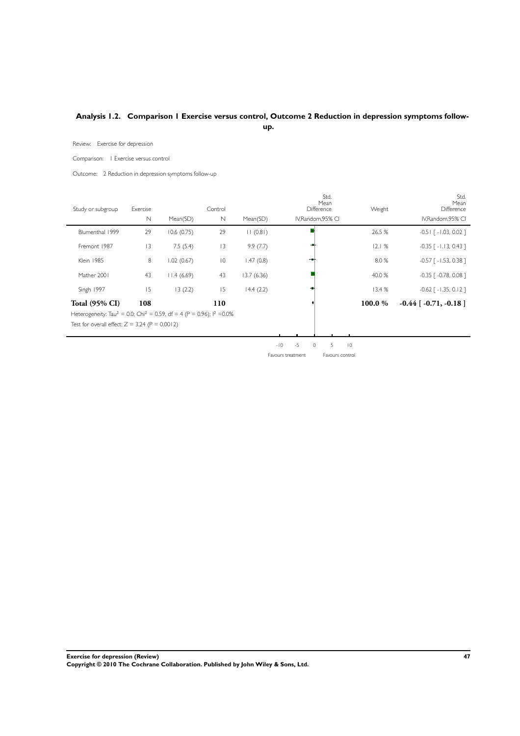### **Analysis 1.2. Comparison 1 Exercise versus control, Outcome 2 Reduction in depression symptoms followup.**

Review: Exercise for depression

Comparison: 1 Exercise versus control

Outcome: 2 Reduction in depression symptoms follow-up

| Study or subgroup                                                                                                                                                                     | Exercise    |            | Control        |            |                   |      | Std.<br>Mean<br>Difference | Weight         | Std.<br>Mean<br>Difference           |
|---------------------------------------------------------------------------------------------------------------------------------------------------------------------------------------|-------------|------------|----------------|------------|-------------------|------|----------------------------|----------------|--------------------------------------|
|                                                                                                                                                                                       | $\mathbb N$ | Mean(SD)   | $\mathbb N$    | Mean(SD)   |                   |      | IV, Random, 95% CI         |                | IV, Random, 95% CI                   |
| Blumenthal 1999                                                                                                                                                                       | 29          | 10.6(0.75) | 29             | 11(0.81)   |                   |      |                            | 26.5 %         | $-0.5$   $\lceil -1.03, 0.02 \rceil$ |
| Fremont 1987                                                                                                                                                                          | 3           | 7.5(5.4)   | 3              | 9.9(7.7)   |                   |      |                            | 12.1%          | $-0.35$ $\lceil -1.13, 0.43 \rceil$  |
| Klein 1985                                                                                                                                                                            | 8           | 1.02(0.67) | $\overline{0}$ | 1.47(0.8)  |                   |      |                            | 8.0%           | $-0.57$ [ $-1.53$ , 0.38]            |
| Mather 2001                                                                                                                                                                           | 43          | 11.4(6.69) | 43             | 13.7(6.36) |                   |      |                            | 40.0 %         | $-0.35$ $\lceil -0.78, 0.08 \rceil$  |
| Singh 1997                                                                                                                                                                            | 15          | 13(2.2)    | 15             | 14.4(2.2)  |                   |      |                            | 13.4%          | $-0.62$ $[-1.35, 0.12]$              |
| <b>Total (95% CI)</b><br>Heterogeneity: Tau <sup>2</sup> = 0.0; Chi <sup>2</sup> = 0.59, df = 4 (P = 0.96); l <sup>2</sup> = 0.0%<br>Test for overall effect: $Z = 3.24$ (P = 0.0012) | 108         |            | 110            |            |                   |      |                            | 100.0 %        | $-0.44$ [ $-0.71$ , $-0.18$ ]        |
|                                                                                                                                                                                       |             |            |                |            |                   |      |                            |                |                                      |
|                                                                                                                                                                                       |             |            |                |            | $-10$             | $-5$ | 5<br>$\Omega$              | $\overline{0}$ |                                      |
|                                                                                                                                                                                       |             |            |                |            | Favours treatment |      | Favours control            |                |                                      |

**Exercise for depression (Review) 47 Copyright © 2010 The Cochrane Collaboration. Published by John Wiley & Sons, Ltd.**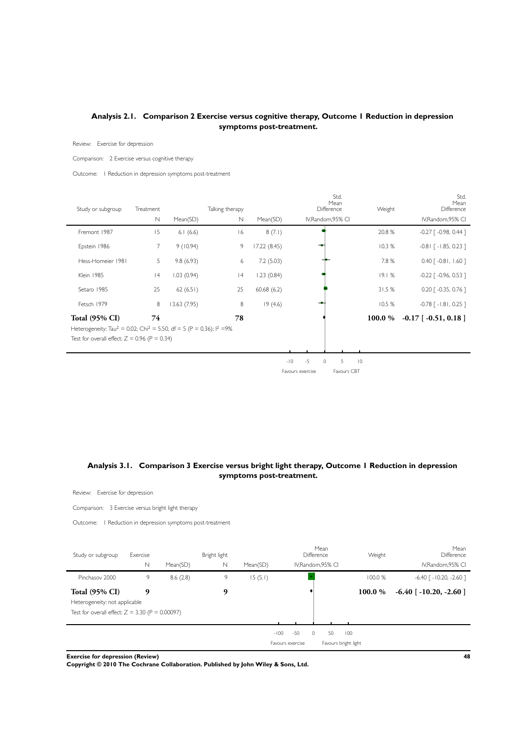### <span id="page-50-0"></span>**Analysis 2.1. Comparison 2 Exercise versus cognitive therapy, Outcome 1 Reduction in depression symptoms post-treatment.**

Review: Exercise for depression

Comparison: 2 Exercise versus cognitive therapy

Outcome: 1 Reduction in depression symptoms post-treatment

| Study or subgroup                                                                                                                                         | Treatment |             | Talking therapy |              | Std.<br>Mean<br><b>Difference</b> | Weight  | Std.<br>Mean<br>Difference           |
|-----------------------------------------------------------------------------------------------------------------------------------------------------------|-----------|-------------|-----------------|--------------|-----------------------------------|---------|--------------------------------------|
|                                                                                                                                                           | N         | Mean(SD)    | N               | Mean(SD)     | IV, Random, 95% CI                |         | IV, Random, 95% CI                   |
| Fremont 1987                                                                                                                                              | 15        | 6.1(6.6)    | 16              | 8(7.1)       |                                   | 20.8 %  | $-0.27$ [ $-0.98$ , 0.44 ]           |
| Epstein 1986                                                                                                                                              |           | 9(10.94)    | 9               | 17.22 (8.45) |                                   | 10.3%   | $-0.8$   $\lceil -1.85, 0.23 \rceil$ |
| Hess-Homeier 1981                                                                                                                                         | 5         | 9.8(6.93)   | 6               | 7.2(5.03)    |                                   | 7.8%    | $0.40$ $\lceil -0.81, 1.60 \rceil$   |
| Klein 1985                                                                                                                                                | 4         | 1.03(0.94)  | 4               | 1.23(0.84)   |                                   | 19.1%   | $-0.22$ [ $-0.96$ , 0.53 ]           |
| Setaro 1985                                                                                                                                               | 25        | 62(6.51)    | 25              | 60.68(6.2)   |                                   | 31.5 %  | $0.20$ $\lceil -0.35, 0.76 \rceil$   |
| Fetsch 1979                                                                                                                                               | 8         | 13.63(7.95) | 8               | 19(4.6)      |                                   | 10.5 %  | $-0.78$ [ $-1.81$ , 0.25]            |
| <b>Total (95% CI)</b>                                                                                                                                     | 74        |             | 78              |              |                                   | 100.0 % | $-0.17$ [ $-0.51$ , 0.18 ]           |
| Heterogeneity: Tau <sup>2</sup> = 0.02; Chi <sup>2</sup> = 5.50, df = 5 (P = 0.36); l <sup>2</sup> = 9%<br>Test for overall effect: $Z = 0.96$ (P = 0.34) |           |             |                 |              |                                   |         |                                      |

 $-10$   $-5$  0 5 10

Favours exercise Favours CBT

### **Analysis 3.1. Comparison 3 Exercise versus bright light therapy, Outcome 1 Reduction in depression symptoms post-treatment.**

| Review:                                                | Exercise for depression |                                                 |              |          |                      |                      |         |                                |
|--------------------------------------------------------|-------------------------|-------------------------------------------------|--------------|----------|----------------------|----------------------|---------|--------------------------------|
| Comparison:                                            |                         | 3 Exercise versus bright light therapy          |              |          |                      |                      |         |                                |
| Outcome:                                               |                         | Reduction in depression symptoms post-treatment |              |          |                      |                      |         |                                |
| Study or subgroup                                      | Exercise                |                                                 | Bright light |          | Difference           | Mean                 | Weight  | Mean<br>Difference             |
|                                                        | $\mathsf{N}$            | Mean(SD)                                        | $\mathbb N$  | Mean(SD) | IV, Random, 95% CI   |                      |         | IV, Random, 95% CI             |
| Pinchasov 2000                                         | 9                       | 8.6(2.8)                                        | 9            | 15(5.1)  |                      |                      | 100.0 % | $-6.40$ [ $-10.20$ , $-2.60$ ] |
| <b>Total (95% CI)</b><br>Heterogeneity: not applicable | 9                       |                                                 | 9            |          |                      |                      | 100.0 % | $-6.40$ [ $-10.20$ , $-2.60$ ] |
| Test for overall effect: $Z = 3.30$ (P = 0.00097)      |                         |                                                 |              |          |                      |                      |         |                                |
|                                                        |                         |                                                 |              |          | $-50$<br>$-100$<br>∩ | 100<br>50            |         |                                |
|                                                        |                         |                                                 |              |          | Favours exercise     | Favours bright light |         |                                |
| <b>Exercise for depression (Review)</b>                |                         |                                                 |              |          |                      |                      |         | 48                             |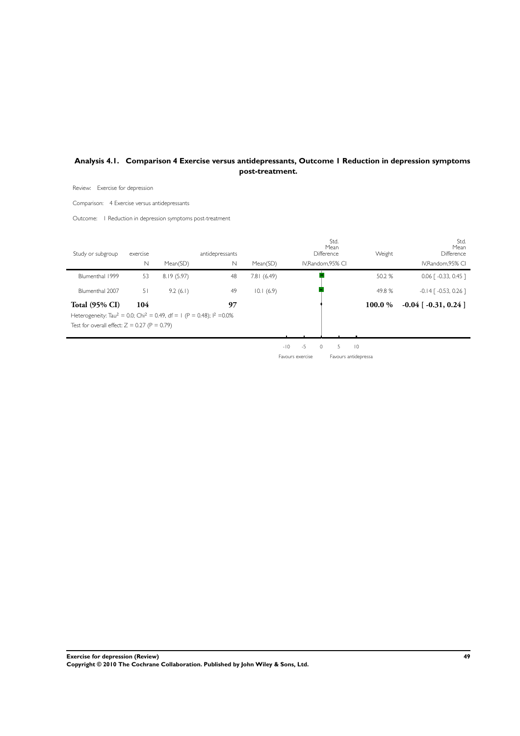### <span id="page-51-0"></span>**Analysis 4.1. Comparison 4 Exercise versus antidepressants, Outcome 1 Reduction in depression symptoms post-treatment.**

Review: Exercise for depression

Comparison: 4 Exercise versus antidepressants

Outcome: 1 Reduction in depression symptoms post-treatment

| Study or subgroup                                                                                        | exercise<br>$\hbox{N}$ | Mean(SD)    | antidepressants<br>$\hbox{N}$ | Mean(SD)    |                          | Std.<br>Mean<br>Difference<br>IV, Random, 95% CI | Weight     | Std.<br>Mean<br>Difference<br>IV,Random,95% CI |
|----------------------------------------------------------------------------------------------------------|------------------------|-------------|-------------------------------|-------------|--------------------------|--------------------------------------------------|------------|------------------------------------------------|
| Blumenthal 1999                                                                                          | 53                     | 8.19 (5.97) | 48                            | 7.81 (6.49) | $\pm$                    |                                                  | 50.2 %     | $0.06$ [ -0.33, 0.45 ]                         |
| Blumenthal 2007                                                                                          | $51$                   | 9.2(6.1)    | 49                            | 10.1(6.9)   | ÷                        |                                                  | 49.8 %     | $-0.14$ [ $-0.53$ , 0.26]                      |
| <b>Total (95% CI)</b>                                                                                    | 104                    |             | 97                            |             |                          |                                                  | 100.0 $\%$ | $-0.04$ [ $-0.31, 0.24$ ]                      |
| Heterogeneity: Tau <sup>2</sup> = 0.0; Chi <sup>2</sup> = 0.49, df = 1 (P = 0.48); l <sup>2</sup> = 0.0% |                        |             |                               |             |                          |                                                  |            |                                                |
| Test for overall effect: $Z = 0.27$ (P = 0.79)                                                           |                        |             |                               |             |                          |                                                  |            |                                                |
|                                                                                                          |                        |             |                               |             | $-10$<br>$-5$<br>$\circ$ | $\sqrt{5}$<br>$\rm I0$                           |            |                                                |
|                                                                                                          |                        |             |                               |             | Favours exercise         | Favours antidepressa                             |            |                                                |
|                                                                                                          |                        |             |                               |             |                          |                                                  |            |                                                |
|                                                                                                          |                        |             |                               |             |                          |                                                  |            |                                                |
|                                                                                                          |                        |             |                               |             |                          |                                                  |            |                                                |
|                                                                                                          |                        |             |                               |             |                          |                                                  |            |                                                |
|                                                                                                          |                        |             |                               |             |                          |                                                  |            |                                                |
|                                                                                                          |                        |             |                               |             |                          |                                                  |            |                                                |
|                                                                                                          |                        |             |                               |             |                          |                                                  |            |                                                |
|                                                                                                          |                        |             |                               |             |                          |                                                  |            |                                                |
|                                                                                                          |                        |             |                               |             |                          |                                                  |            |                                                |
|                                                                                                          |                        |             |                               |             |                          |                                                  |            |                                                |
|                                                                                                          |                        |             |                               |             |                          |                                                  |            |                                                |
|                                                                                                          |                        |             |                               |             |                          |                                                  |            |                                                |
|                                                                                                          |                        |             |                               |             |                          |                                                  |            |                                                |
|                                                                                                          |                        |             |                               |             |                          |                                                  |            |                                                |
|                                                                                                          |                        |             |                               |             |                          |                                                  |            |                                                |
|                                                                                                          |                        |             |                               |             |                          |                                                  |            |                                                |
|                                                                                                          |                        |             |                               |             |                          |                                                  |            |                                                |
|                                                                                                          |                        |             |                               |             |                          |                                                  |            |                                                |
|                                                                                                          |                        |             |                               |             |                          |                                                  |            |                                                |
|                                                                                                          |                        |             |                               |             |                          |                                                  |            |                                                |
|                                                                                                          |                        |             |                               |             |                          |                                                  |            |                                                |
|                                                                                                          |                        |             |                               |             |                          |                                                  |            |                                                |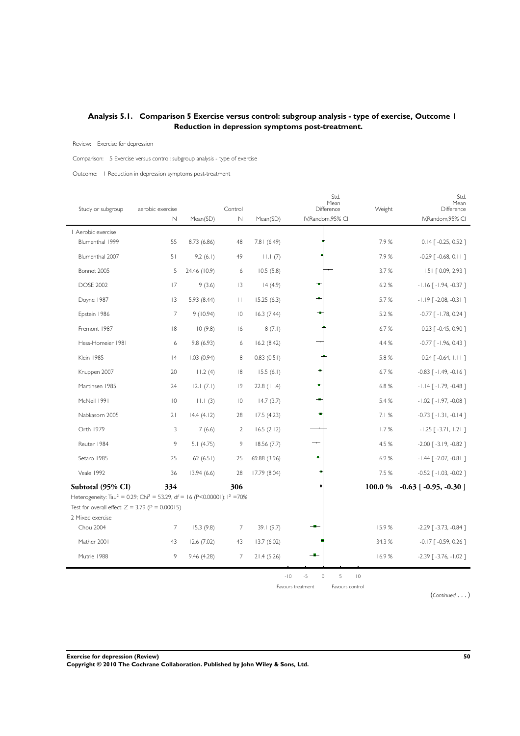### <span id="page-52-0"></span>**Analysis 5.1. Comparison 5 Exercise versus control: subgroup analysis - type of exercise, Outcome 1 Reduction in depression symptoms post-treatment.**

Review: Exercise for depression

Comparison: 5 Exercise versus control: subgroup analysis - type of exercise

Outcome: 1 Reduction in depression symptoms post-treatment

| Study or subgroup                                                                                 | aerobic exercise<br>$\mathsf{N}$ | Mean(SD)     | Control<br>$\mathbb N$ | Mean(SD)      | Std.<br>Mean<br>Difference<br>IV,Random,95% CI | Weight         | Std.<br>Mean<br>Difference<br>IV,Random,95% CI |
|---------------------------------------------------------------------------------------------------|----------------------------------|--------------|------------------------|---------------|------------------------------------------------|----------------|------------------------------------------------|
| I Aerobic exercise                                                                                |                                  |              |                        |               |                                                |                |                                                |
| Blumenthal 1999                                                                                   | 55                               | 8.73 (6.86)  | 48                     | 7.81 (6.49)   |                                                | 7.9%           | $0.14$ $[-0.25, 0.52]$                         |
| Blumenthal 2007                                                                                   | 51                               | 9.2(6.1)     | 49                     | 11.1(7)       |                                                | 7.9%           | $-0.29$ [ $-0.68$ , 0.11 ]                     |
| Bonnet 2005                                                                                       | 5                                | 24.46 (10.9) | 6                      | 10.5(5.8)     |                                                | 3.7%           | $1.51$ $[0.09, 2.93]$                          |
| <b>DOSE 2002</b>                                                                                  | 17                               | 9(3.6)       | 3                      | 14(4.9)       |                                                | 6.2%           | $-1.16$ [ $-1.94$ , $-0.37$ ]                  |
| Doyne 1987                                                                                        | 3                                | 5.93 (8.44)  | $\mathbf{H}$           | 15.25(6.3)    | ÷                                              | 5.7%           | $-1.19$ [ $-2.08$ , $-0.31$ ]                  |
| Epstein 1986                                                                                      | $\overline{7}$                   | 9(10.94)     | $\overline{0}$         | 16.3(7.44)    |                                                | 5.2 %          | $-0.77$ [ $-1.78$ , 0.24]                      |
| Fremont 1987                                                                                      | 8                                | 10(9.8)      | 16                     | 8(7.1)        |                                                | 6.7%           | 0.23 [ -0.45, 0.90 ]                           |
| Hess-Homeier 1981                                                                                 | 6                                | 9.8 (6.93)   | 6                      | 16.2(8.42)    |                                                | 4.4 %          | $-0.77$ [ $-1.96, 0.43$ ]                      |
| Klein 1985                                                                                        | 4                                | 1.03(0.94)   | 8                      | 0.83(0.51)    |                                                | 5.8 %          | $0.24$ $\lceil -0.64, 1.11 \rceil$             |
| Knuppen 2007                                                                                      | 20                               | 11.2(4)      | 8                      | 15.5(6.1)     |                                                | 6.7%           | $-0.83$ $\lceil -1.49, -0.16 \rceil$           |
| Martinsen 1985                                                                                    | 24                               | 12.1(7.1)    | 9                      | $22.8$ (11.4) | ٠                                              | 6.8%           | $-1.14$ [ $-1.79$ , $-0.48$ ]                  |
| McNeil 1991                                                                                       | $ 0\rangle$                      | 11.1(3)      | $\overline{10}$        | 14.7(3.7)     | -0                                             | 5.4 %          | $-1.02$ [ $-1.97, -0.08$ ]                     |
| Nabkasorn 2005                                                                                    | 21                               | 14.4(4.12)   | 28                     | 17.5(4.23)    |                                                | 7.1%           | $-0.73$ [ $-1.31, -0.14$ ]                     |
| Orth 1979                                                                                         | 3                                | 7(6.6)       | 2                      | 16.5(2.12)    |                                                | 1.7%           | $-1.25$ [ $-3.71$ , $1.21$ ]                   |
| Reuter 1984                                                                                       | 9                                | 5.1(4.75)    | 9                      | 18.56(7.7)    |                                                | 4.5 %          | $-2.00$ $[-3.19, -0.82]$                       |
| Setaro 1985                                                                                       | 25                               | 62(6.51)     | 25                     | 69.88 (3.96)  | ٠                                              | 6.9%           | $-1.44$ [ $-2.07$ , $-0.81$ ]                  |
| Veale 1992                                                                                        | 36                               | 13.94(6.6)   | 28                     | 17.79 (8.04)  |                                                | 7.5 %          | $-0.52$ $\lceil -1.03, -0.02 \rceil$           |
| Subtotal (95% CI)                                                                                 | 334                              |              | 306                    |               |                                                | 100.0 %        | $-0.63$ [ $-0.95$ , $-0.30$ ]                  |
| Heterogeneity: Tau <sup>2</sup> = 0.29; Chi <sup>2</sup> = 53.29, df = 16 (P<0.00001); $1^2$ =70% |                                  |              |                        |               |                                                |                |                                                |
| Test for overall effect: $Z = 3.79$ (P = 0.00015)<br>2 Mixed exercise                             |                                  |              |                        |               |                                                |                |                                                |
| Chou 2004                                                                                         | 7                                | 15.3(9.8)    | 7                      | 39.1(9.7)     |                                                | 15.9%          | $-2.29$ [ $-3.73$ , $-0.84$ ]                  |
| Mather 2001                                                                                       | 43                               | 12.6(7.02)   | 43                     | 13.7(6.02)    |                                                | 34.3 %         | $-0.17$ [ $-0.59$ , 0.26]                      |
| Mutrie 1988                                                                                       | 9                                | 9.46 (4.28)  | 7                      | 21.4(5.26)    |                                                | 16.9%          | $-2.39$ [ $-3.76$ , $-1.02$ ]                  |
|                                                                                                   |                                  |              |                        |               | $-5$<br>5<br>$-10$<br>0                        | $\overline{0}$ |                                                |

Favours treatment Favours control

(*Continued* ... )

**Exercise for depression (Review) 50 Copyright © 2010 The Cochrane Collaboration. Published by John Wiley & Sons, Ltd.**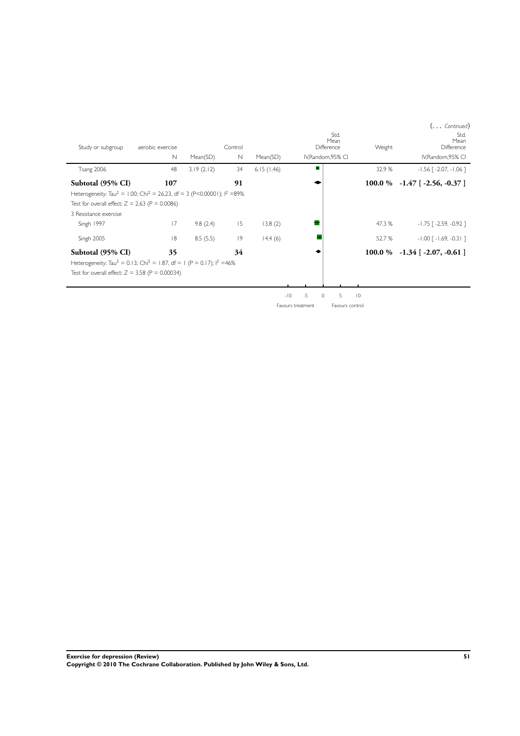|                                                                                                  |                  |            |         |            |                            |                | $(\ldots$ Continued)                  |
|--------------------------------------------------------------------------------------------------|------------------|------------|---------|------------|----------------------------|----------------|---------------------------------------|
| Study or subgroup                                                                                | aerobic exercise |            | Control |            | Std.<br>Mean<br>Difference | Weight         | Std.<br>Mean<br>Difference            |
|                                                                                                  | $\mathsf{N}$     | Mean(SD)   | N       | Mean(SD)   | IV, Random, 95% CI         |                | IV, Random, 95% CI                    |
| Tsang 2006                                                                                       | 48               | 3.19(2.12) | 34      | 6.15(1.46) | H                          | 32.9%          | $-1.56$ $[-2.07, -1.06]$              |
| Subtotal (95% CI)                                                                                | 107              |            | 91      |            |                            |                | 100.0 % $-1.47$ [ $-2.56$ , $-0.37$ ] |
| Heterogeneity: Tau <sup>2</sup> = 1.00; Chi <sup>2</sup> = 26.23, df = 3 (P<0.00001); $1^2$ =89% |                  |            |         |            |                            |                |                                       |
| Test for overall effect: $Z = 2.63$ (P = 0.0086)                                                 |                  |            |         |            |                            |                |                                       |
| 3 Resistance exercise                                                                            |                  |            |         |            |                            |                |                                       |
| Singh 1997                                                                                       | 17               | 9.8(2.4)   | 15      | 13.8(2)    |                            | 47.3 %         | $-1.75$ [ $-2.59$ , $-0.92$ ]         |
| Singh 2005                                                                                       | 8                | 8.5(5.5)   | 9       | 14.4(6)    |                            | 52.7 %         | $-1.00$ $\lceil -1.69, -0.31 \rceil$  |
| Subtotal (95% CI)                                                                                | 35               |            | 34      |            |                            |                | $100.0\%$ -1.34 [ -2.07, -0.61 ]      |
| Heterogeneity: Tau <sup>2</sup> = 0.13; Chi <sup>2</sup> = 1.87, df = 1 (P = 0.17); $1^2$ =46%   |                  |            |         |            |                            |                |                                       |
| Test for overall effect: $Z = 3.58$ (P = 0.00034)                                                |                  |            |         |            |                            |                |                                       |
|                                                                                                  |                  |            |         |            |                            |                |                                       |
|                                                                                                  |                  |            |         | $-10$      | $-5$<br>5                  | $\overline{0}$ |                                       |

Favours treatment Favours control

**Exercise for depression (Review) 51 Copyright © 2010 The Cochrane Collaboration. Published by John Wiley & Sons, Ltd.**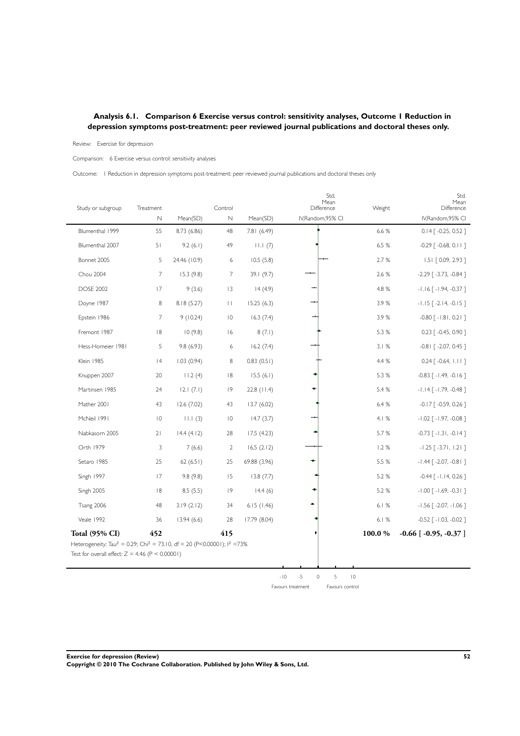### <span id="page-54-0"></span>**Analysis 6.1. Comparison 6 Exercise versus control: sensitivity analyses, Outcome 1 Reduction in depression symptoms post-treatment: peer reviewed journal publications and doctoral theses only.**

Review: Exercise for depression

Comparison: 6 Exercise versus control: sensitivity analyses

Outcome: 1 Reduction in depression symptoms post-treatment: peer reviewed journal publications and doctoral theses only

| Study or subgroup                                                                                                                                                                        | Treatment<br>$\mathbb N$ | Mean(SD)     | Control<br>$\mathbb N$ | Mean(SD)      | Std.<br>Mean<br>Difference<br>IV,Random,95% CI | Weight | Std.<br>Mean<br>Difference<br>IV,Random,95% CI |
|------------------------------------------------------------------------------------------------------------------------------------------------------------------------------------------|--------------------------|--------------|------------------------|---------------|------------------------------------------------|--------|------------------------------------------------|
| Blumenthal 1999                                                                                                                                                                          | 55                       | 8.73 (6.86)  | 48                     | 7.81 (6.49)   |                                                | 6.6 %  | $0.14$ $[-0.25, 0.52]$                         |
| Blumenthal 2007                                                                                                                                                                          | 51                       | 9.2(6.1)     | 49                     | 11.1(7)       |                                                | 6.5 %  | $-0.29$ [ $-0.68$ , 0.11]                      |
| Bonnet 2005                                                                                                                                                                              | 5                        | 24.46 (10.9) | 6                      | 10.5(5.8)     |                                                | 2.7%   | $1.51$ $[0.09, 2.93]$                          |
| Chou 2004                                                                                                                                                                                | $\overline{7}$           | 15.3(9.8)    | $\overline{7}$         | 39.1 (9.7)    |                                                | 2.6 %  | $-2.29$ [ $-3.73$ , $-0.84$ ]                  |
| <b>DOSE 2002</b>                                                                                                                                                                         | 17                       | 9(3.6)       | 3                      | 14(4.9)       |                                                | 4.8 %  | $-1.16$ [ $-1.94$ , $-0.37$ ]                  |
| Doyne 1987                                                                                                                                                                               | 8                        | 8.18(5.27)   | $\perp$                | 15.25(6.3)    |                                                | 3.9%   | $-1.15$ $[-2.14, -0.15]$                       |
| Epstein 1986                                                                                                                                                                             | 7                        | 9(10.24)     | $\overline{0}$         | 16.3(7.4)     |                                                | 3.9%   | $-0.80$ [ $-1.81$ , 0.21]                      |
| Fremont 1987                                                                                                                                                                             | 8                        | 10(9.8)      | 6                      | 8(7.1)        |                                                | 5.3 %  | $0.23$ $\lceil -0.45, 0.90 \rceil$             |
| Hess-Homeier 1981                                                                                                                                                                        | 5                        | 9.8(6.93)    | 6                      | 16.2(7.4)     |                                                | 3.1%   | $-0.8$   $[-2.07, 0.45]$                       |
| Klein 1985                                                                                                                                                                               | 4                        | 1.03(0.94)   | 8                      | 0.83(0.51)    |                                                | 4.4 %  | $0.24$ $\lceil -0.64, 1.11 \rceil$             |
| Knuppen 2007                                                                                                                                                                             | 20                       | 11.2(4)      | 8                      | 15.5(6.1)     |                                                | 5.3 %  | $-0.83$ $[-1.49, -0.16]$                       |
| Martinsen 1985                                                                                                                                                                           | 24                       | 12.1(7.1)    | 9                      | $22.8$ (11.4) |                                                | 5.4 %  | $-1.14$ [ $-1.79$ , $-0.48$ ]                  |
| Mather 2001                                                                                                                                                                              | 43                       | 12.6(7.02)   | 43                     | 13.7(6.02)    |                                                | 6.4 %  | $-0.17$ [ $-0.59$ , 0.26]                      |
| McNeil 1991                                                                                                                                                                              | $ 0\rangle$              | 11.1(3)      | $\overline{10}$        | 14.7(3.7)     |                                                | 4.1%   | $-1.02$ [ $-1.97, -0.08$ ]                     |
| Nabkasorn 2005                                                                                                                                                                           | 21                       | 14.4(4.12)   | 28                     | 17.5(4.23)    |                                                | 5.7%   | $-0.73$ [ $-1.31, -0.14$ ]                     |
| Orth 1979                                                                                                                                                                                | 3                        | 7(6.6)       | $\overline{2}$         | 16.5(2.12)    |                                                | 1.2%   | $-1.25$ [ $-3.71$ , $1.21$ ]                   |
| Setaro 1985                                                                                                                                                                              | 25                       | 62(6.51)     | 25                     | 69.88 (3.96)  | ٠                                              | 5.5 %  | $-1.44$ [ $-2.07$ , $-0.81$ ]                  |
| Singh 1997                                                                                                                                                                               | 17                       | 9.8(9.8)     | 15                     | 13.8(7.7)     |                                                | 5.2 %  | $-0.44$ $\lceil -1.14, 0.26 \rceil$            |
| Singh 2005                                                                                                                                                                               | 8                        | 8.5(5.5)     | 9                      | 14.4(6)       |                                                | 5.2 %  | $-1.00$ $[-1.69, -0.31]$                       |
| Tsang 2006                                                                                                                                                                               | 48                       | 3.19(2.12)   | 34                     | 6.15(1.46)    |                                                | 6.1%   | $-1.56$ [ $-2.07$ , $-1.06$ ]                  |
| <b>Veale 1992</b>                                                                                                                                                                        | 36                       | 13.94(6.6)   | 28                     | 17.79 (8.04)  |                                                | 6.1%   | $-0.52$ $\lceil -1.03, -0.02 \rceil$           |
| <b>Total (95% CI)</b><br>Heterogeneity: Tau <sup>2</sup> = 0.29; Chi <sup>2</sup> = 73.10, df = 20 (P<0.00001); l <sup>2</sup> =73%<br>Test for overall effect: $Z = 4.46$ (P < 0.00001) | 452                      |              | 415                    |               |                                                | 100.0% | $-0.66$ [ $-0.95$ , $-0.37$ ]                  |

 $-10$   $-5$  0 5 10

Favours treatment Favours control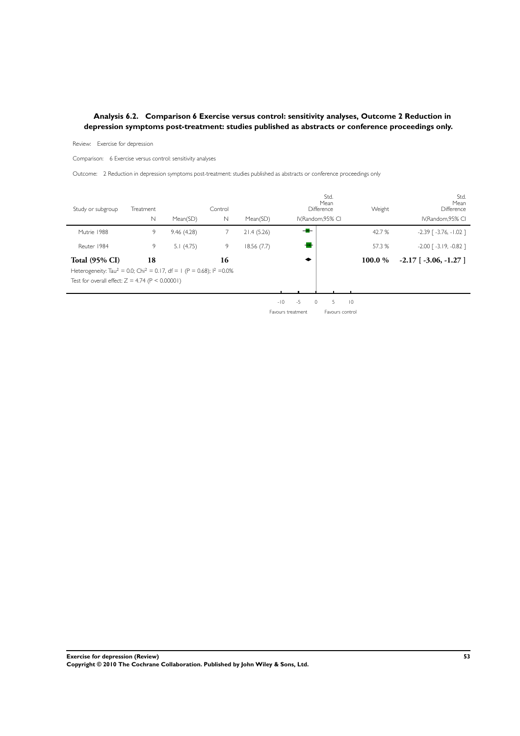### <span id="page-55-0"></span>**Analysis 6.2. Comparison 6 Exercise versus control: sensitivity analyses, Outcome 2 Reduction in depression symptoms post-treatment: studies published as abstracts or conference proceedings only.**

Review: Exercise for depression

Comparison: 6 Exercise versus control: sensitivity analyses

Outcome: 2 Reduction in depression symptoms post-treatment: studies published as abstracts or conference proceedings only

| Study or subgroup                                                                               | Treatment   |            | Control     |            |       |                   | Std.<br>Mean<br>Difference |             | Weight | Std.<br>Mean<br>Difference    |
|-------------------------------------------------------------------------------------------------|-------------|------------|-------------|------------|-------|-------------------|----------------------------|-------------|--------|-------------------------------|
|                                                                                                 | $\mathbb N$ | Mean(SD)   | $\mathbb N$ | Mean(SD)   |       |                   | IV.Random.95% CI           |             |        | IV.Random.95% CI              |
| Mutrie 1988                                                                                     | 9           | 9.46(4.28) |             | 21.4(5.26) |       | - - -             |                            |             | 42.7 % | $-2.39$ [ $-3.76$ , $-1.02$ ] |
| Reuter 1984                                                                                     | 9           | 5.1(4.75)  | 9           | 18.56(7.7) |       |                   |                            |             | 57.3 % | $-2.00$ [ $-3.19$ , $-0.82$ ] |
| <b>Total (95% CI)</b>                                                                           | 18          |            | 16          |            |       |                   |                            |             | 100.0% | $-2.17$ [ $-3.06$ , $-1.27$ ] |
| Heterogeneity: Tau <sup>2</sup> = 0.0; Chi <sup>2</sup> = 0.17, df = 1 (P = 0.68); $1^2$ = 0.0% |             |            |             |            |       |                   |                            |             |        |                               |
| Test for overall effect: $Z = 4.74$ (P < 0.00001)                                               |             |            |             |            |       |                   |                            |             |        |                               |
|                                                                                                 |             |            |             |            |       |                   |                            |             |        |                               |
|                                                                                                 |             |            |             |            | $-10$ | $-5$              | 5<br>$\Omega$              | $ 0\rangle$ |        |                               |
|                                                                                                 |             |            |             |            |       | Favours treatment | Favours control            |             |        |                               |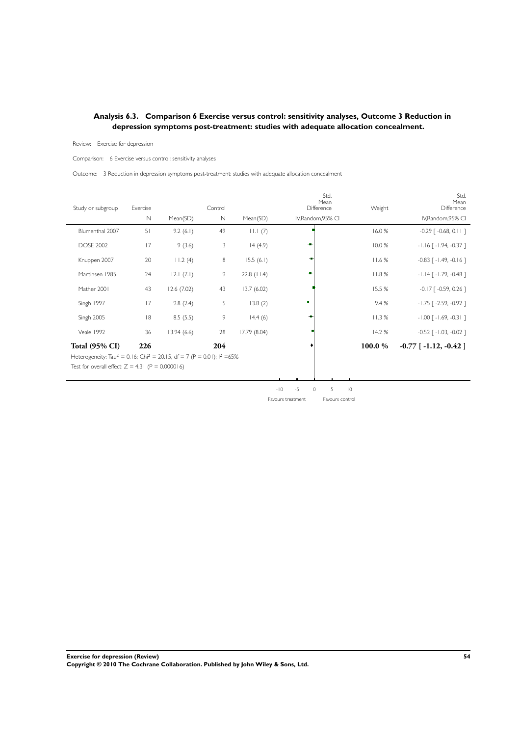### <span id="page-56-0"></span>**Analysis 6.3. Comparison 6 Exercise versus control: sensitivity analyses, Outcome 3 Reduction in depression symptoms post-treatment: studies with adequate allocation concealment.**

Review: Exercise for depression

Comparison: 6 Exercise versus control: sensitivity analyses

Outcome: 3 Reduction in depression symptoms post-treatment: studies with adequate allocation concealment

| Study or subgroup                                                                               | Exercise    |            | Control     |               | Difference         | Std.<br>Mean<br>Weight | Std.<br>Mean<br>Difference           |
|-------------------------------------------------------------------------------------------------|-------------|------------|-------------|---------------|--------------------|------------------------|--------------------------------------|
|                                                                                                 | $\mathbb N$ | Mean(SD)   | $\mathbb N$ | Mean(SD)      | IV, Random, 95% CI |                        | IV, Random, 95% CI                   |
| Blumenthal 2007                                                                                 | 51          | 9.2(6.1)   | 49          | 11.1(7)       |                    | 16.0%                  | $-0.29$ [ $-0.68$ , 0.11 ]           |
| <b>DOSE 2002</b>                                                                                | 17          | 9(3.6)     | 3           | 14(4.9)       |                    | 10.0 %                 | $-1.16$ [ $-1.94$ , $-0.37$ ]        |
| Knuppen 2007                                                                                    | 20          | 11.2(4)    | 8           | 15.5(6.1)     |                    | 11.6%                  | $-0.83$ [ $-1.49, -0.16$ ]           |
| Martinsen 1985                                                                                  | 24          | 12.1(7.1)  | 9           | $22.8$ (11.4) |                    | 11.8%                  | $-1.14$ [ $-1.79$ , $-0.48$ ]        |
| Mather 2001                                                                                     | 43          | 12.6(7.02) | 43          | 13.7(6.02)    |                    | 15.5 %                 | $-0.17$ $[-0.59, 0.26]$              |
| Singh 1997                                                                                      | 17          | 9.8(2.4)   | 15          | 13.8(2)       |                    | 9.4%                   | $-1.75$ [ $-2.59$ , $-0.92$ ]        |
| <b>Singh 2005</b>                                                                               | 8           | 8.5(5.5)   | 9           | 14.4(6)       |                    | 11.3%                  | $-1.00$ $[-1.69, -0.31]$             |
| <b>Veale 1992</b>                                                                               | 36          | 13.94(6.6) | 28          | 17.79 (8.04)  |                    | 14.2 %                 | $-0.52$ $\lceil -1.03, -0.02 \rceil$ |
| <b>Total (95% CI)</b>                                                                           | 226         |            | 204         |               |                    | 100.0%                 | $-0.77$ [ $-1.12$ , $-0.42$ ]        |
| Heterogeneity: Tau <sup>2</sup> = 0.16; Chi <sup>2</sup> = 20.15, df = 7 (P = 0.01); $1^2$ =65% |             |            |             |               |                    |                        |                                      |
| Test for overall effect: $Z = 4.31$ (P = 0.000016)                                              |             |            |             |               |                    |                        |                                      |
|                                                                                                 |             |            |             |               |                    |                        |                                      |
|                                                                                                 |             |            |             |               | $-10$<br>$-5$<br>0 | 5<br>$\overline{0}$    |                                      |

Favours treatment Favours control

```
Exercise for depression (Review) 54
Copyright © 2010 The Cochrane Collaboration. Published by John Wiley & Sons, Ltd.
```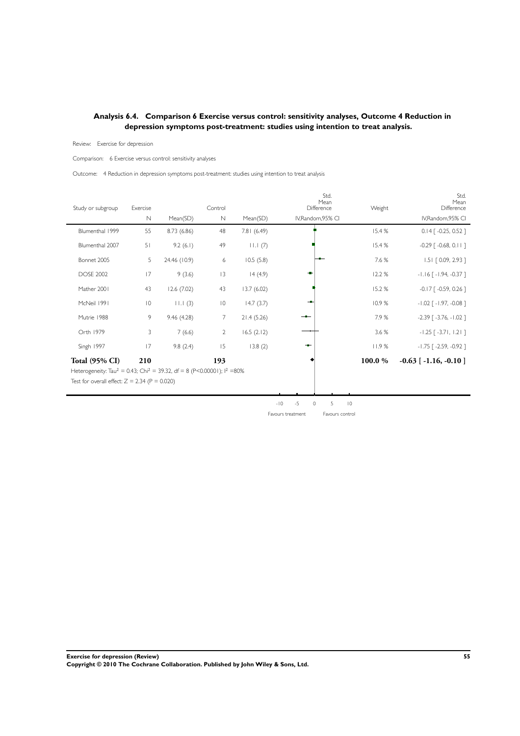### <span id="page-57-0"></span>**Analysis 6.4. Comparison 6 Exercise versus control: sensitivity analyses, Outcome 4 Reduction in depression symptoms post-treatment: studies using intention to treat analysis.**

Review: Exercise for depression

Comparison: 6 Exercise versus control: sensitivity analyses

Outcome: 4 Reduction in depression symptoms post-treatment: studies using intention to treat analysis

| Study or subgroup                                                                                | Exercise        |              | Control         |            | Std.<br>Mean<br>Difference                | Weight  | Std.<br>Mean<br>Difference          |
|--------------------------------------------------------------------------------------------------|-----------------|--------------|-----------------|------------|-------------------------------------------|---------|-------------------------------------|
|                                                                                                  | $\mathbb N$     | Mean(SD)     | $\mathbb N$     | Mean(SD)   | IV, Random, 95% CI                        |         | IV, Random, 95% CI                  |
| Blumenthal 1999                                                                                  | 55              | 8.73 (6.86)  | 48              | 7.81(6.49) |                                           | 15.4 %  | $0.14$ [ -0.25, 0.52 ]              |
| Blumenthal 2007                                                                                  | 51              | 9.2(6.1)     | 49              | 11.1(7)    |                                           | 15.4 %  | $-0.29$ $\lceil -0.68, 0.11 \rceil$ |
| Bonnet 2005                                                                                      | 5               | 24.46 (10.9) | 6               | 10.5(5.8)  |                                           | 7.6 %   | $1.51$ $[0.09, 2.93]$               |
| <b>DOSE 2002</b>                                                                                 | 17              | 9(3.6)       | 3               | 14(4.9)    |                                           | 12.2%   | $-1.16$ [ $-1.94$ , $-0.37$ ]       |
| Mather 2001                                                                                      | 43              | 12.6(7.02)   | 43              | 13.7(6.02) |                                           | 15.2 %  | $-0.17$ [ $-0.59$ , 0.26]           |
| McNeil 1991                                                                                      | $\overline{10}$ | 11.1(3)      | $\overline{10}$ | 14.7(3.7)  |                                           | 10.9%   | $-1.02$ [ $-1.97$ , $-0.08$ ]       |
| Mutrie 1988                                                                                      | 9               | 9.46(4.28)   | 7               | 21.4(5.26) |                                           | 7.9%    | $-2.39$ $[-3.76, -1.02]$            |
| Orth 1979                                                                                        | 3               | 7(6.6)       | $\overline{2}$  | 16.5(2.12) |                                           | 3.6 %   | $-1.25$ [ $-3.71$ , $1.21$ ]        |
| Singh 1997                                                                                       | 17              | 9.8(2.4)     | 15              | 13.8(2)    |                                           | 11.9%   | $-1.75$ [ $-2.59$ , $-0.92$ ]       |
| <b>Total (95% CI)</b>                                                                            | 210             |              | 193             |            |                                           | 100.0 % | $-0.63$ [ $-1.16$ , $-0.10$ ]       |
| Heterogeneity: Tau <sup>2</sup> = 0.43; Chi <sup>2</sup> = 39.32, df = 8 (P<0.00001); $1^2$ =80% |                 |              |                 |            |                                           |         |                                     |
| Test for overall effect: $Z = 2.34$ (P = 0.020)                                                  |                 |              |                 |            |                                           |         |                                     |
|                                                                                                  |                 |              |                 |            |                                           |         |                                     |
|                                                                                                  |                 |              |                 |            | $-10$<br>5<br>$\overline{0}$<br>$-5$<br>0 |         |                                     |

Favours treatment Favours control

**Exercise for depression (Review) 55 Copyright © 2010 The Cochrane Collaboration. Published by John Wiley & Sons, Ltd.**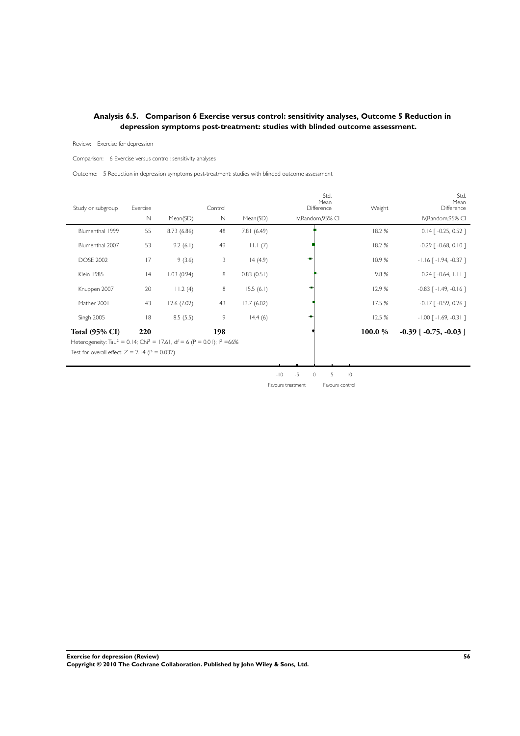### <span id="page-58-0"></span>**Analysis 6.5. Comparison 6 Exercise versus control: sensitivity analyses, Outcome 5 Reduction in depression symptoms post-treatment: studies with blinded outcome assessment.**

Review: Exercise for depression

Comparison: 6 Exercise versus control: sensitivity analyses

Outcome: 5 Reduction in depression symptoms post-treatment: studies with blinded outcome assessment

| Study or subgroup                                                                                                                                            | Exercise<br>$\mathbb N$ | Mean(SD)    | Control<br>$\mathbb N$ | Mean(SD)    | Std.<br>Mean<br>Difference<br>IV, Random, 95% CI                                        | Weight | Std.<br>Mean<br>Difference<br>IV, Random, 95% CI |
|--------------------------------------------------------------------------------------------------------------------------------------------------------------|-------------------------|-------------|------------------------|-------------|-----------------------------------------------------------------------------------------|--------|--------------------------------------------------|
| Blumenthal 1999                                                                                                                                              | 55                      | 8.73 (6.86) | 48                     | 7.81 (6.49) |                                                                                         | 18.2%  | $0.14$ $[-0.25, 0.52]$                           |
| Blumenthal 2007                                                                                                                                              | 53                      | 9.2(6.1)    | 49                     | 11.1(7)     |                                                                                         | 18.2%  | $-0.29$ [ $-0.68$ , 0.10]                        |
| <b>DOSE 2002</b>                                                                                                                                             | 17                      | 9(3.6)      | 3                      | 14(4.9)     | ۰                                                                                       | 10.9%  | $-1.16$ [ $-1.94$ , $-0.37$ ]                    |
| Klein 1985                                                                                                                                                   | 4                       | 1.03(0.94)  | 8                      | 0.83(0.51)  |                                                                                         | 9.8%   | $0.24$ $\lceil -0.64, 1.11 \rceil$               |
| Knuppen 2007                                                                                                                                                 | 20                      | 11.2(4)     | 8                      | 15.5(6.1)   |                                                                                         | 12.9%  | $-0.83$ $[-1.49, -0.16]$                         |
| Mather 2001                                                                                                                                                  | 43                      | 12.6(7.02)  | 43                     | 13.7(6.02)  |                                                                                         | 17.5 % | $-0.17$ [ $-0.59$ , 0.26]                        |
| Singh 2005                                                                                                                                                   | 8                       | 8.5(5.5)    | 9                      | 14.4(6)     | ÷                                                                                       | 12.5 % | $-1.00$ [ $-1.69$ , $-0.31$ ]                    |
| Heterogeneity: Tau <sup>2</sup> = 0.14; Chi <sup>2</sup> = 17.61, df = 6 (P = 0.01); l <sup>2</sup> = 66%<br>Test for overall effect: $Z = 2.14$ (P = 0.032) |                         |             |                        |             |                                                                                         |        |                                                  |
|                                                                                                                                                              |                         |             |                        |             | $-5$<br>5<br>$\overline{0}$<br>$-10$<br>$\circ$<br>Favours control<br>Favours treatment |        |                                                  |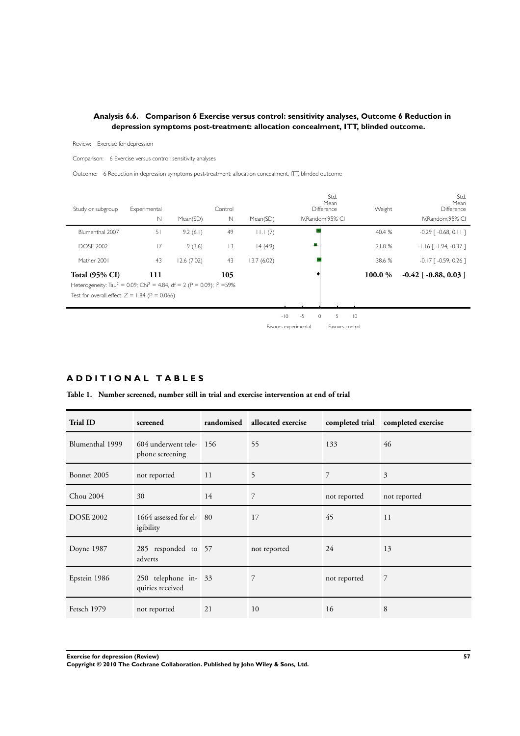### <span id="page-59-0"></span>**Analysis 6.6. Comparison 6 Exercise versus control: sensitivity analyses, Outcome 6 Reduction in depression symptoms post-treatment: allocation concealment, ITT, blinded outcome.**

Review: Exercise for depression

Comparison: 6 Exercise versus control: sensitivity analyses

Outcome: 6 Reduction in depression symptoms post-treatment: allocation concealment, ITT, blinded outcome

| Study or subgroup                                                                                                                                                                        | Experimental<br>N | Mean(SD)   | Control<br>$\mathbb N$ | Mean(SD)   | Std.<br>Mean<br>Difference<br>IV, Random, 95% CI | Weight    | Std.<br>Mean<br>Difference<br>IV, Random, 95% CI |
|------------------------------------------------------------------------------------------------------------------------------------------------------------------------------------------|-------------------|------------|------------------------|------------|--------------------------------------------------|-----------|--------------------------------------------------|
| Blumenthal 2007                                                                                                                                                                          | 51                | 9.2(6.1)   | 49                     | 11.1(7)    |                                                  | 40.4 %    | $-0.29$ [ $-0.68$ , 0.11 ]                       |
| <b>DOSE 2002</b>                                                                                                                                                                         | 17                | 9(3.6)     | 3                      | 14(4.9)    | ₩                                                | 21.0%     | $-1.16$ $[-1.94, -0.37]$                         |
| Mather 2001                                                                                                                                                                              | 43                | 12.6(7.02) | 43                     | 13.7(6.02) |                                                  | 38.6 %    | $-0.17$ [ $-0.59$ , 0.26 ]                       |
| <b>Total (95% CI)</b><br>111<br>105<br>Heterogeneity: Tau <sup>2</sup> = 0.09; Chi <sup>2</sup> = 4.84, df = 2 (P = 0.09); $1^2$ =59%<br>Test for overall effect: $Z = 1.84$ (P = 0.066) |                   |            |                        |            | $ 0\rangle$<br>$-10$<br>$-5$                     | 100.0 $%$ | $-0.42$ [ $-0.88, 0.03$ ]                        |

Favours experimental Favours control

### **A D D I T I O N A L T A B L E S**

#### **Table 1. Number screened, number still in trial and exercise intervention at end of trial**

| <b>Trial ID</b>  | screened                                  | randomised | allocated exercise |              | completed trial completed exercise |
|------------------|-------------------------------------------|------------|--------------------|--------------|------------------------------------|
| Blumenthal 1999  | 604 underwent tele-156<br>phone screening |            | 55                 | 133          | 46                                 |
| Bonnet 2005      | not reported                              | 11         | 5                  | 7            | 3                                  |
| Chou 2004        | 30                                        | 14         | 7                  | not reported | not reported                       |
| <b>DOSE 2002</b> | 1664 assessed for el-<br>igibility        | -80        | 17                 | 45           | 11                                 |
| Doyne 1987       | 285 responded to 57<br>adverts            |            | not reported       | 24           | 13                                 |
| Epstein 1986     | 250 telephone in-33<br>quiries received   |            | 7                  | not reported | 7                                  |
| Fetsch 1979      | not reported                              | 21         | 10                 | 16           | 8                                  |
|                  |                                           |            |                    |              |                                    |

**Exercise for depression (Review) 57**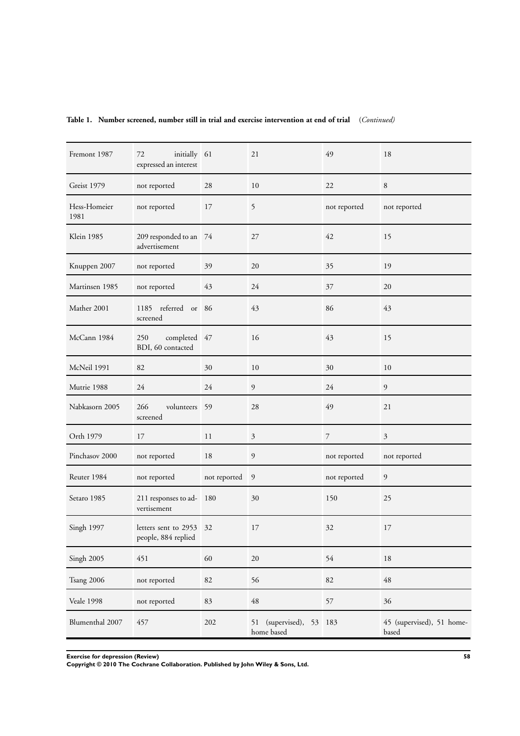| Fremont 1987         | initially 61<br>72<br>expressed an interest    |                | 21                                       | 49           | 18                                 |
|----------------------|------------------------------------------------|----------------|------------------------------------------|--------------|------------------------------------|
| Greist 1979          | not reported                                   | 28             | 10                                       | 22           | 8                                  |
| Hess-Homeier<br>1981 | not reported                                   | 17             | 5                                        | not reported | not reported                       |
| <b>Klein 1985</b>    | 209 responded to an 74<br>advertisement        |                | 27                                       | 42           | 15                                 |
| Knuppen 2007         | not reported                                   | 39             | 20                                       | 35           | 19                                 |
| Martinsen 1985       | not reported                                   | 43             | 24                                       | 37           | 20                                 |
| Mather 2001          | 1185 referred or 86<br>screened                |                | 43                                       | 86           | 43                                 |
| McCann 1984          | completed 47<br>250<br>BDI, 60 contacted       |                | 16                                       | 43           | 15                                 |
| McNeil 1991          | 82                                             | 30             | 10                                       | 30           | 10                                 |
| Mutrie 1988          | 24                                             | 24             | $\overline{9}$                           | 24           | $\mathfrak{g}$                     |
| Nabkasorn 2005       | 266<br>volunteers<br>screened                  | 59             | 28                                       | 49           | 21                                 |
| Orth 1979            | 17                                             | 11             | 3                                        | 7            | $\mathfrak{Z}$                     |
| Pinchasov 2000       | not reported                                   | 18             | 9                                        | not reported | not reported                       |
| Reuter 1984          | not reported                                   | not reported 9 |                                          | not reported | 9                                  |
| Setaro 1985          | 211 responses to ad- 180<br>vertisement        |                | 30                                       | 150          | 25                                 |
| Singh 1997           | letters sent to 2953 32<br>people, 884 replied |                | 17                                       | 32           | 17                                 |
| <b>Singh 2005</b>    | 451                                            | 60             | $20\,$                                   | 54           | $18\,$                             |
| Tsang 2006           | not reported                                   | 82             | 56                                       | 82           | $\sqrt{48}$                        |
| Veale 1998           | not reported                                   | 83             | $\sqrt{48}$                              | 57           | 36                                 |
| Blumenthal 2007      | 457                                            | 202            | (supervised), 53 183<br>51<br>home based |              | 45 (supervised), 51 home-<br>based |

**Table 1. Number screened, number still in trial and exercise intervention at end of trial** (*Continued)*

**Exercise for depression (Review) 58**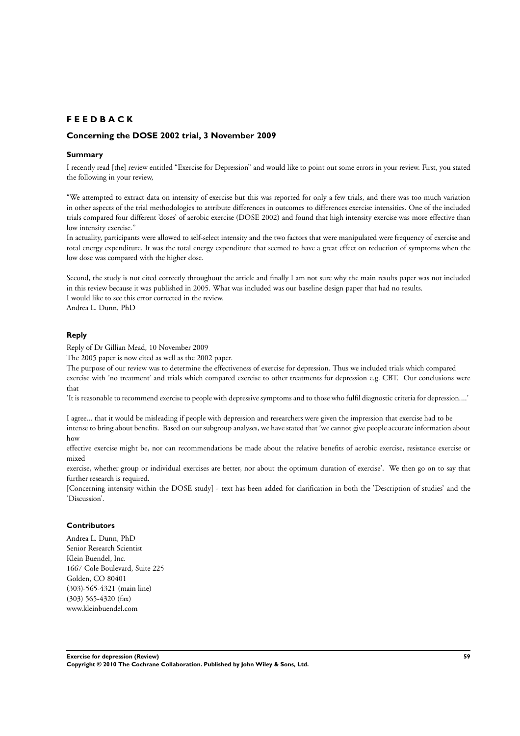### **F E E D B A C K**

### **Concerning the DOSE 2002 trial, 3 November 2009**

### **Summary**

I recently read [the] review entitled "Exercise for Depression" and would like to point out some errors in your review. First, you stated the following in your review,

"We attempted to extract data on intensity of exercise but this was reported for only a few trials, and there was too much variation in other aspects of the trial methodologies to attribute differences in outcomes to differences exercise intensities. One of the included trials compared four different 'doses' of aerobic exercise (DOSE 2002) and found that high intensity exercise was more effective than low intensity exercise."

In actuality, participants were allowed to self-select intensity and the two factors that were manipulated were frequency of exercise and total energy expenditure. It was the total energy expenditure that seemed to have a great effect on reduction of symptoms when the low dose was compared with the higher dose.

Second, the study is not cited correctly throughout the article and finally I am not sure why the main results paper was not included in this review because it was published in 2005. What was included was our baseline design paper that had no results. I would like to see this error corrected in the review. Andrea L. Dunn, PhD

### **Reply**

Reply of Dr Gillian Mead, 10 November 2009

The 2005 paper is now cited as well as the 2002 paper.

The purpose of our review was to determine the effectiveness of exercise for depression. Thus we included trials which compared exercise with 'no treatment' and trials which compared exercise to other treatments for depression e.g. CBT. Our conclusions were that

'It is reasonable to recommend exercise to people with depressive symptoms and to those who fulfil diagnostic criteria for depression....'

I agree... that it would be misleading if people with depression and researchers were given the impression that exercise had to be intense to bring about benefits. Based on our subgroup analyses, we have stated that 'we cannot give people accurate information about how

effective exercise might be, nor can recommendations be made about the relative benefits of aerobic exercise, resistance exercise or mixed

exercise, whether group or individual exercises are better, nor about the optimum duration of exercise'. We then go on to say that further research is required.

[Concerning intensity within the DOSE study] - text has been added for clarification in both the 'Description of studies' and the 'Discussion'.

### **Contributors**

Andrea L. Dunn, PhD Senior Research Scientist Klein Buendel, Inc. 1667 Cole Boulevard, Suite 225 Golden, CO 80401 (303)-565-4321 (main line) (303) 565-4320 (fax) www.kleinbuendel.com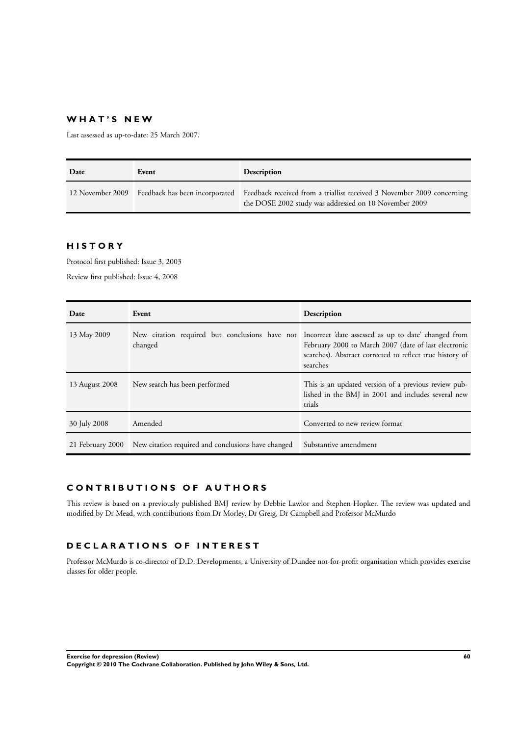### **W H A T ' S N E W**

Last assessed as up-to-date: 25 March 2007.

| Date | Event | Description                                                                                                                                                                     |
|------|-------|---------------------------------------------------------------------------------------------------------------------------------------------------------------------------------|
|      |       | 12 November 2009 Feedback has been incorporated Feedback received from a triallist received 3 November 2009 concerning<br>the DOSE 2002 study was addressed on 10 November 2009 |

## **H I S T O R Y**

Protocol first published: Issue 3, 2003 Review first published: Issue 4, 2008

| Date             | Event                                                                                                          | Description                                                                                                                  |
|------------------|----------------------------------------------------------------------------------------------------------------|------------------------------------------------------------------------------------------------------------------------------|
| 13 May 2009      | New citation required but conclusions have not Incorrect 'date assessed as up to date' changed from<br>changed | February 2000 to March 2007 (date of last electronic<br>searches). Abstract corrected to reflect true history of<br>searches |
| 13 August 2008   | New search has been performed                                                                                  | This is an updated version of a previous review pub-<br>lished in the BMJ in 2001 and includes several new<br>trials         |
| 30 July 2008     | Amended                                                                                                        | Converted to new review format                                                                                               |
| 21 February 2000 | New citation required and conclusions have changed                                                             | Substantive amendment                                                                                                        |

# **C O N T R I B U T I O N S O F A U T H O R S**

This review is based on a previously published BMJ review by Debbie Lawlor and Stephen Hopker. The review was updated and modified by Dr Mead, with contributions from Dr Morley, Dr Greig, Dr Campbell and Professor McMurdo

### **D E C L A R A T I O N S O F I N T E R E S T**

Professor McMurdo is co-director of D.D. Developments, a University of Dundee not-for-profit organisation which provides exercise classes for older people.